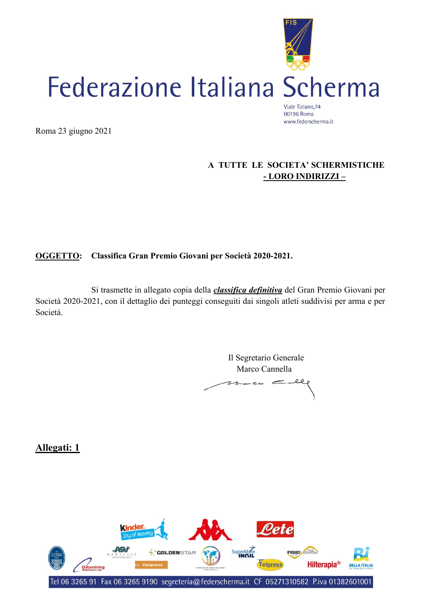

Roma 23 giugno 2021

### **A TUTTE LE SOCIETA' SCHERMISTICHE - LORO INDIRIZZI –**

### **OGGETTO: Classifica Gran Premio Giovani per Società 2020-2021.**

Si trasmette in allegato copia della *classifica definitiva* del Gran Premio Giovani per Società 2020-2021, con il dettaglio dei punteggi conseguiti dai singoli atleti suddivisi per arma e per Società.

> Il Segretario Generale Marco Cannella  $7.1 - 7.$ سر

**Allegati: 1**

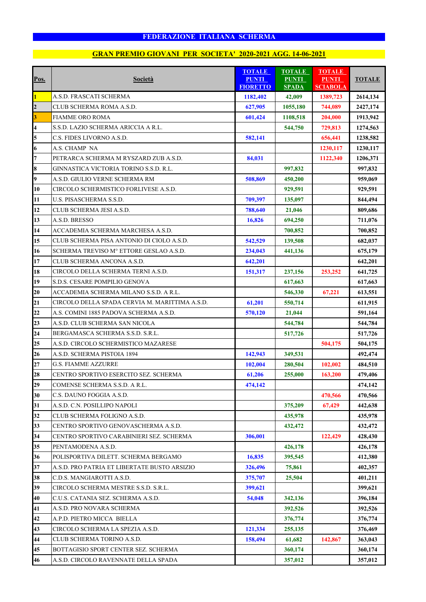|                         |                                                | <b>TOTALE</b>                   | <b>TOTALE</b>                | <b>TOTALE</b>                   |               |
|-------------------------|------------------------------------------------|---------------------------------|------------------------------|---------------------------------|---------------|
| Pos.                    | <b>Società</b>                                 | <b>PUNTI</b><br><b>FIORETTO</b> | <b>PUNTI</b><br><b>SPADA</b> | <b>PUNTI</b><br><b>SCIABOLA</b> | <b>TOTALE</b> |
| $\overline{\mathbf{1}}$ | A.S.D. FRASCATI SCHERMA                        | 1182,402                        | 42,009                       | 1389,723                        | 2614,134      |
| $\overline{\mathbf{c}}$ | CLUB SCHERMA ROMA A.S.D.                       | 627,905                         | 1055,180                     | 744,089                         | 2427,174      |
| $\overline{\mathbf{3}}$ | <b>FIAMME ORO ROMA</b>                         | 601,424                         | 1108,518                     | 204,000                         | 1913,942      |
| $\overline{\mathbf{4}}$ | S.S.D. LAZIO SCHERMA ARICCIA A R.L.            |                                 | 544,750                      | 729,813                         | 1274,563      |
| 5                       | C.S. FIDES LIVORNO A.S.D.                      | 582,141                         |                              | 656,441                         | 1238,582      |
| $\boldsymbol{6}$        | A.S. CHAMP NA                                  |                                 |                              | 1230,117                        | 1230,117      |
| $\overline{7}$          | PETRARCA SCHERMA M RYSZARD ZUB A.S.D.          | 84,031                          |                              | 1122,340                        | 1206,371      |
| 8                       | GINNASTICA VICTORIA TORINO S.S.D. R.L.         |                                 | 997,832                      |                                 | 997,832       |
| 9                       | A.S.D. GIULIO VERNE SCHERMA RM                 | 508,869                         | 450,200                      |                                 | 959,069       |
| 10                      | CIRCOLO SCHERMISTICO FORLIVESE A.S.D.          |                                 | 929,591                      |                                 | 929,591       |
| 11                      | U.S. PISASCHERMA S.S.D.                        | 709,397                         | 135,097                      |                                 | 844,494       |
| 12                      | CLUB SCHERMA JESI A.S.D.                       | 788,640                         | 21,046                       |                                 | 809,686       |
| 13                      | A.S.D. BRESSO                                  | 16,826                          | 694,250                      |                                 | 711,076       |
| 14                      | ACCADEMIA SCHERMA MARCHESA A.S.D.              |                                 | 700,852                      |                                 | 700,852       |
| 15                      | CLUB SCHERMA PISA ANTONIO DI CIOLO A.S.D.      | 542,529                         | 139,508                      |                                 | 682,037       |
| 16                      | SCHERMA TREVISO Mº ETTORE GESLAO A.S.D.        | 234,043                         | 441,136                      |                                 | 675,179       |
| 17                      | CLUB SCHERMA ANCONA A.S.D.                     | 642,201                         |                              |                                 | 642,201       |
| 18                      | CIRCOLO DELLA SCHERMA TERNI A.S.D.             | 151,317                         | 237,156                      | 253,252                         | 641,725       |
| 19                      | S.D.S. CESARE POMPILIO GENOVA                  |                                 | 617,663                      |                                 | 617,663       |
| 20                      | ACCADEMIA SCHERMA MILANO S.S.D. A R.L.         |                                 | 546,330                      | 67,221                          | 613,551       |
| 21                      | CIRCOLO DELLA SPADA CERVIA M. MARITTIMA A.S.D. | 61,201                          | 550,714                      |                                 | 611,915       |
| 22                      | A.S. COMINI 1885 PADOVA SCHERMA A.S.D.         | 570,120                         | 21,044                       |                                 | 591,164       |
| 23                      | A.S.D. CLUB SCHERMA SAN NICOLA                 |                                 | 544,784                      |                                 | 544,784       |
| 24                      | BERGAMASCA SCHERMA S.S.D. S.R.L.               |                                 | 517,726                      |                                 | 517,726       |
| 25                      | A.S.D. CIRCOLO SCHERMISTICO MAZARESE           |                                 |                              | 504,175                         | 504,175       |
| 26                      | A.S.D. SCHERMA PISTOIA 1894                    | 142,943                         | 349,531                      |                                 | 492,474       |
| 27                      | <b>G.S. FIAMME AZZURRE</b>                     | 102,004                         | 280,504                      | 102,002                         | 484,510       |
| 28                      | CENTRO SPORTIVO ESERCITO SEZ. SCHERMA          | 61,206                          | 255,000                      | 163,200                         | 479,406       |
| 29                      | COMENSE SCHERMA S.S.D. A R.L.                  | 474,142                         |                              |                                 | 474,142       |
| $30\,$                  | C.S. DAUNO FOGGIA A.S.D.                       |                                 |                              | 470,566                         | 470,566       |
| 31                      | A.S.D. C.N. POSILLIPO NAPOLI                   |                                 | 375,209                      | 67,429                          | 442,638       |
| 32                      | CLUB SCHERMA FOLIGNO A.S.D.                    |                                 | 435,978                      |                                 | 435,978       |
| 33                      | CENTRO SPORTIVO GENOVASCHERMA A.S.D.           |                                 | 432,472                      |                                 | 432,472       |
| 34                      | CENTRO SPORTIVO CARABINIERI SEZ. SCHERMA       | 306,001                         |                              | 122,429                         | 428,430       |
| 35                      | PENTAMODENA A.S.D.                             |                                 | 426,178                      |                                 | 426,178       |
| 36                      | POLISPORTIVA DILETT. SCHERMA BERGAMO           | 16,835                          | 395,545                      |                                 | 412,380       |
| 37                      | A.S.D. PRO PATRIA ET LIBERTATE BUSTO ARSIZIO   | 326,496                         | 75,861                       |                                 | 402,357       |
| 38                      | C.D.S. MANGIAROTTI A.S.D.                      | 375,707                         | 25,504                       |                                 | 401,211       |
| 39                      | CIRCOLO SCHERMA MESTRE S.S.D. S.R.L.           | 399,621                         |                              |                                 | 399,621       |
| 40                      | C.U.S. CATANIA SEZ. SCHERMA A.S.D.             | 54,048                          | 342,136                      |                                 | 396,184       |
| 41                      | A.S.D. PRO NOVARA SCHERMA                      |                                 | 392,526                      |                                 | 392,526       |
| 42                      | A.P.D. PIETRO MICCA BIELLA                     |                                 | 376,774                      |                                 | 376,774       |
| 43                      | CIRCOLO SCHERMA LA SPEZIA A.S.D.               | 121,334                         | 255,135                      |                                 | 376,469       |
| 44                      | CLUB SCHERMA TORINO A.S.D.                     | 158,494                         | 61,682                       | 142,867                         | 363,043       |
| 45                      | BOTTAGISIO SPORT CENTER SEZ. SCHERMA           |                                 | 360,174                      |                                 | 360,174       |
| 46                      | A.S.D. CIRCOLO RAVENNATE DELLA SPADA           |                                 | 357,012                      |                                 | 357,012       |
|                         |                                                |                                 |                              |                                 |               |

# **GRAN PREMIO GIOVANI PER SOCIETA' 2020-2021 AGG. 14-06-2021**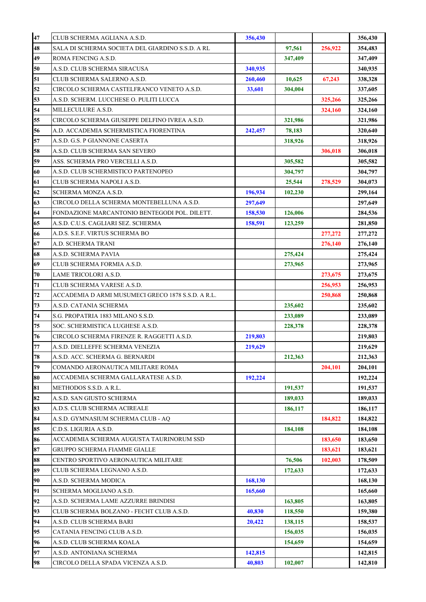| 47 | CLUB SCHERMA AGLIANA A.S.D.                        | 356,430 |         |         | 356,430 |
|----|----------------------------------------------------|---------|---------|---------|---------|
| 48 | SALA DI SCHERMA SOCIETA DEL GIARDINO S.S.D. A RL   |         | 97,561  | 256,922 | 354,483 |
| 49 | ROMA FENCING A.S.D.                                |         | 347,409 |         | 347,409 |
| 50 | A.S.D. CLUB SCHERMA SIRACUSA                       | 340,935 |         |         | 340,935 |
| 51 | CLUB SCHERMA SALERNO A.S.D.                        | 260,460 | 10,625  | 67,243  | 338,328 |
| 52 | CIRCOLO SCHERMA CASTELFRANCO VENETO A.S.D.         | 33,601  | 304,004 |         | 337,605 |
| 53 | A.S.D. SCHERM. LUCCHESE O. PULITI LUCCA            |         |         | 325,266 | 325,266 |
| 54 | MILLECULURE A.S.D.                                 |         |         | 324,160 | 324,160 |
| 55 | CIRCOLO SCHERMA GIUSEPPE DELFINO IVREA A.S.D.      |         | 321,986 |         | 321,986 |
| 56 | A.D. ACCADEMIA SCHERMISTICA FIORENTINA             | 242,457 | 78,183  |         | 320,640 |
| 57 | A.S.D. G.S. P GIANNONE CASERTA                     |         | 318,926 |         | 318,926 |
| 58 | A.S.D. CLUB SCHERMA SAN SEVERO                     |         |         | 306,018 | 306,018 |
| 59 | ASS. SCHERMA PRO VERCELLI A.S.D.                   |         | 305,582 |         | 305,582 |
| 60 | A.S.D. CLUB SCHERMISTICO PARTENOPEO                |         | 304,797 |         | 304,797 |
| 61 | CLUB SCHERMA NAPOLI A.S.D.                         |         | 25,544  | 278,529 | 304,073 |
| 62 | SCHERMA MONZA A.S.D.                               | 196,934 | 102,230 |         | 299,164 |
| 63 | CIRCOLO DELLA SCHERMA MONTEBELLUNA A.S.D.          | 297,649 |         |         | 297,649 |
| 64 | FONDAZIONE MARCANTONIO BENTEGODI POL. DILETT.      | 158,530 | 126,006 |         | 284,536 |
| 65 | A.S.D. C.U.S. CAGLIARI SEZ. SCHERMA                | 158,591 | 123,259 |         | 281,850 |
| 66 | A.D.S. S.E.F. VIRTUS SCHERMA BO                    |         |         | 277,272 | 277,272 |
| 67 | A.D. SCHERMA TRANI                                 |         |         | 276,140 | 276,140 |
| 68 | A.S.D. SCHERMA PAVIA                               |         | 275,424 |         | 275,424 |
| 69 | CLUB SCHERMA FORMIA A.S.D.                         |         | 273,965 |         | 273,965 |
| 70 | LAME TRICOLORI A.S.D.                              |         |         | 273,675 | 273,675 |
| 71 | CLUB SCHERMA VARESE A.S.D.                         |         |         | 256,953 | 256,953 |
| 72 | ACCADEMIA D ARMI MUSUMECI GRECO 1878 S.S.D. A R.L. |         |         | 250,868 | 250,868 |
| 73 | A.S.D. CATANIA SCHERMA                             |         | 235,602 |         | 235,602 |
| 74 | S.G. PROPATRIA 1883 MILANO S.S.D.                  |         | 233,089 |         | 233,089 |
| 75 | SOC. SCHERMISTICA LUGHESE A.S.D.                   |         | 228,378 |         | 228,378 |
| 76 | CIRCOLO SCHERMA FIRENZE R. RAGGETTI A.S.D.         | 219,803 |         |         | 219,803 |
| 77 | A.S.D. DIELLEFFE SCHERMA VENEZIA                   | 219,629 |         |         | 219,629 |
| 78 | A.S.D. ACC. SCHERMA G. BERNARDI                    |         | 212,363 |         | 212,363 |
| 79 | COMANDO AERONAUTICA MILITARE ROMA                  |         |         | 204,101 | 204,101 |
| 80 | ACCADEMIA SCHERMA GALLARATESE A.S.D.               | 192,224 |         |         | 192,224 |
| 81 | METHODOS S.S.D. A R.L.                             |         | 191,537 |         | 191,537 |
| 82 | A.S.D. SAN GIUSTO SCHERMA                          |         | 189,033 |         | 189,033 |
| 83 | A.D.S. CLUB SCHERMA ACIREALE                       |         | 186,117 |         | 186,117 |
| 84 | A.S.D. GYMNASIUM SCHERMA CLUB - AQ                 |         |         | 184,822 | 184,822 |
| 85 | C.D.S. LIGURIA A.S.D.                              |         | 184,108 |         | 184,108 |
| 86 | ACCADEMIA SCHERMA AUGUSTA TAURINORUM SSD           |         |         | 183,650 | 183,650 |
| 87 | GRUPPO SCHERMA FIAMME GIALLE                       |         |         | 183,621 | 183,621 |
| 88 | CENTRO SPORTIVO AERONAUTICA MILITARE               |         | 76,506  | 102,003 | 178,509 |
| 89 | CLUB SCHERMA LEGNANO A.S.D.                        |         | 172,633 |         | 172,633 |
| 90 | A.S.D. SCHERMA MODICA                              | 168,130 |         |         | 168,130 |
| 91 | SCHERMA MOGLIANO A.S.D.                            | 165,660 |         |         | 165,660 |
| 92 | A.S.D. SCHERMA LAME AZZURRE BRINDISI               |         | 163,805 |         | 163,805 |
| 93 | CLUB SCHERMA BOLZANO - FECHT CLUB A.S.D.           | 40,830  | 118,550 |         | 159,380 |
| 94 | A.S.D. CLUB SCHERMA BARI                           | 20,422  | 138,115 |         | 158,537 |
| 95 | CATANIA FENCING CLUB A.S.D.                        |         | 156,035 |         | 156,035 |
| 96 | A.S.D. CLUB SCHERMA KOALA                          |         | 154,659 |         | 154,659 |
| 97 | A.S.D. ANTONIANA SCHERMA                           | 142,815 |         |         | 142,815 |
| 98 | CIRCOLO DELLA SPADA VICENZA A.S.D.                 | 40,803  | 102,007 |         | 142,810 |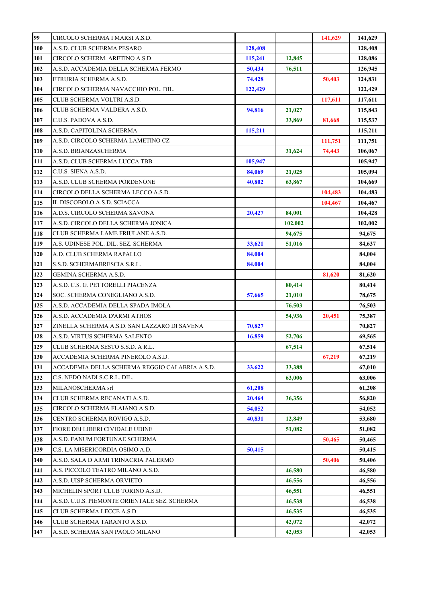| 99  | CIRCOLO SCHERMA I MARSI A.S.D.                 |         |         | 141,629 | 141,629 |
|-----|------------------------------------------------|---------|---------|---------|---------|
| 100 | A.S.D. CLUB SCHERMA PESARO                     | 128,408 |         |         | 128,408 |
| 101 | CIRCOLO SCHERM. ARETINO A.S.D.                 | 115,241 | 12,845  |         | 128,086 |
| 102 | A.S.D. ACCADEMIA DELLA SCHERMA FERMO           | 50,434  | 76,511  |         | 126,945 |
| 103 | ETRURIA SCHERMA A.S.D.                         | 74,428  |         | 50,403  | 124,831 |
| 104 | CIRCOLO SCHERMA NAVACCHIO POL. DIL.            | 122,429 |         |         | 122,429 |
| 105 | CLUB SCHERMA VOLTRI A.S.D.                     |         |         | 117,611 | 117,611 |
| 106 | CLUB SCHERMA VALDERA A.S.D.                    | 94,816  | 21,027  |         | 115,843 |
| 107 | C.U.S. PADOVA A.S.D.                           |         | 33,869  | 81,668  | 115,537 |
| 108 | A.S.D. CAPITOLINA SCHERMA                      | 115,211 |         |         | 115,211 |
| 109 | A.S.D. CIRCOLO SCHERMA LAMETINO CZ             |         |         | 111,751 | 111,751 |
| 110 | A.S.D. BRIANZASCHERMA                          |         | 31,624  | 74,443  | 106,067 |
| 111 | A.S.D. CLUB SCHERMA LUCCA TBB                  | 105,947 |         |         | 105,947 |
| 112 | C.U.S. SIENA A.S.D.                            | 84,069  | 21,025  |         | 105,094 |
| 113 | A.S.D. CLUB SCHERMA PORDENONE                  | 40,802  | 63,867  |         | 104,669 |
| 114 | CIRCOLO DELLA SCHERMA LECCO A.S.D.             |         |         | 104,483 | 104,483 |
| 115 | IL DISCOBOLO A.S.D. SCIACCA                    |         |         | 104,467 | 104,467 |
| 116 | A.D.S. CIRCOLO SCHERMA SAVONA                  | 20,427  | 84,001  |         | 104,428 |
| 117 | A.S.D. CIRCOLO DELLA SCHERMA JONICA            |         | 102,002 |         | 102,002 |
| 118 | CLUB SCHERMA LAME FRIULANE A.S.D.              |         | 94,675  |         | 94,675  |
| 119 | A.S. UDINESE POL. DIL. SEZ. SCHERMA            | 33,621  | 51,016  |         | 84,637  |
| 120 | A.D. CLUB SCHERMA RAPALLO                      | 84,004  |         |         | 84,004  |
| 121 | S.S.D. SCHERMABRESCIA S.R.L.                   | 84,004  |         |         | 84,004  |
| 122 | GEMINA SCHERMA A.S.D.                          |         |         | 81,620  | 81,620  |
| 123 | A.S.D. C.S. G. PETTORELLI PIACENZA             |         | 80,414  |         | 80,414  |
| 124 | SOC. SCHERMA CONEGLIANO A.S.D.                 | 57,665  | 21,010  |         | 78,675  |
| 125 | A.S.D. ACCADEMIA DELLA SPADA IMOLA             |         | 76,503  |         | 76,503  |
| 126 | A.S.D. ACCADEMIA D'ARMI ATHOS                  |         | 54,936  | 20,451  | 75,387  |
| 127 | ZINELLA SCHERMA A.S.D. SAN LAZZARO DI SAVENA   | 70,827  |         |         | 70,827  |
| 128 | A.S.D. VIRTUS SCHERMA SALENTO                  | 16,859  | 52,706  |         | 69,565  |
| 129 | CLUB SCHERMA SESTO S.S.D. A R.L.               |         | 67,514  |         | 67,514  |
| 130 | ACCADEMIA SCHERMA PINEROLO A.S.D.              |         |         | 67,219  | 67,219  |
| 131 | ACCADEMIA DELLA SCHERMA REGGIO CALABRIA A.S.D. | 33,622  | 33,388  |         | 67,010  |
| 132 | C.S. NEDO NADI S.C.R.L. DIL.                   |         | 63,006  |         | 63,006  |
| 133 | MILANOSCHERMA srl                              | 61,208  |         |         | 61,208  |
| 134 | CLUB SCHERMA RECANATI A.S.D.                   | 20,464  | 36,356  |         | 56,820  |
| 135 | CIRCOLO SCHERMA FLAIANO A.S.D.                 | 54,052  |         |         | 54,052  |
| 136 | CENTRO SCHERMA ROVIGO A.S.D.                   | 40,831  | 12,849  |         | 53,680  |
| 137 | FIORE DEI LIBERI CIVIDALE UDINE                |         | 51,082  |         | 51,082  |
| 138 | A.S.D. FANUM FORTUNAE SCHERMA                  |         |         | 50,465  | 50,465  |
| 139 | C.S. LA MISERICORDIA OSIMO A.D.                | 50,415  |         |         | 50,415  |
| 140 | A.S.D. SALA D ARMI TRINACRIA PALERMO           |         |         | 50,406  | 50,406  |
| 141 | A.S. PICCOLO TEATRO MILANO A.S.D.              |         | 46,580  |         | 46,580  |
| 142 | A.S.D. UISP SCHERMA ORVIETO                    |         | 46,556  |         | 46,556  |
| 143 | MICHELIN SPORT CLUB TORINO A.S.D.              |         | 46,551  |         | 46,551  |
| 144 | A.S.D. C.U.S. PIEMONTE ORIENTALE SEZ. SCHERMA  |         | 46,538  |         | 46,538  |
| 145 | CLUB SCHERMA LECCE A.S.D.                      |         | 46,535  |         | 46,535  |
| 146 | CLUB SCHERMA TARANTO A.S.D.                    |         | 42,072  |         | 42,072  |
| 147 | A.S.D. SCHERMA SAN PAOLO MILANO                |         | 42,053  |         | 42,053  |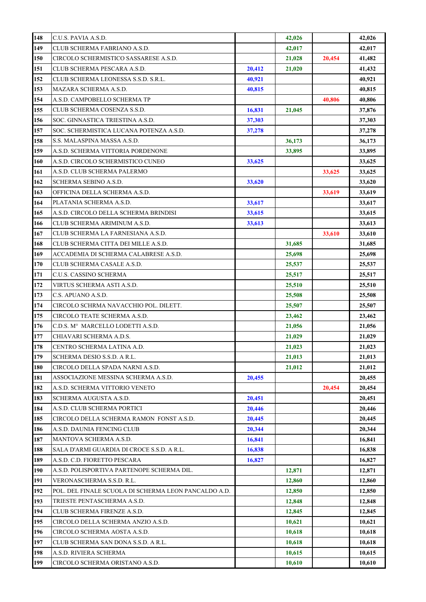| 148 | C.U.S. PAVIA A.S.D.                                  |        | 42,026 |        | 42,026 |
|-----|------------------------------------------------------|--------|--------|--------|--------|
| 149 | CLUB SCHERMA FABRIANO A.S.D.                         |        | 42,017 |        | 42,017 |
| 150 | CIRCOLO SCHERMISTICO SASSARESE A.S.D.                |        | 21,028 | 20,454 | 41,482 |
| 151 | CLUB SCHERMA PESCARA A.S.D.                          | 20,412 | 21,020 |        | 41,432 |
| 152 | CLUB SCHERMA LEONESSA S.S.D. S.R.L.                  | 40,921 |        |        | 40,921 |
| 153 | MAZARA SCHERMA A.S.D.                                | 40,815 |        |        | 40,815 |
| 154 | A.S.D. CAMPOBELLO SCHERMA TP                         |        |        | 40,806 | 40,806 |
| 155 | CLUB SCHERMA COSENZA S.S.D.                          | 16,831 | 21,045 |        | 37,876 |
| 156 | SOC. GINNASTICA TRIESTINA A.S.D.                     | 37,303 |        |        | 37,303 |
| 157 | SOC. SCHERMISTICA LUCANA POTENZA A.S.D.              | 37,278 |        |        | 37,278 |
| 158 | S.S. MALASPINA MASSA A.S.D.                          |        | 36,173 |        | 36,173 |
| 159 | A.S.D. SCHERMA VITTORIA PORDENONE                    |        | 33,895 |        | 33,895 |
| 160 | A.S.D. CIRCOLO SCHERMISTICO CUNEO                    | 33,625 |        |        | 33,625 |
| 161 | A.S.D. CLUB SCHERMA PALERMO                          |        |        | 33,625 | 33,625 |
| 162 | SCHERMA SEBINO A.S.D.                                | 33,620 |        |        | 33,620 |
| 163 | OFFICINA DELLA SCHERMA A.S.D.                        |        |        | 33,619 | 33,619 |
| 164 | PLATANIA SCHERMA A.S.D.                              | 33,617 |        |        | 33,617 |
| 165 | A.S.D. CIRCOLO DELLA SCHERMA BRINDISI                | 33,615 |        |        | 33,615 |
| 166 | CLUB SCHERMA ARIMINUM A.S.D.                         | 33,613 |        |        | 33,613 |
| 167 | CLUB SCHERMA LA FARNESIANA A.S.D.                    |        |        | 33,610 | 33,610 |
| 168 | CLUB SCHERMA CITTA DEI MILLE A.S.D.                  |        | 31,685 |        | 31,685 |
| 169 | ACCADEMIA DI SCHERMA CALABRESE A.S.D.                |        | 25,698 |        | 25,698 |
| 170 | CLUB SCHERMA CASALE A.S.D.                           |        | 25,537 |        | 25,537 |
| 171 | C.U.S. CASSINO SCHERMA                               |        | 25,517 |        | 25,517 |
| 172 | VIRTUS SCHERMA ASTI A.S.D.                           |        | 25,510 |        | 25,510 |
| 173 | C.S. APUANO A.S.D.                                   |        | 25,508 |        | 25,508 |
| 174 | CIRCOLO SCHRMA NAVACCHIO POL. DILETT.                |        | 25,507 |        | 25,507 |
| 175 | CIRCOLO TEATE SCHERMA A.S.D.                         |        | 23,462 |        | 23,462 |
| 176 | C.D.S. M° MARCELLO LODETTI A.S.D.                    |        | 21,056 |        | 21,056 |
| 177 | CHIAVARI SCHERMA A.D.S.                              |        | 21,029 |        | 21,029 |
| 178 | CENTRO SCHERMA LATINA A.D.                           |        | 21,023 |        | 21,023 |
| 179 | SCHERMA DESIO S.S.D. A R.L.                          |        | 21,013 |        | 21,013 |
| 180 | CIRCOLO DELLA SPADA NARNI A.S.D.                     |        | 21,012 |        | 21,012 |
| 181 | ASSOCIAZIONE MESSINA SCHERMA A.S.D.                  | 20,455 |        |        | 20,455 |
| 182 | A.S.D. SCHERMA VITTORIO VENETO                       |        |        | 20,454 | 20,454 |
| 183 | SCHERMA AUGUSTA A.S.D.                               | 20.451 |        |        | 20,451 |
| 184 | A.S.D. CLUB SCHERMA PORTICI                          | 20,446 |        |        | 20,446 |
| 185 | CIRCOLO DELLA SCHERMA RAMON  FONST A.S.D.            | 20,445 |        |        | 20,445 |
| 186 | A.S.D. DAUNIA FENCING CLUB                           | 20,344 |        |        | 20,344 |
| 187 | MANTOVA SCHERMA A.S.D.                               | 16,841 |        |        | 16,841 |
| 188 | SALA D'ARMI GUARDIA DI CROCE S.S.D. A R.L.           | 16,838 |        |        | 16,838 |
| 189 | A.S.D. C.D. FIORETTO PESCARA                         | 16,827 |        |        | 16,827 |
| 190 | A.S.D. POLISPORTIVA PARTENOPE SCHERMA DIL.           |        | 12,871 |        | 12,871 |
| 191 | VERONASCHERMA S.S.D. R.L.                            |        | 12,860 |        | 12,860 |
| 192 | POL. DEL FINALE SCUOLA DI SCHERMA LEON PANCALDO A.D. |        | 12,850 |        | 12,850 |
| 193 | TRIESTE PENTASCHERMA A.S.D.                          |        | 12,848 |        | 12,848 |
| 194 | CLUB SCHERMA FIRENZE A.S.D.                          |        | 12,845 |        | 12,845 |
| 195 | CIRCOLO DELLA SCHERMA ANZIO A.S.D.                   |        | 10,621 |        | 10,621 |
| 196 | CIRCOLO SCHERMA AOSTA A.S.D.                         |        | 10,618 |        | 10,618 |
| 197 | CLUB SCHERMA SAN DONA S.S.D. A R.L.                  |        | 10,618 |        | 10,618 |
| 198 | A.S.D. RIVIERA SCHERMA                               |        | 10,615 |        | 10,615 |
| 199 | CIRCOLO SCHERMA ORISTANO A.S.D.                      |        | 10,610 |        | 10,610 |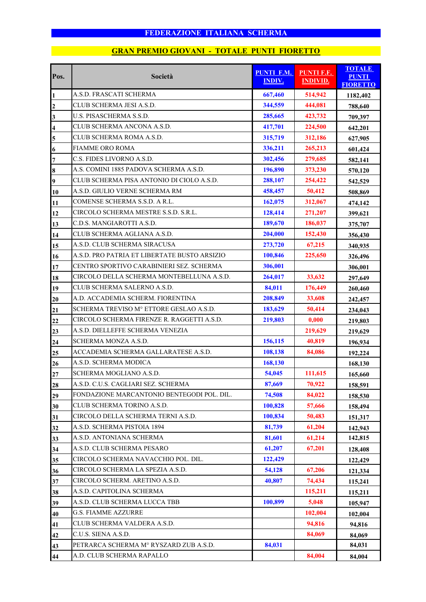| Pos.                    | Società                                      | <b>PUNTI F.M.</b><br><b>INDIV.</b> | <b>PUNTI F.F.</b><br><b>INDIVID.</b> | <b>TOTALE</b><br><b>PUNTI</b><br><b>FIORETTO</b> |
|-------------------------|----------------------------------------------|------------------------------------|--------------------------------------|--------------------------------------------------|
| $\mathbf{1}$            | A.S.D. FRASCATI SCHERMA                      | 667,460                            | 514,942                              | 1182,402                                         |
| $\overline{2}$          | CLUB SCHERMA JESI A.S.D.                     | 344,559                            | 444,081                              | 788,640                                          |
| $\overline{\mathbf{3}}$ | U.S. PISASCHERMA S.S.D.                      | 285,665                            | 423,732                              | 709,397                                          |
| $\overline{\mathbf{4}}$ | CLUB SCHERMA ANCONA A.S.D.                   | 417,701                            | 224,500                              | 642,201                                          |
| 5                       | CLUB SCHERMA ROMA A.S.D.                     | 315,719                            | 312,186                              | 627,905                                          |
| $\boldsymbol{6}$        | <b>FIAMME ORO ROMA</b>                       | 336,211                            | 265,213                              | 601,424                                          |
| $\overline{7}$          | C.S. FIDES LIVORNO A.S.D.                    | 302,456                            | 279,685                              | 582,141                                          |
| 8                       | A.S. COMINI 1885 PADOVA SCHERMA A.S.D.       | 196,890                            | 373,230                              | 570,120                                          |
| $\overline{\mathbf{9}}$ | CLUB SCHERMA PISA ANTONIO DI CIOLO A.S.D.    | 288,107                            | 254,422                              | 542,529                                          |
| 10                      | A.S.D. GIULIO VERNE SCHERMA RM               | 458,457                            | 50,412                               | 508,869                                          |
| 11                      | COMENSE SCHERMA S.S.D. A R.L.                | 162,075                            | 312,067                              | 474,142                                          |
| 12                      | CIRCOLO SCHERMA MESTRE S.S.D. S.R.L.         | 128,414                            | 271,207                              | 399,621                                          |
| 13                      | C.D.S. MANGIAROTTI A.S.D.                    | 189,670                            | 186,037                              | 375,707                                          |
| 14                      | CLUB SCHERMA AGLIANA A.S.D.                  | 204,000                            | 152,430                              | 356,430                                          |
| 15                      | A.S.D. CLUB SCHERMA SIRACUSA                 | 273,720                            | 67,215                               | 340,935                                          |
| 16                      | A.S.D. PRO PATRIA ET LIBERTATE BUSTO ARSIZIO | 100,846                            | 225,650                              | 326,496                                          |
| 17                      | CENTRO SPORTIVO CARABINIERI SEZ. SCHERMA     | 306,001                            |                                      | 306,001                                          |
| 18                      | CIRCOLO DELLA SCHERMA MONTEBELLUNA A.S.D.    | 264,017                            | 33,632                               | 297,649                                          |
| 19                      | CLUB SCHERMA SALERNO A.S.D.                  | 84,011                             | 176,449                              | 260,460                                          |
| 20                      | A.D. ACCADEMIA SCHERM. FIORENTINA            | 208,849                            | 33,608                               | 242,457                                          |
| 21                      | SCHERMA TREVISO Mº ETTORE GESLAO A.S.D.      | 183,629                            | 50,414                               | 234,043                                          |
| 22                      | CIRCOLO SCHERMA FIRENZE R. RAGGETTI A.S.D.   | 219,803                            | 0,000                                | 219,803                                          |
| 23                      | A.S.D. DIELLEFFE SCHERMA VENEZIA             |                                    | 219,629                              | 219,629                                          |
| 24                      | SCHERMA MONZA A.S.D.                         | 156,115                            | 40,819                               | 196,934                                          |
| 25                      | ACCADEMIA SCHERMA GALLARATESE A.S.D.         | 108,138                            | 84,086                               | 192,224                                          |
| 26                      | A.S.D. SCHERMA MODICA                        | 168,130                            |                                      | 168,130                                          |
| 27                      | SCHERMA MOGLIANO A.S.D.                      | 54,045                             | 111,615                              | 165,660                                          |
| 28                      | A.S.D. C.U.S. CAGLIARI SEZ. SCHERMA          | 87,669                             | 70,922                               | 158,591                                          |
| 29                      | FONDAZIONE MARCANTONIO BENTEGODI POL. DIL.   | 74,508                             | 84,022                               | 158,530                                          |
| 30                      | CLUB SCHERMA TORINO A.S.D.                   | 100,828                            | 57,666                               | 158,494                                          |
| 31                      | CIRCOLO DELLA SCHERMA TERNI A.S.D.           | 100,834                            | 50,483                               | 151,317                                          |
| 32                      | A.S.D. SCHERMA PISTOIA 1894                  | 81,739                             | 61,204                               | 142,943                                          |
| 33                      | A.S.D. ANTONIANA SCHERMA                     | 81,601                             | 61,214                               | 142,815                                          |
| 34                      | A.S.D. CLUB SCHERMA PESARO                   | 61,207                             | 67,201                               | 128,408                                          |
| 35                      | CIRCOLO SCHERMA NAVACCHIO POL. DIL.          | 122,429                            |                                      | 122,429                                          |
| 36                      | CIRCOLO SCHERMA LA SPEZIA A.S.D.             | 54,128                             | 67,206                               | 121,334                                          |
| 37                      | CIRCOLO SCHERM. ARETINO A.S.D.               | 40,807                             | 74,434                               | 115,241                                          |
| 38                      | A.S.D. CAPITOLINA SCHERMA                    |                                    | 115,211                              | 115,211                                          |
| 39                      | A.S.D. CLUB SCHERMA LUCCA TBB                | 100,899                            | 5,048                                | 105,947                                          |
| 40                      | G.S. FIAMME AZZURRE                          |                                    | 102,004                              | 102,004                                          |
| 41                      | CLUB SCHERMA VALDERA A.S.D.                  |                                    | 94,816                               | 94,816                                           |
| 42                      | C.U.S. SIENA A.S.D.                          |                                    | 84,069                               | 84,069                                           |
| 43                      | PETRARCA SCHERMA Mº RYSZARD ZUB A.S.D.       | 84,031                             |                                      | 84,031                                           |
| 44                      | A.D. CLUB SCHERMA RAPALLO                    |                                    | 84,004                               | 84,004                                           |

### **GRAN PREMIO GIOVANI - TOTALE PUNTI FIORETTO**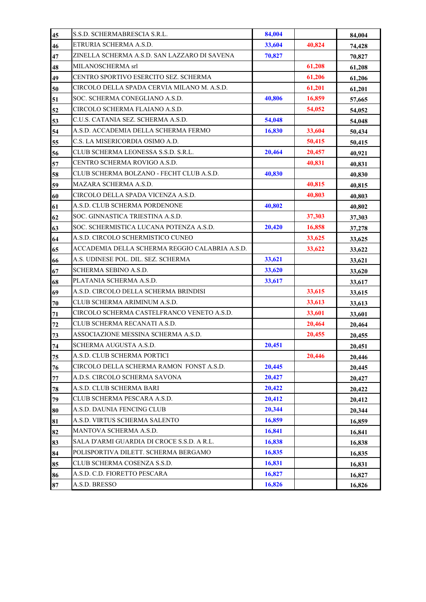| 45 | S.S.D. SCHERMABRESCIA S.R.L.                   | 84,004 |        | 84,004 |
|----|------------------------------------------------|--------|--------|--------|
| 46 | ETRURIA SCHERMA A.S.D.                         | 33,604 | 40,824 | 74,428 |
| 47 | ZINELLA SCHERMA A.S.D. SAN LAZZARO DI SAVENA   | 70,827 |        | 70,827 |
| 48 | MILANOSCHERMA srl                              |        | 61,208 | 61,208 |
| 49 | CENTRO SPORTIVO ESERCITO SEZ. SCHERMA          |        | 61,206 | 61,206 |
| 50 | CIRCOLO DELLA SPADA CERVIA MILANO M. A.S.D.    |        | 61,201 | 61,201 |
| 51 | SOC. SCHERMA CONEGLIANO A.S.D.                 | 40.806 | 16,859 | 57,665 |
| 52 | CIRCOLO SCHERMA FLAIANO A.S.D.                 |        | 54,052 | 54,052 |
| 53 | C.U.S. CATANIA SEZ. SCHERMA A.S.D.             | 54,048 |        | 54,048 |
| 54 | A.S.D. ACCADEMIA DELLA SCHERMA FERMO           | 16,830 | 33,604 | 50,434 |
| 55 | C.S. LA MISERICORDIA OSIMO A.D.                |        | 50,415 | 50,415 |
| 56 | CLUB SCHERMA LEONESSA S.S.D. S.R.L.            | 20,464 | 20,457 | 40,921 |
| 57 | CENTRO SCHERMA ROVIGO A.S.D.                   |        | 40,831 | 40,831 |
| 58 | CLUB SCHERMA BOLZANO - FECHT CLUB A.S.D.       | 40,830 |        | 40,830 |
| 59 | MAZARA SCHERMA A.S.D.                          |        | 40,815 | 40,815 |
| 60 | CIRCOLO DELLA SPADA VICENZA A.S.D.             |        | 40,803 | 40,803 |
| 61 | A.S.D. CLUB SCHERMA PORDENONE                  | 40,802 |        | 40,802 |
| 62 | SOC. GINNASTICA TRIESTINA A.S.D.               |        | 37,303 | 37,303 |
| 63 | SOC. SCHERMISTICA LUCANA POTENZA A.S.D.        | 20,420 | 16,858 | 37,278 |
| 64 | A.S.D. CIRCOLO SCHERMISTICO CUNEO              |        | 33,625 | 33,625 |
| 65 | ACCADEMIA DELLA SCHERMA REGGIO CALABRIA A.S.D. |        | 33,622 | 33,622 |
| 66 | A.S. UDINESE POL. DIL. SEZ. SCHERMA            | 33,621 |        | 33,621 |
| 67 | SCHERMA SEBINO A.S.D.                          | 33,620 |        | 33,620 |
| 68 | PLATANIA SCHERMA A.S.D.                        | 33,617 |        | 33,617 |
| 69 | A.S.D. CIRCOLO DELLA SCHERMA BRINDISI          |        | 33,615 | 33,615 |
| 70 | CLUB SCHERMA ARIMINUM A.S.D.                   |        | 33,613 | 33,613 |
| 71 | CIRCOLO SCHERMA CASTELFRANCO VENETO A.S.D.     |        | 33,601 | 33,601 |
| 72 | CLUB SCHERMA RECANATI A.S.D.                   |        | 20,464 | 20,464 |
| 73 | ASSOCIAZIONE MESSINA SCHERMA A.S.D.            |        | 20,455 | 20,455 |
| 74 | SCHERMA AUGUSTA A.S.D.                         | 20,451 |        | 20,451 |
| 75 | A.S.D. CLUB SCHERMA PORTICI                    |        | 20,446 | 20,446 |
| 76 | CIRCOLO DELLA SCHERMA RAMON FONST A.S.D.       | 20,445 |        | 20,445 |
| 77 | A.D.S. CIRCOLO SCHERMA SAVONA                  | 20,427 |        | 20,427 |
| 78 | A.S.D. CLUB SCHERMA BARI                       | 20,422 |        | 20,422 |
| 79 | CLUB SCHERMA PESCARA A.S.D.                    | 20,412 |        | 20,412 |
| 80 | A.S.D. DAUNIA FENCING CLUB                     | 20,344 |        | 20,344 |
| 81 | A.S.D. VIRTUS SCHERMA SALENTO                  | 16,859 |        | 16,859 |
| 82 | MANTOVA SCHERMA A.S.D.                         | 16,841 |        | 16,841 |
| 83 | SALA D'ARMI GUARDIA DI CROCE S.S.D. A R.L.     | 16,838 |        | 16,838 |
| 84 | POLISPORTIVA DILETT. SCHERMA BERGAMO           | 16,835 |        | 16,835 |
| 85 | CLUB SCHERMA COSENZA S.S.D.                    | 16,831 |        | 16,831 |
| 86 | A.S.D. C.D. FIORETTO PESCARA                   | 16,827 |        | 16,827 |
| 87 | A.S.D. BRESSO                                  | 16,826 |        | 16,826 |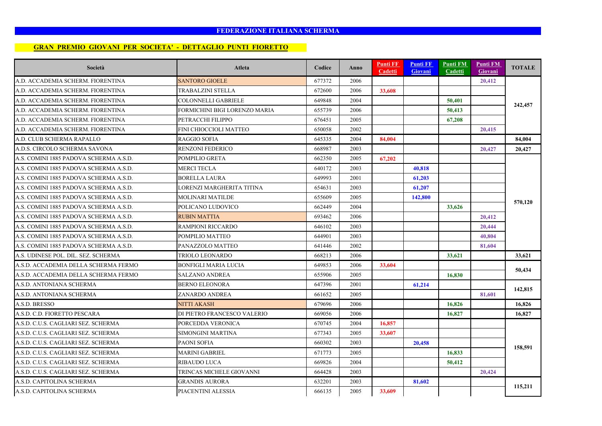#### **GRAN PREMIO GIOVANI PER SOCIETA' - DETTAGLIO PUNTI FIORETTO**

| Società                                | Atleta                        | Codice | Anno | <b>Punti FF</b><br>Cadetti | <b>Punti FF</b><br><b>Giovani</b> | <b>Punti FM</b><br><b>Cadetti</b> | Punti FM<br>Giovani | <b>TOTALE</b> |
|----------------------------------------|-------------------------------|--------|------|----------------------------|-----------------------------------|-----------------------------------|---------------------|---------------|
| A.D. ACCADEMIA SCHERM. FIORENTINA      | <b>SANTORO GIOELE</b>         | 677372 | 2006 |                            |                                   |                                   | 20,412              |               |
| A.D. ACCADEMIA SCHERM. FIORENTINA      | TRABALZINI STELLA             | 672600 | 2006 | 33,608                     |                                   |                                   |                     |               |
| A.D. ACCADEMIA SCHERM. FIORENTINA      | COLONNELLI GABRIELE           | 649848 | 2004 |                            |                                   | 50,401                            |                     |               |
| A.D. ACCADEMIA SCHERM. FIORENTINA      | FORMICHINI BIGI LORENZO MARIA | 655739 | 2006 |                            |                                   | 50,413                            |                     | 242,457       |
| A.D. ACCADEMIA SCHERM. FIORENTINA      | PETRACCHI FILIPPO             | 676451 | 2005 |                            |                                   | 67,208                            |                     |               |
| A.D. ACCADEMIA SCHERM. FIORENTINA      | FINI CHIOCCIOLI MATTEO        | 650058 | 2002 |                            |                                   |                                   | 20,415              |               |
| A.D. CLUB SCHERMA RAPALLO              | <b>RAGGIO SOFIA</b>           | 645335 | 2004 | 84,004                     |                                   |                                   |                     | 84,004        |
| A.D.S. CIRCOLO SCHERMA SAVONA          | <b>RENZONI FEDERICO</b>       | 668987 | 2003 |                            |                                   |                                   | 20,427              | 20.427        |
| A.S. COMINI 1885 PADOVA SCHERMA A.S.D. | POMPILIO GRETA                | 662350 | 2005 | 67,202                     |                                   |                                   |                     |               |
| A.S. COMINI 1885 PADOVA SCHERMA A.S.D. | <b>MERCI TECLA</b>            | 640172 | 2003 |                            | 40,818                            |                                   |                     |               |
| A.S. COMINI 1885 PADOVA SCHERMA A.S.D. | <b>BORELLA LAURA</b>          | 649993 | 2001 |                            | 61,203                            |                                   |                     | 570,120       |
| A.S. COMINI 1885 PADOVA SCHERMA A.S.D. | LORENZI MARGHERITA TITINA     | 654631 | 2003 |                            | 61,207                            |                                   |                     |               |
| A.S. COMINI 1885 PADOVA SCHERMA A.S.D. | <b>MOLINARI MATILDE</b>       | 655609 | 2005 |                            | 142,800                           |                                   |                     |               |
| A.S. COMINI 1885 PADOVA SCHERMA A.S.D. | POLICANO LUDOVICO             | 662449 | 2004 |                            |                                   | 33,626                            |                     |               |
| A.S. COMINI 1885 PADOVA SCHERMA A.S.D. | <b>RUBIN MATTIA</b>           | 693462 | 2006 |                            |                                   |                                   | 20,412              |               |
| A.S. COMINI 1885 PADOVA SCHERMA A.S.D. | <b>RAMPIONI RICCARDO</b>      | 646102 | 2003 |                            |                                   |                                   | 20,444              |               |
| A.S. COMINI 1885 PADOVA SCHERMA A.S.D. | POMPILIO MATTEO               | 644901 | 2003 |                            |                                   |                                   | 40.804              |               |
| A.S. COMINI 1885 PADOVA SCHERMA A.S.D. | PANAZZOLO MATTEO              | 641446 | 2002 |                            |                                   |                                   | 81,604              |               |
| A.S. UDINESE POL. DIL. SEZ. SCHERMA    | TRIOLO LEONARDO               | 668213 | 2006 |                            |                                   | 33,621                            |                     | 33,621        |
| A.S.D. ACCADEMIA DELLA SCHERMA FERMO   | <b>BONFIGLI MARIA LUCIA</b>   | 649853 | 2006 | 33,604                     |                                   |                                   |                     |               |
| A.S.D. ACCADEMIA DELLA SCHERMA FERMO   | SALZANO ANDREA                | 655906 | 2005 |                            |                                   | 16,830                            |                     | 50,434        |
| A.S.D. ANTONIANA SCHERMA               | <b>BERNO ELEONORA</b>         | 647396 | 2001 |                            | 61,214                            |                                   |                     |               |
| A.S.D. ANTONIANA SCHERMA               | ZANARDO ANDREA                | 661652 | 2005 |                            |                                   |                                   | 81,601              | 142,815       |
| A.S.D. BRESSO                          | <b>NITTI AKASH</b>            | 679696 | 2006 |                            |                                   | 16,826                            |                     | 16,826        |
| A.S.D. C.D. FIORETTO PESCARA           | DI PIETRO FRANCESCO VALERIO   | 669056 | 2006 |                            |                                   | 16,827                            |                     | 16.827        |
| A.S.D. C.U.S. CAGLIARI SEZ. SCHERMA    | PORCEDDA VERONICA             | 670745 | 2004 | 16,857                     |                                   |                                   |                     |               |
| A.S.D. C.U.S. CAGLIARI SEZ. SCHERMA    | SIMONGINI MARTINA             | 677343 | 2005 | 33,607                     |                                   |                                   |                     |               |
| A.S.D. C.U.S. CAGLIARI SEZ. SCHERMA    | PAONI SOFIA                   | 660302 | 2003 |                            | 20,458                            |                                   |                     |               |
| A.S.D. C.U.S. CAGLIARI SEZ. SCHERMA    | MARINI GABRIEL                | 671773 | 2005 |                            |                                   | 16,833                            |                     | 158,591       |
| A.S.D. C.U.S. CAGLIARI SEZ. SCHERMA    | <b>RIBAUDO LUCA</b>           | 669826 | 2004 |                            |                                   | 50,412                            |                     |               |
| A.S.D. C.U.S. CAGLIARI SEZ. SCHERMA    | TRINCAS MICHELE GIOVANNI      | 664428 | 2003 |                            |                                   |                                   | 20,424              |               |
| A.S.D. CAPITOLINA SCHERMA              | <b>GRANDIS AURORA</b>         | 632201 | 2003 |                            | 81,602                            |                                   |                     | 115,211       |
| A.S.D. CAPITOLINA SCHERMA              | PIACENTINI ALESSIA            | 666135 | 2005 | 33,609                     |                                   |                                   |                     |               |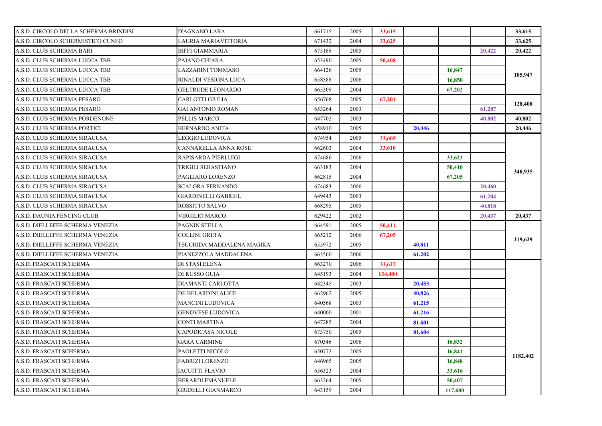| A.S.D. CIRCOLO DELLA SCHERMA BRINDISI | <b>D'AGNANO LARA</b>       | 661715 | 2005 | 33,615  |        |        |        | 33,615   |
|---------------------------------------|----------------------------|--------|------|---------|--------|--------|--------|----------|
| A.S.D. CIRCOLO SCHERMISTICO CUNEO     | LAURIA MARIAVITTORIA       | 671432 | 2004 | 33,625  |        |        |        | 33,625   |
| A.S.D. CLUB SCHERMA BARI              | <b>BIFFI GIAMMARIA</b>     | 675188 | 2005 |         |        |        | 20,422 | 20,422   |
| A.S.D. CLUB SCHERMA LUCCA TBB         | PAIANO CHIARA              | 653490 | 2005 | 50,408  |        |        |        |          |
| A.S.D. CLUB SCHERMA LUCCA TBB         | <b>LAZZARINI TOMMASO</b>   | 664126 | 2005 |         |        | 16,847 |        | 105,947  |
| A.S.D. CLUB SCHERMA LUCCA TBB         | RINALDI VESIGNA LUCA       | 658388 | 2006 |         |        | 16,850 |        |          |
| A.S.D. CLUB SCHERMA LUCCA TBB         | <b>GELTRUDE LEONARDO</b>   | 665309 | 2004 |         |        | 67,202 |        |          |
| A.S.D. CLUB SCHERMA PESARO            | <b>CARLOTTI GIULIA</b>     | 656768 | 2005 | 67,201  |        |        |        | 128,408  |
| A.S.D. CLUB SCHERMA PESARO            | <b>GAI ANTONIO ROMAN</b>   | 653264 | 2003 |         |        |        | 61,207 |          |
| A.S.D. CLUB SCHERMA PORDENONE         | PELLIS MARCO               | 647702 | 2003 |         |        |        | 40.802 | 40,802   |
| A.S.D. CLUB SCHERMA PORTICI           | <b>BERNARDO ANITA</b>      | 658910 | 2005 |         | 20,446 |        |        | 20,446   |
| A.S.D. CLUB SCHERMA SIRACUSA          | <b>LEGGIO LUDOVICA</b>     | 674954 | 2005 | 33,605  |        |        |        |          |
| A.S.D. CLUB SCHERMA SIRACUSA          | CANNARELLA ANNA ROSE       | 662603 | 2004 | 33,610  |        |        |        |          |
| A.S.D. CLUB SCHERMA SIRACUSA          | RAPISARDA PIERLUIGI        | 674686 | 2006 |         |        | 33,623 |        |          |
| A.S.D. CLUB SCHERMA SIRACUSA          | TRIGILI SEBASTIANO         | 663183 | 2004 |         |        | 50,410 |        |          |
| A.S.D. CLUB SCHERMA SIRACUSA          | PAGLIARO LORENZO           | 662815 | 2004 |         |        | 67,205 |        | 340,935  |
| A.S.D. CLUB SCHERMA SIRACUSA          | <b>SCALORA FERNANDO</b>    | 674683 | 2006 |         |        |        | 20,460 |          |
| A.S.D. CLUB SCHERMA SIRACUSA          | <b>GIARDINELLI GABRIEL</b> | 649443 | 2003 |         |        |        | 61,204 |          |
| A.S.D. CLUB SCHERMA SIRACUSA          | ROSSITTO SALVO             | 668295 | 2005 |         |        |        | 40,818 |          |
| A.S.D. DAUNIA FENCING CLUB            | VIRGILIO MARCO             | 629422 | 2002 |         |        |        | 20,437 | 20,437   |
| A.S.D. DIELLEFFE SCHERMA VENEZIA      | <b>PAGNIN STELLA</b>       | 664591 | 2005 | 50,411  |        |        |        |          |
| A.S.D. DIELLEFFE SCHERMA VENEZIA      | COLLINI GRETA              | 665212 | 2006 | 67,205  |        |        |        | 219,629  |
| A.S.D. DIELLEFFE SCHERMA VENEZIA      | TSUCHIDA MADDALENA MAGIKA  | 655972 | 2005 |         | 40,811 |        |        |          |
| A.S.D. DIELLEFFE SCHERMA VENEZIA      | PIANEZZOLA MADDALENA       | 663560 | 2006 |         | 61.202 |        |        |          |
| A.S.D. FRASCATI SCHERMA               | DI STASI ELENA             | 663270 | 2006 | 33.627  |        |        |        |          |
| A.S.D. FRASCATI SCHERMA               | DI RUSSO GUIA              | 645193 | 2004 |         |        |        |        |          |
|                                       |                            |        |      | 134,400 |        |        |        |          |
| A.S.D. FRASCATI SCHERMA               | DIAMANTI CARLOTTA          | 642345 | 2003 |         | 20,453 |        |        |          |
| A.S.D. FRASCATI SCHERMA               | DE BELARDINI ALICE         | 662962 | 2005 |         | 40,826 |        |        |          |
| A.S.D. FRASCATI SCHERMA               | <b>MANCINI LUDOVICA</b>    | 640568 | 2003 |         | 61,215 |        |        |          |
| A.S.D. FRASCATI SCHERMA               | <b>GENOVESE LUDOVICA</b>   | 640000 | 2001 |         | 61,216 |        |        |          |
| A.S.D. FRASCATI SCHERMA               | CONTI MARTINA              | 647285 | 2004 |         | 81,601 |        |        |          |
| A.S.D. FRASCATI SCHERMA               | CAPODICASA NICOLE          | 673750 | 2005 |         | 81.604 |        |        |          |
| A.S.D. FRASCATI SCHERMA               | <b>GARA CARMINE</b>        | 670346 | 2006 |         |        | 16,832 |        |          |
| A.S.D. FRASCATI SCHERMA               | PAOLETTI NICOLO'           | 650772 | 2005 |         |        | 16,841 |        |          |
| A.S.D. FRASCATI SCHERMA               | <b>FABRIZI LORENZO</b>     | 646965 | 2005 |         |        | 16,848 |        | 1182,402 |
| A.S.D. FRASCATI SCHERMA               | <b>IACUITTI FLAVIO</b>     | 656323 | 2004 |         |        | 33,616 |        |          |
| A.S.D. FRASCATI SCHERMA               | <b>BERARDI EMANUELE</b>    | 663264 | 2005 |         |        | 50,407 |        |          |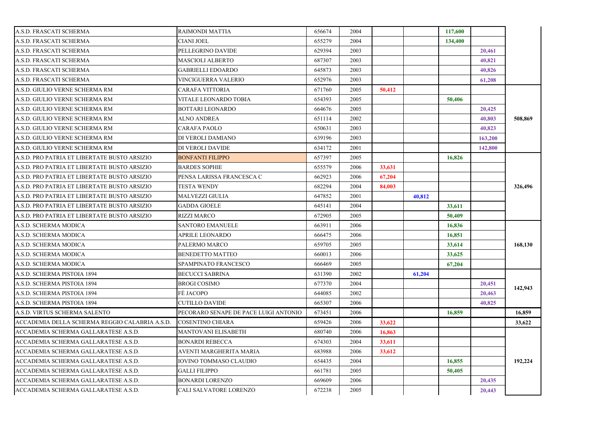| A.S.D. FRASCATI SCHERMA                        | <b>RAIMONDI MATTIA</b>                | 656674 | 2004 |        |        | 117,600 |         |         |
|------------------------------------------------|---------------------------------------|--------|------|--------|--------|---------|---------|---------|
| A.S.D. FRASCATI SCHERMA                        | CIANI JOEL                            | 655279 | 2004 |        |        | 134,400 |         |         |
| A.S.D. FRASCATI SCHERMA                        | PELLEGRINO DAVIDE                     | 629394 | 2003 |        |        |         | 20,461  |         |
| A.S.D. FRASCATI SCHERMA                        | <b>MASCIOLI ALBERTO</b>               | 687307 | 2003 |        |        |         | 40.821  |         |
| A.S.D. FRASCATI SCHERMA                        | <b>GABRIELLI EDOARDO</b>              | 645873 | 2003 |        |        |         | 40.826  |         |
| A.S.D. FRASCATI SCHERMA                        | VINCIGUERRA VALERIO                   | 652976 | 2003 |        |        |         | 61,208  |         |
| A.S.D. GIULIO VERNE SCHERMA RM                 | <b>CARAFA VITTORIA</b>                | 671760 | 2005 | 50,412 |        |         |         |         |
| A.S.D. GIULIO VERNE SCHERMA RM                 | VITALE LEONARDO TOBIA                 | 654393 | 2005 |        |        | 50,406  |         |         |
| A.S.D. GIULIO VERNE SCHERMA RM                 | <b>BOTTARI LEONARDO</b>               | 664676 | 2005 |        |        |         | 20,425  |         |
| A.S.D. GIULIO VERNE SCHERMA RM                 | ALNO ANDREA                           | 651114 | 2002 |        |        |         | 40,803  | 508,869 |
| A.S.D. GIULIO VERNE SCHERMA RM                 | <b>CARAFA PAOLO</b>                   | 650631 | 2003 |        |        |         | 40,823  |         |
| A.S.D. GIULIO VERNE SCHERMA RM                 | DI VEROLI DAMIANO                     | 639196 | 2003 |        |        |         | 163,200 |         |
| A.S.D. GIULIO VERNE SCHERMA RM                 | DI VEROLI DAVIDE                      | 634172 | 2001 |        |        |         | 142,800 |         |
| A.S.D. PRO PATRIA ET LIBERTATE BUSTO ARSIZIO   | <b>BONFANTI FILIPPO</b>               | 657397 | 2005 |        |        | 16,826  |         |         |
| A.S.D. PRO PATRIA ET LIBERTATE BUSTO ARSIZIO   | <b>BARDES SOPHIE</b>                  | 655579 | 2006 | 33,631 |        |         |         |         |
| A.S.D. PRO PATRIA ET LIBERTATE BUSTO ARSIZIO   | PENSA LARISSA FRANCESCA C             | 662923 | 2006 | 67,204 |        |         |         |         |
| A.S.D. PRO PATRIA ET LIBERTATE BUSTO ARSIZIO   | <b>TESTA WENDY</b>                    | 682294 | 2004 | 84,003 |        |         |         | 326,496 |
| A.S.D. PRO PATRIA ET LIBERTATE BUSTO ARSIZIO   | <b>MALVEZZI GIULIA</b>                | 647852 | 2001 |        | 40.812 |         |         |         |
| A.S.D. PRO PATRIA ET LIBERTATE BUSTO ARSIZIO   | <b>GADDA GIOELE</b>                   | 645141 | 2004 |        |        | 33,611  |         |         |
| A.S.D. PRO PATRIA ET LIBERTATE BUSTO ARSIZIO   | <b>RIZZI MARCO</b>                    | 672905 | 2005 |        |        | 50,409  |         |         |
| A.S.D. SCHERMA MODICA                          | <b>SANTORO EMANUELE</b>               | 663911 | 2006 |        |        | 16,836  |         |         |
| A.S.D. SCHERMA MODICA                          | <b>APRILE LEONARDO</b>                | 666475 | 2006 |        |        | 16,851  |         |         |
| A.S.D. SCHERMA MODICA                          | PALERMO MARCO                         | 659705 | 2005 |        |        | 33,614  |         | 168,130 |
| A.S.D. SCHERMA MODICA                          | <b>BENEDETTO MATTEO</b>               | 660013 | 2006 |        |        | 33,625  |         |         |
| A.S.D. SCHERMA MODICA                          | SPAMPINATO FRANCESCO                  | 666469 | 2005 |        |        | 67,204  |         |         |
| A.S.D. SCHERMA PISTOIA 1894                    | <b>BECUCCI SABRINA</b>                | 631390 | 2002 |        | 61.204 |         |         |         |
| A.S.D. SCHERMA PISTOIA 1894                    | <b>BROGI COSIMO</b>                   | 677370 | 2004 |        |        |         | 20,451  |         |
| A.S.D. SCHERMA PISTOIA 1894                    | FÉ JACOPO                             | 644085 | 2002 |        |        |         | 20,463  | 142,943 |
| A.S.D. SCHERMA PISTOIA 1894                    | <b>CUTILLO DAVIDE</b>                 | 665307 | 2006 |        |        |         | 40,825  |         |
| A.S.D. VIRTUS SCHERMA SALENTO                  | PECORARO SENAPE DE PACE LUIGI ANTONIO | 673451 | 2006 |        |        | 16,859  |         | 16,859  |
| ACCADEMIA DELLA SCHERMA REGGIO CALABRIA A.S.D. | <b>COSENTINO CHIARA</b>               | 659426 | 2006 | 33,622 |        |         |         | 33,622  |
| ACCADEMIA SCHERMA GALLARATESE A.S.D.           | <b>MANTOVANI ELISABETH</b>            | 680740 | 2006 | 16,863 |        |         |         |         |
|                                                |                                       |        |      |        |        |         |         |         |
| ACCADEMIA SCHERMA GALLARATESE A.S.D.           | <b>BONARDI REBECCA</b>                | 674303 | 2004 | 33,611 |        |         |         |         |
| ACCADEMIA SCHERMA GALLARATESE A.S.D.           | AVENTI MARGHERITA MARIA               | 683988 | 2006 | 33,612 |        |         |         |         |
| ACCADEMIA SCHERMA GALLARATESE A.S.D.           | <b>IOVINO TOMMASO CLAUDIO</b>         | 654435 | 2004 |        |        | 16,855  |         | 192,224 |
| ACCADEMIA SCHERMA GALLARATESE A.S.D.           | <b>GALLI FILIPPO</b>                  | 661781 | 2005 |        |        | 50,405  |         |         |
| ACCADEMIA SCHERMA GALLARATESE A.S.D.           | <b>BONARDI LORENZO</b>                | 669609 | 2006 |        |        |         | 20,435  |         |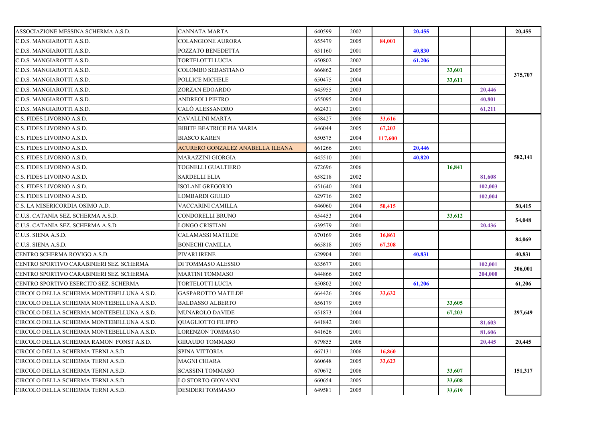| ASSOCIAZIONE MESSINA SCHERMA A.S.D.       | CANNATA MARTA                    | 640599 | 2002 |         | 20,455 |        |         | 20,455  |
|-------------------------------------------|----------------------------------|--------|------|---------|--------|--------|---------|---------|
| C.D.S. MANGIAROTTI A.S.D.                 | COLANGIONE AURORA                | 655479 | 2005 | 84.001  |        |        |         |         |
| C.D.S. MANGIAROTTI A.S.D.                 | POZZATO BENEDETTA                | 631160 | 2001 |         | 40,830 |        |         |         |
| C.D.S. MANGIAROTTI A.S.D.                 | TORTELOTTI LUCIA                 | 650802 | 2002 |         | 61,206 |        |         |         |
| C.D.S. MANGIAROTTI A.S.D.                 | COLOMBO SEBASTIANO               | 666862 | 2005 |         |        | 33,601 |         | 375,707 |
| C.D.S. MANGIAROTTI A.S.D.                 | POLLICE MICHELE                  | 650475 | 2004 |         |        | 33,611 |         |         |
| C.D.S. MANGIAROTTI A.S.D.                 | ZORZAN EDOARDO                   | 645955 | 2003 |         |        |        | 20,446  |         |
| C.D.S. MANGIAROTTI A.S.D.                 | ANDREOLI PIETRO                  | 655095 | 2004 |         |        |        | 40,801  |         |
| C.D.S. MANGIAROTTI A.S.D.                 | CALÓ ALESSANDRO                  | 662431 | 2001 |         |        |        | 61,211  |         |
| C.S. FIDES LIVORNO A.S.D.                 | <b>CAVALLINI MARTA</b>           | 658427 | 2006 | 33,616  |        |        |         |         |
| C.S. FIDES LIVORNO A.S.D.                 | BIBITE BEATRICE PIA MARIA        | 646044 | 2005 | 67,203  |        |        |         |         |
| C.S. FIDES LIVORNO A.S.D.                 | <b>BIASCO KAREN</b>              | 650575 | 2004 | 117,600 |        |        |         |         |
| C.S. FIDES LIVORNO A.S.D.                 | ACURERO GONZALEZ ANABELLA ILEANA | 661266 | 2001 |         | 20,446 |        |         |         |
| C.S. FIDES LIVORNO A.S.D.                 | MARAZZINI GIORGIA                | 645510 | 2001 |         | 40,820 |        |         | 582,141 |
| C.S. FIDES LIVORNO A.S.D.                 | TOGNELLI GUALTIERO               | 672696 | 2006 |         |        | 16,841 |         | 50,415  |
| C.S. FIDES LIVORNO A.S.D.                 | <b>SARDELLI ELIA</b>             | 658218 | 2002 |         |        |        | 81,608  |         |
| C.S. FIDES LIVORNO A.S.D.                 | ISOLANI GREGORIO                 | 651640 | 2004 |         |        |        | 102,003 |         |
| C.S. FIDES LIVORNO A.S.D.                 | LOMBARDI GIULIO                  | 629716 | 2002 |         |        |        | 102,004 |         |
| C.S. LA MISERICORDIA OSIMO A.D.           | VACCARINI CAMILLA                | 646060 | 2004 | 50,415  |        |        |         |         |
| C.U.S. CATANIA SEZ. SCHERMA A.S.D.        | CONDORELLI BRUNO                 | 654453 | 2004 |         |        | 33,612 |         | 54,048  |
| C.U.S. CATANIA SEZ. SCHERMA A.S.D.        | LONGO CRISTIAN                   | 639579 | 2001 |         |        |        | 20,436  |         |
| C.U.S. SIENA A.S.D.                       | CALAMASSI MATILDE                | 670169 | 2006 | 16,861  |        |        |         | 84,069  |
| C.U.S. SIENA A.S.D.                       | BONECHI CAMILLA                  | 665818 | 2005 | 67,208  |        |        |         |         |
| CENTRO SCHERMA ROVIGO A.S.D.              | PIVARI IRENE                     | 629904 | 2001 |         | 40,831 |        |         | 40.831  |
| CENTRO SPORTIVO CARABINIERI SEZ. SCHERMA  | DI TOMMASO ALESSIO               | 635677 | 2001 |         |        |        | 102,001 | 306,001 |
| CENTRO SPORTIVO CARABINIERI SEZ. SCHERMA  | MARTINI TOMMASO                  | 644866 | 2002 |         |        |        | 204,000 |         |
| CENTRO SPORTIVO ESERCITO SEZ. SCHERMA     | TORTELOTTI LUCIA                 | 650802 | 2002 |         | 61,206 |        |         | 61,206  |
| CIRCOLO DELLA SCHERMA MONTEBELLUNA A.S.D. | <b>GASPAROTTO MATILDE</b>        | 664426 | 2006 | 33,632  |        |        |         |         |
| CIRCOLO DELLA SCHERMA MONTEBELLUNA A.S.D. | <b>BALDASSO ALBERTO</b>          | 656179 | 2005 |         |        | 33,605 |         |         |
| CIRCOLO DELLA SCHERMA MONTEBELLUNA A.S.D. | MUNAROLO DAVIDE                  | 651873 | 2004 |         |        | 67,203 |         | 297,649 |
| CIRCOLO DELLA SCHERMA MONTEBELLUNA A.S.D. | OUAGLIOTTO FILIPPO               | 641842 | 2001 |         |        |        | 81,603  |         |
| CIRCOLO DELLA SCHERMA MONTEBELLUNA A.S.D. | LORENZON TOMMASO                 | 641626 | 2001 |         |        |        | 81,606  |         |
| CIRCOLO DELLA SCHERMA RAMON FONST A.S.D.  | <b>GIRAUDO TOMMASO</b>           | 679855 | 2006 |         |        |        | 20,445  | 20,445  |
| CIRCOLO DELLA SCHERMA TERNI A.S.D.        | SPINA VITTORIA                   | 667131 | 2006 | 16,860  |        |        |         |         |
| CIRCOLO DELLA SCHERMA TERNI A.S.D.        | MAGNI CHIARA                     | 660648 | 2005 | 33,623  |        |        |         |         |
| CIRCOLO DELLA SCHERMA TERNI A.S.D.        | SCASSINI TOMMASO                 | 670672 | 2006 |         |        | 33,607 |         | 151,317 |
| CIRCOLO DELLA SCHERMA TERNI A.S.D.        | LO STORTO GIOVANNI               | 660654 | 2005 |         |        | 33,608 |         |         |
| CIRCOLO DELLA SCHERMA TERNI A.S.D.        | <b>DESIDERI TOMMASO</b>          | 649581 | 2005 |         |        | 33,619 |         |         |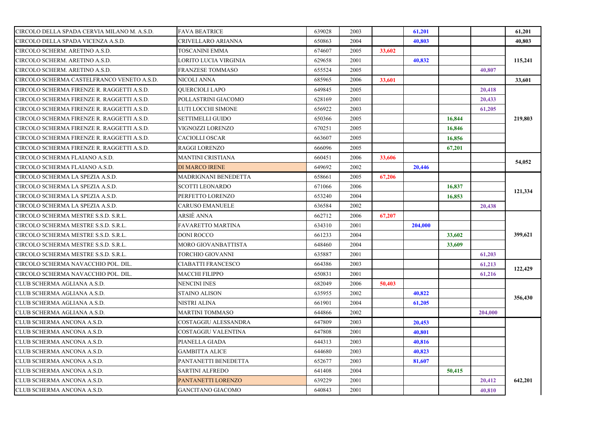| CIRCOLO DELLA SPADA CERVIA MILANO M. A.S.D. | <b>FAVA BEATRICE</b>     | 639028 | 2003 |        | 61,201  |        |         | 61,201  |
|---------------------------------------------|--------------------------|--------|------|--------|---------|--------|---------|---------|
| CIRCOLO DELLA SPADA VICENZA A.S.D.          | CRIVELLARO ARIANNA       | 650863 | 2004 |        | 40,803  |        |         | 40,803  |
| CIRCOLO SCHERM. ARETINO A.S.D.              | TOSCANINI EMMA           | 674607 | 2005 | 33,602 |         |        |         |         |
| CIRCOLO SCHERM. ARETINO A.S.D.              | LORITO LUCIA VIRGINIA    | 629658 | 2001 |        | 40.832  |        |         | 115,241 |
| CIRCOLO SCHERM. ARETINO A.S.D.              | FRANZESE TOMMASO         | 655524 | 2005 |        |         |        | 40.807  |         |
| CIRCOLO SCHERMA CASTELFRANCO VENETO A.S.D.  | NICOLI ANNA              | 685965 | 2006 | 33,601 |         |        |         | 33,601  |
| CIRCOLO SCHERMA FIRENZE R. RAGGETTI A.S.D.  | <b>OUERCIOLI LAPO</b>    | 649845 | 2005 |        |         |        | 20,418  |         |
| CIRCOLO SCHERMA FIRENZE R. RAGGETTI A.S.D.  | POLLASTRINI GIACOMO      | 628169 | 2001 |        |         |        | 20,433  |         |
| CIRCOLO SCHERMA FIRENZE R. RAGGETTI A.S.D.  | LUTI LOCCHI SIMONE       | 656922 | 2003 |        |         |        | 61,205  |         |
| CIRCOLO SCHERMA FIRENZE R. RAGGETTI A.S.D.  | SETTIMELLI GUIDO         | 650366 | 2005 |        |         | 16,844 |         | 219,803 |
| CIRCOLO SCHERMA FIRENZE R. RAGGETTI A.S.D.  | VIGNOZZI LORENZO         | 670251 | 2005 |        |         | 16,846 |         |         |
| CIRCOLO SCHERMA FIRENZE R. RAGGETTI A.S.D.  | <b>CACIOLLI OSCAR</b>    | 663607 | 2005 |        |         | 16,856 |         |         |
| CIRCOLO SCHERMA FIRENZE R. RAGGETTI A.S.D.  | <b>RAGGI LORENZO</b>     | 666096 | 2005 |        |         | 67,201 |         |         |
| CIRCOLO SCHERMA FLAIANO A.S.D.              | <b>MANTINI CRISTIANA</b> | 660451 | 2006 | 33,606 |         |        |         | 54,052  |
| CIRCOLO SCHERMA FLAIANO A.S.D.              | DI MARCO IRENE           | 649692 | 2002 |        | 20,446  |        |         |         |
| CIRCOLO SCHERMA LA SPEZIA A.S.D.            | MADRIGNANI BENEDETTA     | 658661 | 2005 | 67,206 |         |        |         |         |
| CIRCOLO SCHERMA LA SPEZIA A.S.D.            | <b>SCOTTI LEONARDO</b>   | 671066 | 2006 |        |         | 16,837 |         |         |
| CIRCOLO SCHERMA LA SPEZIA A.S.D.            | PERFETTO LORENZO         | 653240 | 2004 |        |         | 16,853 |         | 121,334 |
| CIRCOLO SCHERMA LA SPEZIA A.S.D.            | CARUSO EMANUELE          | 636584 | 2002 |        |         |        | 20,438  |         |
| CIRCOLO SCHERMA MESTRE S.S.D. S.R.L.        | ARSIÈ ANNA               | 662712 | 2006 | 67,207 |         |        |         |         |
| CIRCOLO SCHERMA MESTRE S.S.D. S.R.L.        | FAVARETTO MARTINA        | 634310 | 2001 |        | 204,000 |        |         |         |
| CIRCOLO SCHERMA MESTRE S.S.D. S.R.L.        | DONI ROCCO               | 661233 | 2004 |        |         | 33,602 |         | 399,621 |
| CIRCOLO SCHERMA MESTRE S.S.D. S.R.L.        | MORO GIOVANBATTISTA      | 648460 | 2004 |        |         | 33,609 |         |         |
| CIRCOLO SCHERMA MESTRE S.S.D. S.R.L.        | TORCHIO GIOVANNI         | 635887 | 2001 |        |         |        | 61,203  |         |
| CIRCOLO SCHERMA NAVACCHIO POL. DIL.         | CIABATTI FRANCESCO       | 664386 | 2003 |        |         |        | 61,213  |         |
| CIRCOLO SCHERMA NAVACCHIO POL. DIL.         | MACCHI FILIPPO           | 650831 | 2001 |        |         |        | 61,216  | 122,429 |
| CLUB SCHERMA AGLIANA A.S.D.                 | NENCINI INES             | 682049 | 2006 | 50,403 |         |        |         |         |
| CLUB SCHERMA AGLIANA A.S.D.                 | STAINO ALISON            | 635955 | 2002 |        | 40,822  |        |         |         |
| CLUB SCHERMA AGLIANA A.S.D.                 | NISTRI ALINA             | 661901 | 2004 |        | 61,205  |        |         | 356,430 |
| CLUB SCHERMA AGLIANA A.S.D.                 | MARTINI TOMMASO          | 644866 | 2002 |        |         |        | 204,000 |         |
| CLUB SCHERMA ANCONA A.S.D.                  | COSTAGGIU ALESSANDRA     | 647809 | 2003 |        | 20,453  |        |         |         |
| CLUB SCHERMA ANCONA A.S.D.                  | COSTAGGIU VALENTINA      | 647808 | 2001 |        | 40,801  |        |         |         |
| CLUB SCHERMA ANCONA A.S.D.                  | PIANELLA GIADA           | 644313 | 2003 |        | 40,816  |        |         |         |
| CLUB SCHERMA ANCONA A.S.D.                  | <b>GAMBITTA ALICE</b>    | 644680 | 2003 |        | 40,823  |        |         |         |
| CLUB SCHERMA ANCONA A.S.D.                  | PANTANETTI BENEDETTA     | 652677 | 2003 |        | 81,607  |        |         |         |
| CLUB SCHERMA ANCONA A.S.D.                  | SARTINI ALFREDO          | 641408 | 2004 |        |         | 50,415 |         |         |
| CLUB SCHERMA ANCONA A.S.D.                  | PANTANETTI LORENZO       | 639229 | 2001 |        |         |        | 20,412  | 642,201 |
| CLUB SCHERMA ANCONA A.S.D.                  | <b>GANCITANO GIACOMO</b> | 640843 | 2001 |        |         |        | 40.810  |         |
|                                             |                          |        |      |        |         |        |         |         |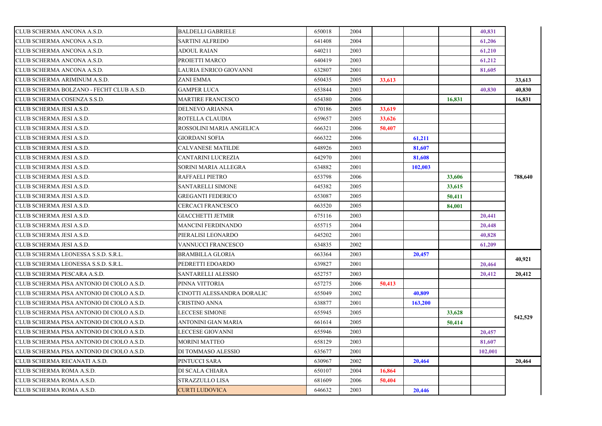| CLUB SCHERMA ANCONA A.S.D.                | <b>BALDELLI GABRIELE</b>   | 650018 | 2004 |        |         |        | 40,831  |         |
|-------------------------------------------|----------------------------|--------|------|--------|---------|--------|---------|---------|
| CLUB SCHERMA ANCONA A.S.D.                | SARTINI ALFREDO            | 641408 | 2004 |        |         |        | 61,206  |         |
| CLUB SCHERMA ANCONA A.S.D.                | ADOUL RAIAN                | 640211 | 2003 |        |         |        | 61,210  |         |
| CLUB SCHERMA ANCONA A.S.D.                | PROIETTI MARCO             | 640419 | 2003 |        |         |        | 61,212  |         |
| CLUB SCHERMA ANCONA A.S.D.                | LAURIA ENRICO GIOVANNI     | 632807 | 2001 |        |         |        | 81,605  |         |
| CLUB SCHERMA ARIMINUM A.S.D.              | <b>ZANI EMMA</b>           | 650435 | 2005 | 33,613 |         |        |         | 33,613  |
| CLUB SCHERMA BOLZANO - FECHT CLUB A.S.D.  | <b>GAMPER LUCA</b>         | 653844 | 2003 |        |         |        | 40,830  | 40,830  |
| CLUB SCHERMA COSENZA S.S.D.               | MARTIRE FRANCESCO          | 654380 | 2006 |        |         | 16,831 |         | 16,831  |
| CLUB SCHERMA JESI A.S.D.                  | DELNEVO ARIANNA            | 670186 | 2005 | 33,619 |         |        |         |         |
| CLUB SCHERMA JESI A.S.D.                  | ROTELLA CLAUDIA            | 659657 | 2005 | 33,626 |         |        |         |         |
| CLUB SCHERMA JESI A.S.D.                  | ROSSOLINI MARIA ANGELICA   | 666321 | 2006 | 50,407 |         |        |         |         |
| CLUB SCHERMA JESI A.S.D.                  | <b>GIORDANI SOFIA</b>      | 666322 | 2006 |        | 61,211  |        |         |         |
| CLUB SCHERMA JESI A.S.D.                  | <b>CALVANESE MATILDE</b>   | 648926 | 2003 |        | 81,607  |        |         |         |
| CLUB SCHERMA JESI A.S.D.                  | CANTARINI LUCREZIA         | 642970 | 2001 |        | 81,608  |        |         |         |
| CLUB SCHERMA JESI A.S.D.                  | SORINI MARIA ALLEGRA       | 634882 | 2001 |        | 102.003 |        |         |         |
| CLUB SCHERMA JESI A.S.D.                  | RAFFAELI PIETRO            | 653798 | 2006 |        |         | 33,606 |         | 788,640 |
| CLUB SCHERMA JESI A.S.D.                  | SANTARELLI SIMONE          | 645382 | 2005 |        |         | 33,615 |         |         |
| CLUB SCHERMA JESI A.S.D.                  | <b>GREGANTI FEDERICO</b>   | 653087 | 2005 |        |         | 50,411 |         |         |
| CLUB SCHERMA JESI A.S.D.                  | CERCACI FRANCESCO          | 663520 | 2005 |        |         | 84,001 |         |         |
| CLUB SCHERMA JESI A.S.D.                  | <b>GIACCHETTI JETMIR</b>   | 675116 | 2003 |        |         |        | 20,441  |         |
| CLUB SCHERMA JESI A.S.D.                  | <b>MANCINI FERDINANDO</b>  | 655715 | 2004 |        |         |        | 20,448  |         |
| CLUB SCHERMA JESI A.S.D.                  | PIERALISI LEONARDO         | 645202 | 2001 |        |         |        | 40,828  |         |
| CLUB SCHERMA JESI A.S.D.                  | VANNUCCI FRANCESCO         | 634835 | 2002 |        |         |        | 61,209  |         |
| CLUB SCHERMA LEONESSA S.S.D. S.R.L.       | <b>BRAMBILLA GLORIA</b>    | 663364 | 2003 |        | 20,457  |        |         |         |
| CLUB SCHERMA LEONESSA S.S.D. S.R.L.       | PEDRETTI EDOARDO           | 639827 | 2001 |        |         |        | 20,464  | 40,921  |
| CLUB SCHERMA PESCARA A.S.D.               | SANTARELLI ALESSIO         | 652757 | 2003 |        |         |        | 20,412  | 20.412  |
| CLUB SCHERMA PISA ANTONIO DI CIOLO A.S.D. | PINNA VITTORIA             | 657275 | 2006 | 50,413 |         |        |         |         |
| CLUB SCHERMA PISA ANTONIO DI CIOLO A.S.D. | CINOTTI ALESSANDRA DORALIC | 655049 | 2002 |        | 40,809  |        |         |         |
| CLUB SCHERMA PISA ANTONIO DI CIOLO A.S.D. | CRISTINO ANNA              | 638877 | 2001 |        | 163,200 |        |         |         |
| CLUB SCHERMA PISA ANTONIO DI CIOLO A.S.D. | LECCESE SIMONE             | 655945 | 2005 |        |         | 33,628 |         |         |
| CLUB SCHERMA PISA ANTONIO DI CIOLO A.S.D. | ANTONINI GIAN MARIA        | 661614 | 2005 |        |         | 50,414 |         | 542,529 |
| CLUB SCHERMA PISA ANTONIO DI CIOLO A.S.D. | <b>LECCESE GIOVANNI</b>    | 655946 | 2003 |        |         |        | 20,457  |         |
| CLUB SCHERMA PISA ANTONIO DI CIOLO A.S.D. | <b>MORINI MATTEO</b>       | 658129 | 2003 |        |         |        | 81,607  |         |
| CLUB SCHERMA PISA ANTONIO DI CIOLO A.S.D. | DI TOMMASO ALESSIO         | 635677 | 2001 |        |         |        | 102,001 |         |
| CLUB SCHERMA RECANATI A.S.D.              | PINTUCCI SARA              | 630967 | 2002 |        | 20,464  |        |         | 20,464  |
| CLUB SCHERMA ROMA A.S.D.                  | DI SCALA CHIARA            | 650107 | 2004 | 16,864 |         |        |         |         |
| CLUB SCHERMA ROMA A.S.D.                  | STRAZZULLO LISA            | 681609 | 2006 | 50,404 |         |        |         |         |
| CLUB SCHERMA ROMA A.S.D.                  | <b>CURTI LUDOVICA</b>      | 646632 | 2003 |        | 20,446  |        |         |         |
|                                           |                            |        |      |        |         |        |         |         |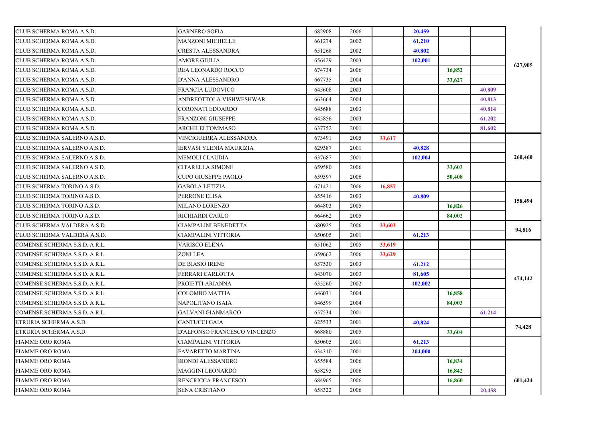| CLUB SCHERMA ROMA A.S.D.      | <b>GARNERO SOFIA</b>           | 682908 | 2006 |        | 20,459  |        |        |         |
|-------------------------------|--------------------------------|--------|------|--------|---------|--------|--------|---------|
| CLUB SCHERMA ROMA A.S.D.      | MANZONI MICHELLE               | 661274 | 2002 |        | 61,210  |        |        |         |
| CLUB SCHERMA ROMA A.S.D.      | CRESTA ALESSANDRA              | 651268 | 2002 |        | 40,802  |        |        |         |
| CLUB SCHERMA ROMA A.S.D.      | AMORE GIULIA                   | 656429 | 2003 |        | 102,001 |        |        | 627,905 |
| CLUB SCHERMA ROMA A.S.D.      | REA LEONARDO ROCCO             | 674734 | 2006 |        |         | 16,852 |        |         |
| CLUB SCHERMA ROMA A.S.D.      | D'ANNA ALESSANDRO              | 667735 | 2004 |        |         | 33,627 |        |         |
| CLUB SCHERMA ROMA A.S.D.      | FRANCIA LUDOVICO               | 645608 | 2003 |        |         |        | 40,809 |         |
| CLUB SCHERMA ROMA A.S.D.      | ANDREOTTOLA VISHWESHWAR        | 663664 | 2004 |        |         |        | 40,813 |         |
| CLUB SCHERMA ROMA A.S.D.      | CORONATI EDOARDO               | 645688 | 2003 |        |         |        | 40,814 |         |
| CLUB SCHERMA ROMA A.S.D.      | <b>FRANZONI GIUSEPPE</b>       | 645856 | 2003 |        |         |        | 61,202 |         |
| CLUB SCHERMA ROMA A.S.D.      | ARCHILEI TOMMASO               | 637752 | 2001 |        |         |        | 81,602 |         |
| CLUB SCHERMA SALERNO A.S.D.   | VINCIGUERRA ALESSANDRA         | 673491 | 2005 | 33,617 |         |        |        |         |
| CLUB SCHERMA SALERNO A.S.D.   | <b>IERVASI YLENIA MAURIZIA</b> | 629387 | 2001 |        | 40,828  |        |        |         |
| CLUB SCHERMA SALERNO A.S.D.   | <b>MEMOLI CLAUDIA</b>          | 637687 | 2001 |        | 102,004 |        |        | 260,460 |
| CLUB SCHERMA SALERNO A.S.D.   | CITARELLA SIMONE               | 659580 | 2006 |        |         | 33,603 |        |         |
| CLUB SCHERMA SALERNO A.S.D.   | <b>CUPO GIUSEPPE PAOLO</b>     | 659597 | 2006 |        |         | 50,408 |        |         |
| CLUB SCHERMA TORINO A.S.D.    | <b>GABOLA LETIZIA</b>          | 671421 | 2006 | 16,857 |         |        |        |         |
| CLUB SCHERMA TORINO A.S.D.    | PERRONE ELISA                  | 655416 | 2003 |        | 40,809  |        |        |         |
| CLUB SCHERMA TORINO A.S.D.    | MILANO LORENZO                 | 664803 | 2005 |        |         | 16,826 |        | 158,494 |
| CLUB SCHERMA TORINO A.S.D.    | RICHIARDI CARLO                | 664662 | 2005 |        |         | 84,002 |        |         |
| CLUB SCHERMA VALDERA A.S.D.   | CIAMPALINI BENEDETTA           | 680925 | 2006 | 33,603 |         |        |        | 94,816  |
| CLUB SCHERMA VALDERA A.S.D.   | CIAMPALINI VITTORIA            | 650605 | 2001 |        | 61,213  |        |        |         |
| COMENSE SCHERMA S.S.D. A R.L. | VARISCO ELENA                  | 651062 | 2005 | 33,619 |         |        |        |         |
| COMENSE SCHERMA S.S.D. A R.L. | ZONI LEA                       | 659662 | 2006 | 33,629 |         |        |        |         |
| COMENSE SCHERMA S.S.D. A R.L. | DE BIASIO IRENE                | 657530 | 2003 |        | 61,212  |        |        |         |
| COMENSE SCHERMA S.S.D. A R.L. | FERRARI CARLOTTA               | 643070 | 2003 |        | 81,605  |        |        | 474,142 |
| COMENSE SCHERMA S.S.D. A R.L. | PROJETTI ARIANNA               | 635260 | 2002 |        | 102,002 |        |        |         |
| COMENSE SCHERMA S.S.D. A R.L. | COLOMBO MATTIA                 | 646031 | 2004 |        |         | 16,858 |        |         |
| COMENSE SCHERMA S.S.D. A R.L. | NAPOLITANO ISAIA               | 646599 | 2004 |        |         | 84,003 |        |         |
| COMENSE SCHERMA S.S.D. A R.L. | <b>GALVANI GIANMARCO</b>       | 657534 | 2001 |        |         |        | 61,214 |         |
| ETRURIA SCHERMA A.S.D.        | <b>CANTUCCI GAIA</b>           | 625533 | 2001 |        | 40.824  |        |        | 74,428  |
| ETRURIA SCHERMA A.S.D.        | D'ALFONSO FRANCESCO VINCENZO   | 668880 | 2005 |        |         | 33,604 |        |         |
| <b>FIAMME ORO ROMA</b>        | CIAMPALINI VITTORIA            | 650605 | 2001 |        | 61,213  |        |        |         |
| <b>FIAMME ORO ROMA</b>        | <b>FAVARETTO MARTINA</b>       | 634310 | 2001 |        | 204,000 |        |        |         |
| <b>FIAMME ORO ROMA</b>        | <b>BIONDI ALESSANDRO</b>       | 655584 | 2006 |        |         | 16,834 |        |         |
| <b>FIAMME ORO ROMA</b>        | MAGGINI LEONARDO               | 658295 | 2006 |        |         | 16,842 |        |         |
| FIAMME ORO ROMA               | RENCRICCA FRANCESCO            | 684965 | 2006 |        |         | 16,860 |        | 601,424 |
| <b>FIAMME ORO ROMA</b>        | <b>SENA CRISTIANO</b>          | 658322 | 2006 |        |         |        | 20,458 |         |
|                               |                                |        |      |        |         |        |        |         |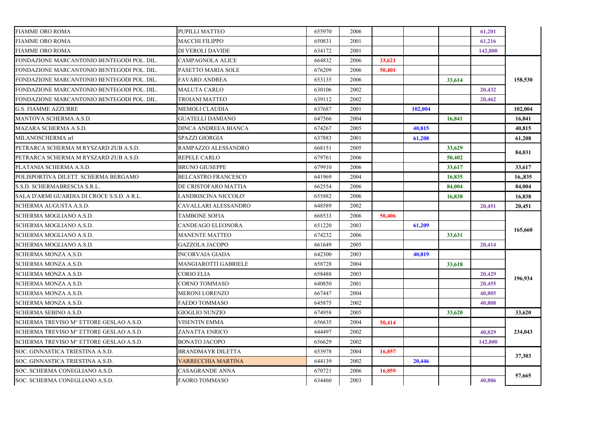| <b>FIAMME ORO ROMA</b>                     | PUPILLI MATTEO             | 655970 | 2006 |        |         |        | 61,201  |         |
|--------------------------------------------|----------------------------|--------|------|--------|---------|--------|---------|---------|
| <b>FIAMME ORO ROMA</b>                     | MACCHI FILIPPO             | 650831 | 2001 |        |         |        | 61,216  |         |
| <b>FIAMME ORO ROMA</b>                     | DI VEROLI DAVIDE           | 634172 | 2001 |        |         |        | 142,800 |         |
| FONDAZIONE MARCANTONIO BENTEGODI POL. DIL. | <b>CAMPAGNOLA ALICE</b>    | 664832 | 2006 | 33,621 |         |        |         |         |
| FONDAZIONE MARCANTONIO BENTEGODI POL. DIL. | PASETTO MARIA SOLE         | 676209 | 2006 | 50,401 |         |        |         |         |
| FONDAZIONE MARCANTONIO BENTEGODI POL. DIL. | <b>FAVARO ANDREA</b>       | 653135 | 2006 |        |         | 33,614 |         | 158,530 |
| FONDAZIONE MARCANTONIO BENTEGODI POL. DIL. | MALUTA CARLO               | 630106 | 2002 |        |         |        | 20,432  |         |
| FONDAZIONE MARCANTONIO BENTEGODI POL. DIL. | TROIANI MATTEO             | 639112 | 2002 |        |         |        | 20,462  |         |
| <b>G.S. FIAMME AZZURRE</b>                 | MEMOLI CLAUDIA             | 637687 | 2001 |        | 102,004 |        |         | 102,004 |
| MANTOVA SCHERMA A.S.D.                     | <b>GUATELLI DAMIANO</b>    | 647566 | 2004 |        |         | 16,841 |         | 16,841  |
| MAZARA SCHERMA A.S.D.                      | DINCA ANDREEA BIANCA       | 674267 | 2005 |        | 40,815  |        |         | 40,815  |
| MILANOSCHERMA srl                          | <b>SPAZZI GIORGIA</b>      | 637883 | 2001 |        | 61,208  |        |         | 61,208  |
| PETRARCA SCHERMA M RYSZARD ZUB A.S.D.      | RAMPAZZO ALESSANDRO        | 668151 | 2005 |        |         | 33,629 |         |         |
| PETRARCA SCHERMA M RYSZARD ZUB A.S.D.      | <b>REPELE CARLO</b>        | 679761 | 2006 |        |         | 50,402 |         | 84,031  |
| PLATANIA SCHERMA A.S.D.                    | <b>BRUNO GIUSEPPE</b>      | 679910 | 2006 |        |         | 33,617 |         | 33,617  |
| POLISPORTIVA DILETT. SCHERMA BERGAMO       | <b>BELCASTRO FRANCESCO</b> | 641969 | 2004 |        |         | 16,835 |         | 16,,835 |
| S.S.D. SCHERMABRESCIA S.R.L.               | DE CRISTOFARO MATTIA       | 662554 | 2006 |        |         | 84,004 |         | 84,004  |
| SALA D'ARMI GUARDIA DI CROCE S.S.D. A R.L. | LANDRISCINA NICCOLO'       | 655882 | 2006 |        |         | 16,838 |         | 16,838  |
| SCHERMA AUGUSTA A.S.D.                     | CAVALLARI ALESSANDRO       | 648589 | 2002 |        |         |        | 20,451  | 20,451  |
| SCHERMA MOGLIANO A.S.D.                    | <b>TAMBONE SOFIA</b>       | 668533 | 2006 | 50,406 |         |        |         |         |
| SCHERMA MOGLIANO A.S.D.                    | CANDEAGO ELEONORA          | 651220 | 2003 |        | 61,209  |        |         |         |
| SCHERMA MOGLIANO A.S.D.                    | <b>MANENTE MATTEO</b>      | 674232 | 2006 |        |         | 33,631 |         | 165,660 |
| SCHERMA MOGLIANO A.S.D.                    | <b>GAZZOLA JACOPO</b>      | 661649 | 2005 |        |         |        | 20,414  |         |
| SCHERMA MONZA A.S.D.                       | <b>INCORVAIA GIADA</b>     | 642300 | 2003 |        | 40.819  |        |         |         |
| SCHERMA MONZA A.S.D.                       | MANGIAROTTI GABRIELE       | 658728 | 2004 |        |         | 33,618 |         |         |
| SCHERMA MONZA A.S.D.                       | <b>CORIO ELIA</b>          | 658488 | 2003 |        |         |        | 20,429  |         |
| SCHERMA MONZA A.S.D.                       | <b>CORNO TOMMASO</b>       | 640850 | 2001 |        |         |        | 20,455  | 196,934 |
| SCHERMA MONZA A.S.D.                       | <b>MERONI LORENZO</b>      | 667447 | 2004 |        |         |        | 40,805  |         |
| SCHERMA MONZA A.S.D.                       | <b>FAEDO TOMMASO</b>       | 645875 | 2002 |        |         |        | 40.808  |         |
| SCHERMA SEBINO A.S.D.                      | <b>GIOGLIO NUNZIO</b>      | 674958 | 2005 |        |         | 33,620 |         | 33.620  |
| SCHERMA TREVISO M° ETTORE GESLAO A.S.D.    | <b>VISENTIN EMMA</b>       | 656635 | 2004 | 50,414 |         |        |         |         |
| SCHERMA TREVISO Mº ETTORE GESLAO A.S.D.    | ZANATTA ENRICO             | 644497 | 2002 |        |         |        | 40.829  | 234,043 |
| SCHERMA TREVISO Mº ETTORE GESLAO A.S.D.    | <b>BONATO JACOPO</b>       | 656629 | 2002 |        |         |        | 142,800 |         |
| SOC. GINNASTICA TRIESTINA A.S.D.           | <b>BRANDMAYR DILETTA</b>   | 653978 | 2004 | 16,857 |         |        |         |         |
| SOC. GINNASTICA TRIESTINA A.S.D.           | <b>VARRECCHIA MARTINA</b>  | 644139 | 2002 |        | 20,446  |        |         | 37,303  |
| SOC. SCHERMA CONEGLIANO A.S.D.             | CASAGRANDE ANNA            | 670721 | 2006 | 16,859 |         |        |         |         |
| SOC. SCHERMA CONEGLIANO A.S.D.             | <b>FAORO TOMMASO</b>       | 634460 | 2003 |        |         |        | 40,806  | 57,665  |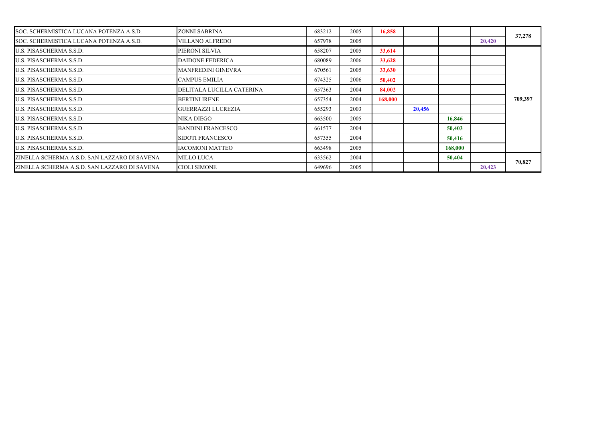| SOC. SCHERMISTICA LUCANA POTENZA A.S.D.      | ZONNI SABRINA             | 683212 | 2005 | 16.858  |        |         |        | 37,278  |
|----------------------------------------------|---------------------------|--------|------|---------|--------|---------|--------|---------|
| SOC. SCHERMISTICA LUCANA POTENZA A.S.D.      | VILLANO ALFREDO           | 657978 | 2005 |         |        |         | 20,420 |         |
| U.S. PISASCHERMA S.S.D.                      | PIERONI SILVIA            | 658207 | 2005 | 33,614  |        |         |        |         |
| U.S. PISASCHERMA S.S.D.                      | <b>DAIDONE FEDERICA</b>   | 680089 | 2006 | 33,628  |        |         |        |         |
| U.S. PISASCHERMA S.S.D.                      | MANFREDINI GINEVRA        | 670561 | 2005 | 33,630  |        |         |        |         |
| U.S. PISASCHERMA S.S.D.                      | <b>CAMPUS EMILIA</b>      | 674325 | 2006 | 50,402  |        |         |        |         |
| U.S. PISASCHERMA S.S.D.                      | DELITALA LUCILLA CATERINA | 657363 | 2004 | 84,002  |        |         |        |         |
| U.S. PISASCHERMA S.S.D.                      | <b>BERTINI IRENE</b>      | 657354 | 2004 | 168,000 |        |         |        | 709,397 |
| U.S. PISASCHERMA S.S.D.                      | <b>GUERRAZZI LUCREZIA</b> | 655293 | 2003 |         | 20,456 |         |        |         |
| U.S. PISASCHERMA S.S.D.                      | NIKA DIEGO                | 663500 | 2005 |         |        | 16,846  |        |         |
| U.S. PISASCHERMA S.S.D.                      | <b>BANDINI FRANCESCO</b>  | 661577 | 2004 |         |        | 50,403  |        |         |
| U.S. PISASCHERMA S.S.D.                      | <b>SIDOTI FRANCESCO</b>   | 657355 | 2004 |         |        | 50,416  |        |         |
| U.S. PISASCHERMA S.S.D.                      | <b>IACOMONI MATTEO</b>    | 663498 | 2005 |         |        | 168,000 |        |         |
| ZINELLA SCHERMA A.S.D. SAN LAZZARO DI SAVENA | <b>MILLO LUCA</b>         | 633562 | 2004 |         |        | 50,404  |        | 70,827  |
| ZINELLA SCHERMA A.S.D. SAN LAZZARO DI SAVENA | <b>CIOLI SIMONE</b>       | 649696 | 2005 |         |        |         | 20,423 |         |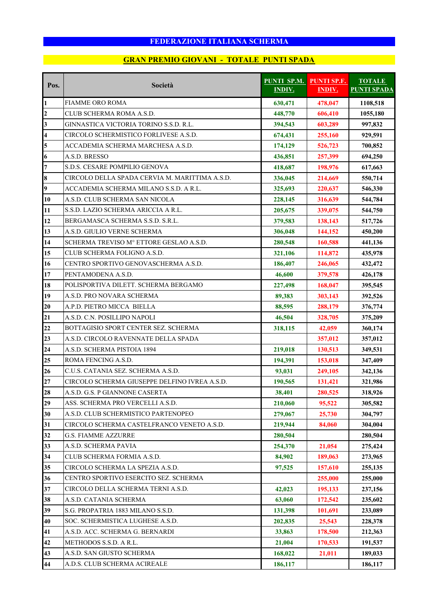# **GRAN PREMIO GIOVANI - TOTALE PUNTI SPADA**

| Pos.                    | Società                                        | <b>PUNTI SP.M.</b><br><b>INDIV.</b> | <b>PUNTI SP.F.</b><br><b>INDIV.</b> | <b>TOTALE</b><br><b>PUNTI SPADA</b> |
|-------------------------|------------------------------------------------|-------------------------------------|-------------------------------------|-------------------------------------|
| $\mathbf{1}$            | FIAMME ORO ROMA                                | 630,471                             | 478,047                             | 1108,518                            |
| $\overline{2}$          | CLUB SCHERMA ROMA A.S.D.                       | 448,770                             | 606,410                             | 1055,180                            |
| $\overline{\mathbf{3}}$ | GINNASTICA VICTORIA TORINO S.S.D. R.L.         | 394,543                             | 603,289                             | 997,832                             |
| $\overline{\mathbf{4}}$ | CIRCOLO SCHERMISTICO FORLIVESE A.S.D.          | 674,431                             | 255,160                             | 929,591                             |
| 5                       | ACCADEMIA SCHERMA MARCHESA A.S.D.              | 174,129                             | 526,723                             | 700,852                             |
| 6                       | A.S.D. BRESSO                                  | 436,851                             | 257,399                             | 694,250                             |
| $\overline{7}$          | S.D.S. CESARE POMPILIO GENOVA                  | 418,687                             | 198,976                             | 617,663                             |
| 8                       | CIRCOLO DELLA SPADA CERVIA M. MARITTIMA A.S.D. | 336,045                             | 214,669                             | 550,714                             |
| 9                       | ACCADEMIA SCHERMA MILANO S.S.D. A R.L.         | 325,693                             | 220,637                             | 546,330                             |
| 10                      | A.S.D. CLUB SCHERMA SAN NICOLA                 | 228,145                             | 316,639                             | 544,784                             |
| 11                      | S.S.D. LAZIO SCHERMA ARICCIA A R.L.            | 205,675                             | 339,075                             | 544,750                             |
| 12                      | BERGAMASCA SCHERMA S.S.D. S.R.L.               | 379,583                             | 138,143                             | 517,726                             |
| 13                      | A.S.D. GIULIO VERNE SCHERMA                    | 306,048                             | 144,152                             | 450,200                             |
| 14                      | SCHERMA TREVISO Mº ETTORE GESLAO A.S.D.        | 280,548                             | 160,588                             | 441,136                             |
| 15                      | CLUB SCHERMA FOLIGNO A.S.D.                    | 321,106                             | 114,872                             | 435,978                             |
| 16                      | CENTRO SPORTIVO GENOVASCHERMA A.S.D.           | 186,407                             | 246,065                             | 432,472                             |
| 17                      | PENTAMODENA A.S.D.                             | 46,600                              | 379,578                             | 426,178                             |
| 18                      | POLISPORTIVA DILETT. SCHERMA BERGAMO           | 227,498                             | 168,047                             | 395,545                             |
| 19                      | A.S.D. PRO NOVARA SCHERMA                      | 89,383                              | 303,143                             | 392,526                             |
| 20                      | A.P.D. PIETRO MICCA BIELLA                     | 88,595                              | 288,179                             | 376,774                             |
| 21                      | A.S.D. C.N. POSILLIPO NAPOLI                   | 46,504                              | 328,705                             | 375,209                             |
| 22                      | BOTTAGISIO SPORT CENTER SEZ. SCHERMA           | 318,115                             | 42,059                              | 360,174                             |
| 23                      | A.S.D. CIRCOLO RAVENNATE DELLA SPADA           |                                     | 357,012                             | 357,012                             |
| 24                      | A.S.D. SCHERMA PISTOIA 1894                    | 219,018                             | 130,513                             | 349,531                             |
| 25                      | ROMA FENCING A.S.D.                            | 194,391                             | 153,018                             | 347,409                             |
| 26                      | C.U.S. CATANIA SEZ. SCHERMA A.S.D.             | 93,031                              | 249,105                             | 342,136                             |
| 27                      | CIRCOLO SCHERMA GIUSEPPE DELFINO IVREA A.S.D.  | 190,565                             | 131,421                             | 321,986                             |
| 28                      | A.S.D. G.S. P GIANNONE CASERTA                 | 38,401                              | 280,525                             | 318,926                             |
| 29                      | ASS. SCHERMA PRO VERCELLI A.S.D.               | 210,060                             | 95,522                              | 305,582                             |
| 30                      | A.S.D. CLUB SCHERMISTICO PARTENOPEO            | 279,067                             | 25,730                              | 304,797                             |
| 31                      | CIRCOLO SCHERMA CASTELFRANCO VENETO A.S.D.     | 219,944                             | 84,060                              | 304,004                             |
| 32                      | <b>G.S. FIAMME AZZURRE</b>                     | 280,504                             |                                     | 280,504                             |
| 33                      | A.S.D. SCHERMA PAVIA                           | 254,370                             | 21,054                              | 275,424                             |
| 34                      | CLUB SCHERMA FORMIA A.S.D.                     | 84,902                              | 189,063                             | 273,965                             |
| 35                      | CIRCOLO SCHERMA LA SPEZIA A.S.D.               | 97,525                              | 157,610                             | 255,135                             |
| 36                      | CENTRO SPORTIVO ESERCITO SEZ. SCHERMA          |                                     | 255,000                             | 255,000                             |
| 37                      | CIRCOLO DELLA SCHERMA TERNI A.S.D.             | 42,023                              | 195,133                             | 237,156                             |
| 38                      | A.S.D. CATANIA SCHERMA                         | 63,060                              | 172,542                             | 235,602                             |
| 39                      | S.G. PROPATRIA 1883 MILANO S.S.D.              | 131,398                             | 101,691                             | 233,089                             |
| 40                      | SOC. SCHERMISTICA LUGHESE A.S.D.               | 202,835                             | 25,543                              | 228,378                             |
| 41                      | A.S.D. ACC. SCHERMA G. BERNARDI                | 33,863                              | 178,500                             | 212,363                             |
| 42                      | METHODOS S.S.D. A R.L.                         | 21,004                              | 170,533                             | 191,537                             |
| 43                      | A.S.D. SAN GIUSTO SCHERMA                      | 168,022                             | 21,011                              | 189,033                             |
| 44                      | A.D.S. CLUB SCHERMA ACIREALE                   | 186,117                             |                                     | 186,117                             |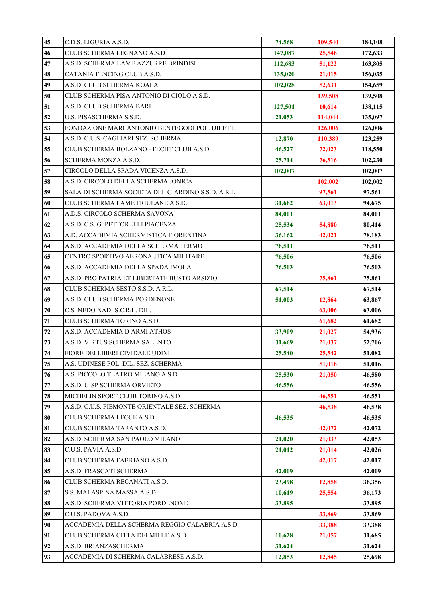| 45       | C.D.S. LIGURIA A.S.D.                                             | 74,568  | 109,540          | 184,108          |
|----------|-------------------------------------------------------------------|---------|------------------|------------------|
| 46       | CLUB SCHERMA LEGNANO A.S.D.                                       | 147,087 | 25,546           | 172,633          |
| 47       | A.S.D. SCHERMA LAME AZZURRE BRINDISI                              | 112,683 | 51,122           | 163,805          |
| 48       | CATANIA FENCING CLUB A.S.D.                                       | 135,020 | 21,015           | 156,035          |
| 49       | A.S.D. CLUB SCHERMA KOALA                                         | 102,028 | 52,631           | 154,659          |
| 50       | CLUB SCHERMA PISA ANTONIO DI CIOLO A.S.D.                         |         | 139,508          | 139,508          |
| 51       | A.S.D. CLUB SCHERMA BARI                                          | 127,501 | 10,614           | 138,115          |
| 52       | U.S. PISASCHERMA S.S.D.                                           | 21,053  | 114,044          | 135,097          |
| 53       | FONDAZIONE MARCANTONIO BENTEGODI POL. DILETT.                     |         | 126,006          | 126,006          |
| 54       | A.S.D. C.U.S. CAGLIARI SEZ. SCHERMA                               | 12,870  | 110,389          | 123,259          |
| 55       | CLUB SCHERMA BOLZANO - FECHT CLUB A.S.D.                          | 46,527  | 72,023           | 118,550          |
| 56       | SCHERMA MONZA A.S.D.                                              | 25,714  | 76,516           | 102,230          |
| 57       | CIRCOLO DELLA SPADA VICENZA A.S.D.                                | 102,007 |                  | 102,007          |
| 58       | A.S.D. CIRCOLO DELLA SCHERMA JONICA                               |         | 102,002          | 102,002          |
| 59       | SALA DI SCHERMA SOCIETA DEL GIARDINO S.S.D. A R.L.                |         | 97,561           | 97,561           |
| 60       | CLUB SCHERMA LAME FRIULANE A.S.D.                                 | 31,662  | 63,013           | 94,675           |
| 61       | A.D.S. CIRCOLO SCHERMA SAVONA                                     | 84,001  |                  | 84,001           |
| 62       | A.S.D. C.S. G. PETTORELLI PIACENZA                                | 25,534  | 54,880           | 80,414           |
| 63       | A.D. ACCADEMIA SCHERMISTICA FIORENTINA                            | 36,162  | 42,021           | 78,183           |
| 64       | A.S.D. ACCADEMIA DELLA SCHERMA FERMO                              | 76,511  |                  | 76,511           |
| 65       | CENTRO SPORTIVO AERONAUTICA MILITARE                              | 76,506  |                  | 76,506           |
| 66       | A.S.D. ACCADEMIA DELLA SPADA IMOLA                                | 76,503  |                  | 76,503           |
| 67       | A.S.D. PRO PATRIA ET LIBERTATE BUSTO ARSIZIO                      |         | 75,861           | 75,861           |
| 68<br>69 | CLUB SCHERMA SESTO S.S.D. A R.L.<br>A.S.D. CLUB SCHERMA PORDENONE | 67,514  |                  | 67,514           |
| 70       | C.S. NEDO NADI S.C.R.L. DIL.                                      | 51,003  | 12,864           | 63,867           |
| 71       | CLUB SCHERMA TORINO A.S.D.                                        |         | 63,006<br>61,682 | 63,006<br>61,682 |
| 72       | A.S.D. ACCADEMIA D ARMI ATHOS                                     | 33,909  | 21,027           | 54,936           |
| 73       | A.S.D. VIRTUS SCHERMA SALENTO                                     | 31,669  | 21,037           | 52,706           |
| 74       | FIORE DEI LIBERI CIVIDALE UDINE                                   | 25,540  | 25,542           | 51,082           |
| 75       | A.S. UDINESE POL. DIL. SEZ. SCHERMA                               |         | 51,016           | 51,016           |
| 76       | A.S. PICCOLO TEATRO MILANO A.S.D.                                 | 25,530  | 21,050           | 46,580           |
| 77       | A.S.D. UISP SCHERMA ORVIETO                                       | 46,556  |                  | 46,556           |
| 78       | MICHELIN SPORT CLUB TORINO A.S.D.                                 |         | 46,551           | 46,551           |
| 79       | A.S.D. C.U.S. PIEMONTE ORIENTALE SEZ. SCHERMA                     |         | 46,538           | 46,538           |
| 80       | CLUB SCHERMA LECCE A.S.D.                                         | 46,535  |                  | 46,535           |
| 81       | CLUB SCHERMA TARANTO A.S.D.                                       |         | 42,072           | 42,072           |
| 82       | A.S.D. SCHERMA SAN PAOLO MILANO                                   | 21,020  | 21,033           | 42,053           |
| 83       | C.U.S. PAVIA A.S.D.                                               | 21,012  | 21,014           | 42,026           |
| 84       | CLUB SCHERMA FABRIANO A.S.D.                                      |         | 42,017           | 42,017           |
| 85       | A.S.D. FRASCATI SCHERMA                                           | 42,009  |                  | 42,009           |
| 86       | CLUB SCHERMA RECANATI A.S.D.                                      | 23,498  | 12,858           | 36,356           |
| 87       | S.S. MALASPINA MASSA A.S.D.                                       | 10,619  | 25,554           | 36,173           |
| 88       | A.S.D. SCHERMA VITTORIA PORDENONE                                 | 33,895  |                  | 33,895           |
| 89       | C.U.S. PADOVA A.S.D.                                              |         | 33,869           | 33,869           |
| 90       | ACCADEMIA DELLA SCHERMA REGGIO CALABRIA A.S.D.                    |         | 33,388           | 33,388           |
| 91       | CLUB SCHERMA CITTA DEI MILLE A.S.D.                               | 10,628  | 21,057           | 31,685           |
| 92       | A.S.D. BRIANZASCHERMA                                             | 31,624  |                  | 31,624           |
| 93       | ACCADEMIA DI SCHERMA CALABRESE A.S.D.                             | 12,853  | 12,845           | 25,698           |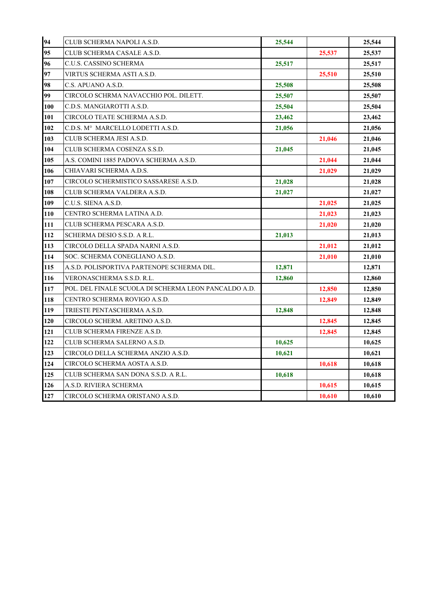| 94  | CLUB SCHERMA NAPOLI A.S.D.                           | 25,544 |        | 25,544 |
|-----|------------------------------------------------------|--------|--------|--------|
| 95  | CLUB SCHERMA CASALE A.S.D.                           |        | 25,537 | 25,537 |
| 96  | C.U.S. CASSINO SCHERMA                               | 25,517 |        | 25,517 |
| 97  | VIRTUS SCHERMA ASTI A.S.D.                           |        | 25,510 | 25,510 |
| 98  | C.S. APUANO A.S.D.                                   | 25,508 |        | 25,508 |
| 99  | CIRCOLO SCHRMA NAVACCHIO POL. DILETT.                | 25,507 |        | 25,507 |
| 100 | C.D.S. MANGIAROTTI A.S.D.                            | 25,504 |        | 25,504 |
| 101 | CIRCOLO TEATE SCHERMA A.S.D.                         | 23,462 |        | 23,462 |
| 102 | C.D.S. M°MARCELLO LODETTI A.S.D.                     | 21,056 |        | 21,056 |
| 103 | CLUB SCHERMA JESI A.S.D.                             |        | 21,046 | 21,046 |
| 104 | CLUB SCHERMA COSENZA S.S.D.                          | 21,045 |        | 21,045 |
| 105 | A.S. COMINI 1885 PADOVA SCHERMA A.S.D.               |        | 21,044 | 21,044 |
| 106 | CHIAVARI SCHERMA A.D.S.                              |        | 21,029 | 21,029 |
| 107 | CIRCOLO SCHERMISTICO SASSARESE A.S.D.                | 21,028 |        | 21,028 |
| 108 | CLUB SCHERMA VALDERA A.S.D.                          | 21,027 |        | 21,027 |
| 109 | C.U.S. SIENA A.S.D.                                  |        | 21,025 | 21,025 |
| 110 | CENTRO SCHERMA LATINA A.D.                           |        | 21,023 | 21,023 |
| 111 | CLUB SCHERMA PESCARA A.S.D.                          |        | 21,020 | 21,020 |
| 112 | SCHERMA DESIO S.S.D. A R.L.                          | 21,013 |        | 21,013 |
| 113 | CIRCOLO DELLA SPADA NARNI A.S.D.                     |        | 21,012 | 21,012 |
| 114 | SOC. SCHERMA CONEGLIANO A.S.D.                       |        | 21,010 | 21,010 |
| 115 | A.S.D. POLISPORTIVA PARTENOPE SCHERMA DIL.           | 12,871 |        | 12,871 |
| 116 | VERONASCHERMA S.S.D. R.L.                            | 12,860 |        | 12,860 |
| 117 | POL. DEL FINALE SCUOLA DI SCHERMA LEON PANCALDO A.D. |        | 12,850 | 12,850 |
| 118 | CENTRO SCHERMA ROVIGO A.S.D.                         |        | 12,849 | 12,849 |
| 119 | TRIESTE PENTASCHERMA A.S.D.                          | 12,848 |        | 12,848 |
| 120 | CIRCOLO SCHERM. ARETINO A.S.D.                       |        | 12,845 | 12,845 |
| 121 | CLUB SCHERMA FIRENZE A.S.D.                          |        | 12,845 | 12,845 |
| 122 | CLUB SCHERMA SALERNO A.S.D.                          | 10,625 |        | 10,625 |
| 123 | CIRCOLO DELLA SCHERMA ANZIO A.S.D.                   | 10,621 |        | 10,621 |
| 124 | CIRCOLO SCHERMA AOSTA A.S.D.                         |        | 10,618 | 10,618 |
| 125 | CLUB SCHERMA SAN DONA S.S.D. A R.L.                  | 10,618 |        | 10,618 |
| 126 | A.S.D. RIVIERA SCHERMA                               |        | 10,615 | 10,615 |
| 127 | CIRCOLO SCHERMA ORISTANO A.S.D.                      |        | 10,610 | 10,610 |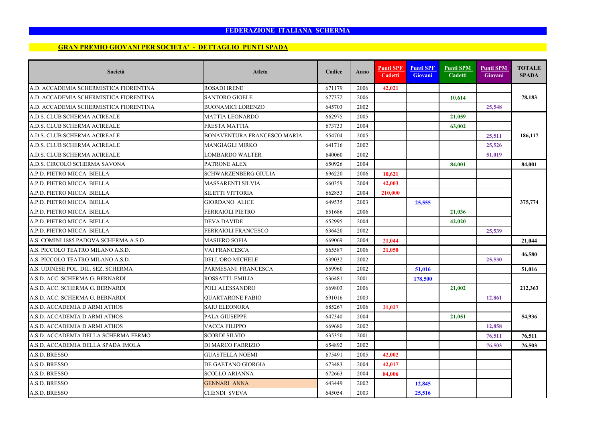#### **GRAN PREMIO GIOVANI PER SOCIETA' - DETTAGLIO PUNTI SPADA**

| Società                                | <b>Atleta</b>                      | Codice | Anno | <b>Punti SPF</b><br>Cadetti | <b>Punti SPF</b><br>Giovani | <b>Punti SPM</b><br>Cadetti | <b>Punti SPM</b><br>Giovani | <b>TOTALE</b><br><b>SPADA</b> |
|----------------------------------------|------------------------------------|--------|------|-----------------------------|-----------------------------|-----------------------------|-----------------------------|-------------------------------|
| A.D. ACCADEMIA SCHERMISTICA FIORENTINA | <b>ROSADI IRENE</b>                | 671179 | 2006 | 42,021                      |                             |                             |                             |                               |
| A.D. ACCADEMIA SCHERMISTICA FIORENTINA | <b>SANTORO GIOELE</b>              | 677372 | 2006 |                             |                             | 10,614                      |                             | 78,183                        |
| A.D. ACCADEMIA SCHERMISTICA FIORENTINA | <b>BUONAMICI LORENZO</b>           | 645703 | 2002 |                             |                             |                             | 25,548                      |                               |
| A.D.S. CLUB SCHERMA ACIREALE           | <b>MATTIA LEONARDO</b>             | 662975 | 2005 |                             |                             | 21,059                      |                             |                               |
| A.D.S. CLUB SCHERMA ACIREALE           | <b>FRESTA MATTIA</b>               | 673733 | 2004 |                             |                             | 63,002                      |                             |                               |
| A.D.S. CLUB SCHERMA ACIREALE           | <b>BONAVENTURA FRANCESCO MARIA</b> | 654704 | 2005 |                             |                             |                             | 25,511                      | 186,117                       |
| A.D.S. CLUB SCHERMA ACIREALE           | <b>MANGIAGLI MIRKO</b>             | 641716 | 2002 |                             |                             |                             | 25,526                      |                               |
| A.D.S. CLUB SCHERMA ACIREALE           | LOMBARDO WALTER                    | 640060 | 2002 |                             |                             |                             | 51,019                      |                               |
| A.D.S. CIRCOLO SCHERMA SAVONA          | PATRONE ALEX                       | 650926 | 2004 |                             |                             | 84,001                      |                             | 84.001                        |
| A.P.D. PIETRO MICCA BIELLA             | SCHWARZENBERG GIULIA               | 696220 | 2006 | 10,621                      |                             |                             |                             |                               |
| A.P.D. PIETRO MICCA BIELLA             | MASSARENTI SILVIA                  | 660359 | 2004 | 42,003                      |                             |                             |                             |                               |
| A.P.D. PIETRO MICCA BIELLA             | <b>SILETTI VITTORIA</b>            | 662853 | 2004 | 210,000                     |                             |                             |                             |                               |
| A.P.D. PIETRO MICCA BIELLA             | <b>GIORDANO ALICE</b>              | 649535 | 2003 |                             | 25,555                      |                             |                             | 375,774                       |
| A.P.D. PIETRO MICCA BIELLA             | <b>FERRAIOLI PIETRO</b>            | 651686 | 2006 |                             |                             | 21,036                      |                             |                               |
| A.P.D. PIETRO MICCA BIELLA             | DEVA DAVIDE                        | 652995 | 2004 |                             |                             | 42,020                      |                             |                               |
| A.P.D. PIETRO MICCA BIELLA             | <b>FERRAIOLI FRANCESCO</b>         | 636420 | 2002 |                             |                             |                             | 25,539                      |                               |
| A.S. COMINI 1885 PADOVA SCHERMA A.S.D. | <b>MASIERO SOFIA</b>               | 669069 | 2004 | 21,044                      |                             |                             |                             | 21,044                        |
| A.S. PICCOLO TEATRO MILANO A.S.D.      | VAI FRANCESCA                      | 665587 | 2006 | 21,050                      |                             |                             |                             |                               |
| A.S. PICCOLO TEATRO MILANO A.S.D.      | <b>DELL'ORO MICHELE</b>            | 639032 | 2002 |                             |                             |                             | 25,530                      | 46,580                        |
| A.S. UDINESE POL. DIL. SEZ. SCHERMA    | PARMESANI FRANCESCA                | 659960 | 2002 |                             | 51,016                      |                             |                             | 51.016                        |
| A.S.D. ACC. SCHERMA G. BERNARDI        | ROSSATTI EMILIA                    | 636481 | 2001 |                             | 178,500                     |                             |                             |                               |
| A.S.D. ACC. SCHERMA G. BERNARDI        | POLI ALESSANDRO                    | 669803 | 2006 |                             |                             | 21,002                      |                             | 212,363                       |
| A.S.D. ACC. SCHERMA G. BERNARDI        | <b>QUARTARONE FABIO</b>            | 691016 | 2003 |                             |                             |                             | 12,861                      |                               |
| A.S.D. ACCADEMIA D ARMI ATHOS          | <b>SAIU ELEONORA</b>               | 685267 | 2006 | 21,027                      |                             |                             |                             |                               |
| A.S.D. ACCADEMIA D ARMI ATHOS          | <b>PALA GIUSEPPE</b>               | 647340 | 2004 |                             |                             | 21,051                      |                             | 54,936                        |
| A.S.D. ACCADEMIA D ARMI ATHOS          | <b>VACCA FILIPPO</b>               | 669680 | 2002 |                             |                             |                             | 12,858                      |                               |
| A.S.D. ACCADEMIA DELLA SCHERMA FERMO   | <b>SCORDI SILVIO</b>               | 635350 | 2001 |                             |                             |                             | 76,511                      | 76,511                        |
| A.S.D. ACCADEMIA DELLA SPADA IMOLA     | DI MARCO FABRIZIO                  | 654892 | 2002 |                             |                             |                             | 76,503                      | 76,503                        |
| A.S.D. BRESSO                          | <b>GUASTELLA NOEMI</b>             | 675491 | 2005 | 42,002                      |                             |                             |                             |                               |
| A.S.D. BRESSO                          | DE GAETANO GIORGIA                 | 673483 | 2004 | 42,017                      |                             |                             |                             |                               |
| A.S.D. BRESSO                          | <b>SCOLLO ARIANNA</b>              | 672663 | 2004 | 84,006                      |                             |                             |                             |                               |
| A.S.D. BRESSO                          | <b>GENNARI ANNA</b>                | 643449 | 2002 |                             | 12,845                      |                             |                             |                               |
| A.S.D. BRESSO                          | <b>CHENDI SVEVA</b>                | 645054 | 2003 |                             | 25,516                      |                             |                             |                               |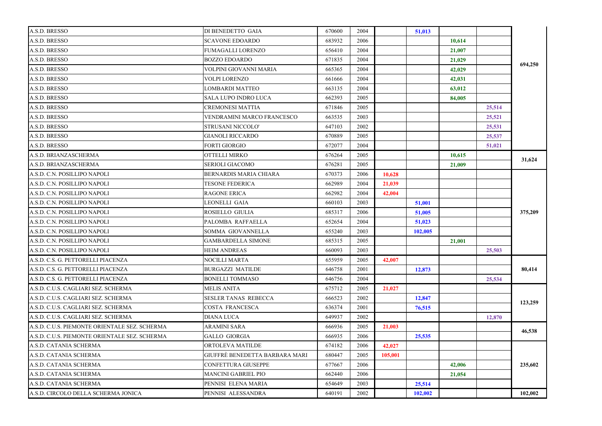| A.S.D. BRESSO                                 | DI BENEDETTO GAIA              | 670600 | 2004 |         | 51,013  |        |        |         |
|-----------------------------------------------|--------------------------------|--------|------|---------|---------|--------|--------|---------|
| A.S.D. BRESSO                                 | <b>SCAVONE EDOARDO</b>         | 683932 | 2006 |         |         | 10,614 |        |         |
| A.S.D. BRESSO                                 | FUMAGALLI LORENZO              | 656410 | 2004 |         |         | 21,007 |        |         |
| A.S.D. BRESSO                                 | <b>BOZZO EDOARDO</b>           | 671835 | 2004 |         |         | 21,029 |        |         |
| A.S.D. BRESSO                                 | VOLPINI GIOVANNI MARIA         | 665365 | 2004 |         |         | 42,029 |        | 694,250 |
| A.S.D. BRESSO                                 | VOLPI LORENZO                  | 661666 | 2004 |         |         | 42,031 |        |         |
| A.S.D. BRESSO                                 | LOMBARDI MATTEO                | 663135 | 2004 |         |         | 63,012 |        |         |
| A.S.D. BRESSO                                 | SALA LUPO INDRO LUCA           | 662393 | 2005 |         |         | 84,005 |        |         |
| A.S.D. BRESSO                                 | CREMONESI MATTIA               | 671846 | 2005 |         |         |        | 25,514 |         |
| A.S.D. BRESSO                                 | VENDRAMINI MARCO FRANCESCO     | 663535 | 2003 |         |         |        | 25,521 |         |
| A.S.D. BRESSO                                 | STRUSANI NICCOLO'              | 647103 | 2002 |         |         |        | 25,531 |         |
| A.S.D. BRESSO                                 | GIANOLI RICCARDO               | 670889 | 2005 |         |         |        | 25,537 |         |
| A.S.D. BRESSO                                 | FORTI GIORGIO                  | 672077 | 2004 |         |         |        | 51,021 |         |
| A.S.D. BRIANZASCHERMA                         | OTTELLI MIRKO                  | 676264 | 2005 |         |         | 10,615 |        |         |
| A.S.D. BRIANZASCHERMA                         | SERIOLI GIACOMO                | 676281 | 2005 |         |         | 21,009 |        | 31,624  |
| A.S.D. C.N. POSILLIPO NAPOLI                  | BERNARDIS MARIA CHIARA         | 670373 | 2006 | 10.628  |         |        |        |         |
| A.S.D. C.N. POSILLIPO NAPOLI                  | <b>TESONE FEDERICA</b>         | 662989 | 2004 | 21,039  |         |        |        |         |
| A.S.D. C.N. POSILLIPO NAPOLI                  | <b>RAGONE ERICA</b>            | 662982 | 2004 | 42,004  |         |        |        |         |
| A.S.D. C.N. POSILLIPO NAPOLI                  | LEONELLI GAIA                  | 660103 | 2003 |         | 51,001  |        |        |         |
| A.S.D. C.N. POSILLIPO NAPOLI                  | ROSIELLO GIULIA                | 685317 | 2006 |         | 51,005  |        |        | 375,209 |
| A.S.D. C.N. POSILLIPO NAPOLI                  | PALOMBA RAFFAELLA              | 652654 | 2004 |         | 51,023  |        |        |         |
| A.S.D. C.N. POSILLIPO NAPOLI                  | SOMMA GIOVANNELLA              | 655240 | 2003 |         | 102,005 |        |        |         |
| A.S.D. C.N. POSILLIPO NAPOLI                  | <b>GAMBARDELLA SIMONE</b>      | 685315 | 2005 |         |         | 21,001 |        |         |
| A.S.D. C.N. POSILLIPO NAPOLI                  | HEIM ANDREAS                   | 660093 | 2003 |         |         |        | 25,503 |         |
| A.S.D. C.S. G. PETTORELLI PIACENZA            | NOCILLI MARTA                  | 655959 | 2005 | 42,007  |         |        |        |         |
| A.S.D. C.S. G. PETTORELLI PIACENZA            | BURGAZZI MATILDE               | 646758 | 2001 |         | 12,873  |        |        | 80,414  |
| A.S.D. C.S. G. PETTORELLI PIACENZA            | BONELLI TOMMASO                | 646756 | 2004 |         |         |        | 25,534 |         |
| A.S.D. C.U.S. CAGLIARI SEZ. SCHERMA           | <b>MELIS ANITA</b>             | 675712 | 2005 | 21,027  |         |        |        |         |
| A.S.D. C.U.S. CAGLIARI SEZ. SCHERMA           | SESLER TANAS REBECCA           | 666523 | 2002 |         | 12,847  |        |        |         |
| A.S.D. C.U.S. CAGLIARI SEZ. SCHERMA           | COSTA FRANCESCA                | 636374 | 2001 |         | 76,515  |        |        | 123,259 |
| A.S.D. C.U.S. CAGLIARI SEZ. SCHERMA           | DIANA LUCA                     | 649937 | 2002 |         |         |        | 12,870 |         |
| A.S.D. C.U.S. PIEMONTE ORIENTALE SEZ. SCHERMA | ARAMINI SARA                   | 666936 | 2005 | 21,003  |         |        |        |         |
| A.S.D. C.U.S. PIEMONTE ORIENTALE SEZ. SCHERMA | GALLO GIORGIA                  | 666935 | 2006 |         | 25,535  |        |        | 46,538  |
| A.S.D. CATANIA SCHERMA                        | ORTOLEVA MATILDE               | 674182 | 2006 | 42,027  |         |        |        |         |
| A.S.D. CATANIA SCHERMA                        | GIUFFRÈ BENEDETTA BARBARA MARI | 680447 | 2005 | 105.001 |         |        |        |         |
| A.S.D. CATANIA SCHERMA                        | CONFETTURA GIUSEPPE            | 677667 | 2006 |         |         | 42,006 |        | 235,602 |
| A.S.D. CATANIA SCHERMA                        | MANCINI GABRIEL PIO            | 662440 | 2006 |         |         | 21,054 |        |         |
| A.S.D. CATANIA SCHERMA                        | PENNISI ELENA MARIA            | 654649 | 2003 |         | 25,514  |        |        |         |
| A.S.D. CIRCOLO DELLA SCHERMA JONICA           | PENNISI ALESSANDRA             | 640191 | 2002 |         | 102,002 |        |        | 102,002 |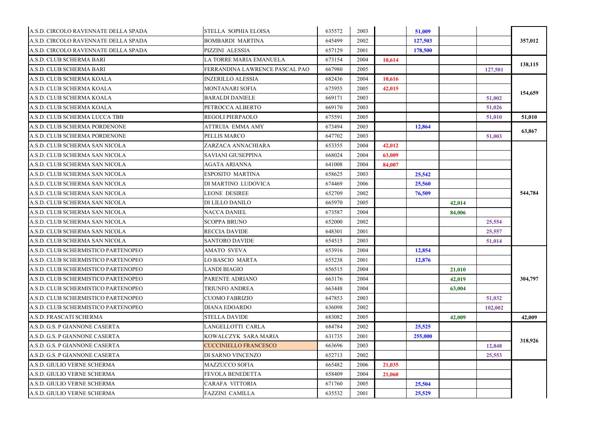| A.S.D. CIRCOLO RAVENNATE DELLA SPADA | <b>STELLA SOPHIA ELOISA</b>    | 635572 | 2003 |        | 51,009  |        |         |         |
|--------------------------------------|--------------------------------|--------|------|--------|---------|--------|---------|---------|
| A.S.D. CIRCOLO RAVENNATE DELLA SPADA | <b>BOMBARDI MARTINA</b>        | 645499 | 2002 |        | 127,503 |        |         | 357,012 |
| A.S.D. CIRCOLO RAVENNATE DELLA SPADA | PIZZINI ALESSIA                | 657129 | 2001 |        | 178,500 |        |         |         |
| A.S.D. CLUB SCHERMA BARI             | LA TORRE MARIA EMANUELA        | 673154 | 2004 | 10.614 |         |        |         |         |
| A.S.D. CLUB SCHERMA BARI             | FERRANDINA LAWRENCE PASCAL PAO | 667980 | 2005 |        |         |        | 127,501 | 138,115 |
| A.S.D. CLUB SCHERMA KOALA            | <b>INZERILLO ALESSIA</b>       | 682436 | 2004 | 10,616 |         |        |         |         |
| A.S.D. CLUB SCHERMA KOALA            | MONTANARI SOFIA                | 675955 | 2005 | 42,015 |         |        |         |         |
| A.S.D. CLUB SCHERMA KOALA            | <b>BARALDI DANIELE</b>         | 669171 | 2003 |        |         |        | 51,002  | 154,659 |
| A.S.D. CLUB SCHERMA KOALA            | PETROCCA ALBERTO               | 669170 | 2003 |        |         |        | 51,026  |         |
| A.S.D. CLUB SCHERMA LUCCA TBB        | <b>REGOLI PIERPAOLO</b>        | 675591 | 2005 |        |         |        | 51,010  | 51,010  |
| A.S.D. CLUB SCHERMA PORDENONE        | <b>ATTRUIA EMMA AMY</b>        | 673494 | 2003 |        | 12,864  |        |         |         |
| A.S.D. CLUB SCHERMA PORDENONE        | PELLIS MARCO                   | 647702 | 2003 |        |         |        | 51,003  | 63,867  |
| A.S.D. CLUB SCHERMA SAN NICOLA       | ZARZACA ANNACHIARA             | 653355 | 2004 | 42,012 |         |        |         |         |
| A.S.D. CLUB SCHERMA SAN NICOLA       | SAVIANI GIUSEPPINA             | 668024 | 2004 | 63,009 |         |        |         |         |
| A.S.D. CLUB SCHERMA SAN NICOLA       | <b>AGATA ARIANNA</b>           | 641008 | 2004 | 84,007 |         |        |         |         |
| A.S.D. CLUB SCHERMA SAN NICOLA       | <b>ESPOSITO MARTINA</b>        | 658625 | 2003 |        | 25,542  |        |         |         |
| A.S.D. CLUB SCHERMA SAN NICOLA       | DI MARTINO LUDOVICA            | 674469 | 2006 |        | 25,560  |        |         |         |
| A.S.D. CLUB SCHERMA SAN NICOLA       | <b>LEONE DESIREE</b>           | 652709 | 2002 |        | 76,509  |        |         | 544,784 |
| A.S.D. CLUB SCHERMA SAN NICOLA       | DI LILLO DANILO                | 665970 | 2005 |        |         | 42,014 |         |         |
| A.S.D. CLUB SCHERMA SAN NICOLA       | <b>NACCA DANIEL</b>            | 673587 | 2004 |        |         | 84,006 |         |         |
| A.S.D. CLUB SCHERMA SAN NICOLA       | <b>SCOPPA BRUNO</b>            | 652000 | 2002 |        |         |        | 25,554  |         |
| A.S.D. CLUB SCHERMA SAN NICOLA       | <b>RECCIA DAVIDE</b>           | 648301 | 2001 |        |         |        | 25,557  |         |
| A.S.D. CLUB SCHERMA SAN NICOLA       | <b>SANTORO DAVIDE</b>          | 654515 | 2003 |        |         |        | 51,014  |         |
| A.S.D. CLUB SCHERMISTICO PARTENOPEO  | <b>AMATO SVEVA</b>             | 653916 | 2004 |        | 12,854  |        |         |         |
| A.S.D. CLUB SCHERMISTICO PARTENOPEO  | <b>LO BASCIO MARTA</b>         | 655238 | 2001 |        | 12,876  |        |         |         |
| A.S.D. CLUB SCHERMISTICO PARTENOPEO  | <b>LANDI BIAGIO</b>            | 656515 | 2004 |        |         | 21,010 |         |         |
| A.S.D. CLUB SCHERMISTICO PARTENOPEO  | PARENTE ADRIANO                | 663176 | 2004 |        |         | 42,019 |         | 304,797 |
| A.S.D. CLUB SCHERMISTICO PARTENOPEO  | <b>TRIUNFO ANDREA</b>          | 663448 | 2004 |        |         | 63,004 |         |         |
| A.S.D. CLUB SCHERMISTICO PARTENOPEO  | <b>CUOMO FABRIZIO</b>          | 647853 | 2003 |        |         |        | 51,032  |         |
| A.S.D. CLUB SCHERMISTICO PARTENOPEO  | <b>DIANA EDOARDO</b>           | 636098 | 2002 |        |         |        | 102,002 |         |
| A.S.D. FRASCATI SCHERMA              | <b>STELLA DAVIDE</b>           | 683082 | 2005 |        |         | 42,009 |         | 42,009  |
| A.S.D. G.S. P GIANNONE CASERTA       | LANGELLOTTI CARLA              | 684784 | 2002 |        | 25,525  |        |         |         |
| A.S.D. G.S. P GIANNONE CASERTA       | KOWALCZYK SARA MARIA           | 631735 | 2001 |        | 255,000 |        |         |         |
| A.S.D. G.S. P GIANNONE CASERTA       | <b>CUCCINIELLO FRANCESCO</b>   | 663696 | 2003 |        |         |        | 12,848  | 318,926 |
| A.S.D. G.S. P GIANNONE CASERTA       | DI SARNO VINCENZO              | 652713 | 2002 |        |         |        | 25,553  |         |
| A.S.D. GIULIO VERNE SCHERMA          | <b>MAZZUCCO SOFIA</b>          | 665482 | 2006 | 21.035 |         |        |         |         |
| A.S.D. GIULIO VERNE SCHERMA          | <b>FEVOLA BENEDETTA</b>        | 658409 | 2004 | 21,060 |         |        |         |         |
| A.S.D. GIULIO VERNE SCHERMA          | CARAFA VITTORIA                | 671760 | 2005 |        | 25,504  |        |         |         |
| A.S.D. GIULIO VERNE SCHERMA          | <b>FAZZINI CAMILLA</b>         | 635532 | 2001 |        | 25,529  |        |         |         |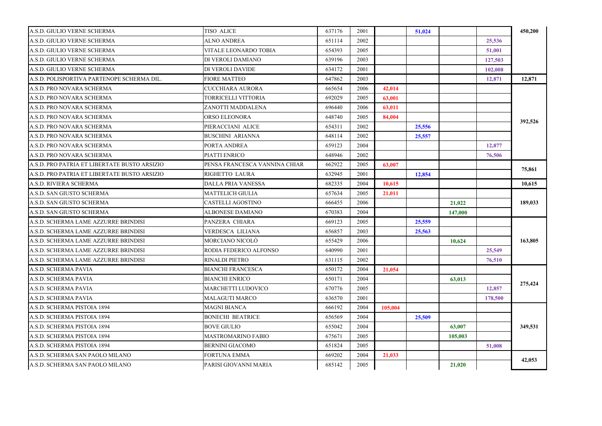| A.S.D. GIULIO VERNE SCHERMA                  | TISO ALICE                    | 637176 | 2001 |         | 51,024 |         |         | 450,200 |
|----------------------------------------------|-------------------------------|--------|------|---------|--------|---------|---------|---------|
| A.S.D. GIULIO VERNE SCHERMA                  | ALNO ANDREA                   | 651114 | 2002 |         |        |         | 25,536  |         |
| A.S.D. GIULIO VERNE SCHERMA                  | VITALE LEONARDO TOBIA         | 654393 | 2005 |         |        |         | 51,001  |         |
| A.S.D. GIULIO VERNE SCHERMA                  | DI VEROLI DAMIANO             | 639196 | 2003 |         |        |         | 127,503 |         |
| A.S.D. GIULIO VERNE SCHERMA                  | DI VEROLI DAVIDE              | 634172 | 2001 |         |        |         | 102,008 |         |
| A.S.D. POLISPORTIVA PARTENOPE SCHERMA DIL.   | <b>FIORE MATTEO</b>           | 647862 | 2003 |         |        |         | 12,871  | 12,871  |
| A.S.D. PRO NOVARA SCHERMA                    | CUCCHIARA AURORA              | 665654 | 2006 | 42,014  |        |         |         |         |
| A.S.D. PRO NOVARA SCHERMA                    | TORRICELLI VITTORIA           | 692029 | 2005 | 63,001  |        |         |         |         |
| A.S.D. PRO NOVARA SCHERMA                    | ZANOTTI MADDALENA             | 696440 | 2006 | 63,011  |        |         |         |         |
| A.S.D. PRO NOVARA SCHERMA                    | ORSO ELEONORA                 | 648740 | 2005 | 84,004  |        |         |         |         |
| A.S.D. PRO NOVARA SCHERMA                    | PIERACCIANI ALICE             | 654311 | 2002 |         | 25,556 |         |         | 392,526 |
| A.S.D. PRO NOVARA SCHERMA                    | BUSCHINI ARIANNA              | 648114 | 2002 |         | 25,557 |         |         |         |
| A.S.D. PRO NOVARA SCHERMA                    | PORTA ANDREA                  | 659123 | 2004 |         |        |         | 12,877  |         |
| A.S.D. PRO NOVARA SCHERMA                    | PIATTI ENRICO                 | 648946 | 2002 |         |        |         | 76,506  |         |
| A.S.D. PRO PATRIA ET LIBERTATE BUSTO ARSIZIO | PENSA FRANCESCA VANNINA CHIAR | 662922 | 2005 | 63,007  |        |         |         |         |
| A.S.D. PRO PATRIA ET LIBERTATE BUSTO ARSIZIO | RIGHETTO LAURA                | 632945 | 2001 |         | 12,854 |         |         | 75,861  |
| A.S.D. RIVIERA SCHERMA                       | DALLA PRIA VANESSA            | 682335 | 2004 | 10,615  |        |         |         | 10,615  |
| A.S.D. SAN GIUSTO SCHERMA                    | <b>MATTELICH GIULIA</b>       | 657634 | 2005 | 21,011  |        |         |         |         |
| A.S.D. SAN GIUSTO SCHERMA                    | CASTELLI AGOSTINO             | 666455 | 2006 |         |        | 21,022  |         | 189.033 |
| A.S.D. SAN GIUSTO SCHERMA                    | <b>ALBONESE DAMIANO</b>       | 670383 | 2004 |         |        | 147,000 |         |         |
| A.S.D. SCHERMA LAME AZZURRE BRINDISI         | PANZERA CHIARA                | 669123 | 2005 |         | 25,559 |         |         |         |
| A.S.D. SCHERMA LAME AZZURRE BRINDISI         | VERDESCA LILIANA              | 656857 | 2003 |         | 25,563 |         |         |         |
| A.S.D. SCHERMA LAME AZZURRE BRINDISI         | MORCIANO NICOLO               | 655429 | 2006 |         |        | 10,624  |         | 163,805 |
| A.S.D. SCHERMA LAME AZZURRE BRINDISI         | RODIA FEDERICO ALFONSO        | 640990 | 2001 |         |        |         | 25,549  |         |
| A.S.D. SCHERMA LAME AZZURRE BRINDISI         | RINALDI PIETRO                | 631115 | 2002 |         |        |         | 76,510  |         |
| A.S.D. SCHERMA PAVIA                         | BIANCHI FRANCESCA             | 650172 | 2004 | 21,054  |        |         |         |         |
| A.S.D. SCHERMA PAVIA                         | BIANCHI ENRICO                | 650171 | 2004 |         |        | 63,013  |         |         |
| A.S.D. SCHERMA PAVIA                         | MARCHETTI LUDOVICO            | 670776 | 2005 |         |        |         | 12,857  | 275,424 |
| A.S.D. SCHERMA PAVIA                         | MALAGUTI MARCO                | 636570 | 2001 |         |        |         | 178,500 |         |
| A.S.D. SCHERMA PISTOIA 1894                  | MAGNI BIANCA                  | 666192 | 2004 | 105,004 |        |         |         |         |
| A.S.D. SCHERMA PISTOIA 1894                  | <b>BONECHI BEATRICE</b>       | 656569 | 2004 |         | 25,509 |         |         |         |
| A.S.D. SCHERMA PISTOIA 1894                  | BOVE GIULIO                   | 655042 | 2004 |         |        | 63,007  |         | 349,531 |
| A.S.D. SCHERMA PISTOIA 1894                  | <b>MASTROMARINO FABIO</b>     | 675671 | 2005 |         |        | 105,003 |         |         |
| A.S.D. SCHERMA PISTOIA 1894                  | <b>BERNINI GIACOMO</b>        | 651824 | 2005 |         |        |         | 51,008  |         |
| A.S.D. SCHERMA SAN PAOLO MILANO              | <b>FORTUNA EMMA</b>           | 669202 | 2004 | 21,033  |        |         |         |         |
| A.S.D. SCHERMA SAN PAOLO MILANO              | PARISI GIOVANNI MARIA         | 685142 | 2005 |         |        | 21,020  |         | 42,053  |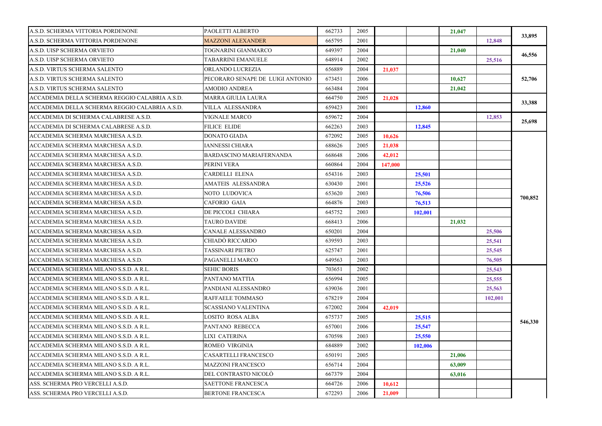| A.S.D. SCHERMA VITTORIA PORDENONE              | PAOLETTI ALBERTO                 | 662733 | 2005 |         |         | 21,047 |         | 33,895  |
|------------------------------------------------|----------------------------------|--------|------|---------|---------|--------|---------|---------|
| A.S.D. SCHERMA VITTORIA PORDENONE              | MAZZONI ALEXANDER                | 665795 | 2001 |         |         |        | 12,848  |         |
| A.S.D. UISP SCHERMA ORVIETO                    | TOGNARINI GIANMARCO              | 649397 | 2004 |         |         | 21,040 |         |         |
| A.S.D. UISP SCHERMA ORVIETO                    | TABARRINI EMANUELE               | 648914 | 2002 |         |         |        | 25,516  | 46,556  |
| A.S.D. VIRTUS SCHERMA SALENTO                  | ORLANDO LUCREZIA                 | 656889 | 2004 | 21,037  |         |        |         |         |
| A.S.D. VIRTUS SCHERMA SALENTO                  | PECORARO SENAPE DE LUIGI ANTONIO | 673451 | 2006 |         |         | 10,627 |         | 52,706  |
| A.S.D. VIRTUS SCHERMA SALENTO                  | <b>AMODIO ANDREA</b>             | 663484 | 2004 |         |         | 21,042 |         |         |
| ACCADEMIA DELLA SCHERMA REGGIO CALABRIA A.S.D. | <b>MARRA GIULIA LAURA</b>        | 664750 | 2005 | 21.028  |         |        |         |         |
| ACCADEMIA DELLA SCHERMA REGGIO CALABRIA A.S.D. | VILLA ALESSANDRA                 | 659423 | 2001 |         | 12.860  |        |         | 33,388  |
| ACCADEMIA DI SCHERMA CALABRESE A.S.D.          | <b>VIGNALE MARCO</b>             | 659672 | 2004 |         |         |        | 12,853  |         |
| ACCADEMIA DI SCHERMA CALABRESE A.S.D.          | <b>FILICE ELIDE</b>              | 662263 | 2003 |         | 12,845  |        |         | 25,698  |
| ACCADEMIA SCHERMA MARCHESA A.S.D.              | <b>DONATO GIADA</b>              | 672092 | 2005 | 10,626  |         |        |         |         |
| ACCADEMIA SCHERMA MARCHESA A.S.D.              | IANNESSI CHIARA                  | 688626 | 2005 | 21,038  |         |        |         |         |
| ACCADEMIA SCHERMA MARCHESA A.S.D.              | BARDASCINO MARIAFERNANDA         | 668648 | 2006 | 42,012  |         |        |         |         |
| ACCADEMIA SCHERMA MARCHESA A.S.D.              | PERINI VERA                      | 660864 | 2004 | 147,000 |         |        |         |         |
| ACCADEMIA SCHERMA MARCHESA A.S.D.              | CARDELLI ELENA                   | 654316 | 2003 |         | 25,501  |        |         |         |
| ACCADEMIA SCHERMA MARCHESA A.S.D.              | AMATEIS ALESSANDRA               | 630430 | 2001 |         | 25,526  |        |         |         |
| ACCADEMIA SCHERMA MARCHESA A.S.D.              | NOTO LUDOVICA                    | 653620 | 2003 |         | 76,506  |        |         |         |
| ACCADEMIA SCHERMA MARCHESA A.S.D.              | CAFORIO GAIA                     | 664876 | 2003 |         | 76,513  |        |         | 700,852 |
| ACCADEMIA SCHERMA MARCHESA A.S.D.              | DE PICCOLI CHIARA                | 645752 | 2003 |         | 102,001 |        |         |         |
| ACCADEMIA SCHERMA MARCHESA A.S.D.              | <b>TAURO DAVIDE</b>              | 668413 | 2006 |         |         | 21,032 |         |         |
| ACCADEMIA SCHERMA MARCHESA A.S.D.              | CANALE ALESSANDRO                | 650201 | 2004 |         |         |        | 25,506  |         |
| ACCADEMIA SCHERMA MARCHESA A.S.D.              | CHIADÒ RICCARDO                  | 639593 | 2003 |         |         |        | 25,541  |         |
| ACCADEMIA SCHERMA MARCHESA A.S.D.              | TASSINARI PIETRO                 | 625747 | 2001 |         |         |        | 25,545  |         |
| ACCADEMIA SCHERMA MARCHESA A.S.D.              | PAGANELLI MARCO                  | 649563 | 2003 |         |         |        | 76,505  |         |
| ACCADEMIA SCHERMA MILANO S.S.D. A R.L.         | <b>SEHIC BORIS</b>               | 703651 | 2002 |         |         |        | 25,543  |         |
| ACCADEMIA SCHERMA MILANO S.S.D. A R.L.         | PANTANO MATTIA                   | 656994 | 2005 |         |         |        | 25,555  |         |
| ACCADEMIA SCHERMA MILANO S.S.D. A R.L.         | PANDIANI ALESSANDRO              | 639036 | 2001 |         |         |        | 25,563  |         |
| ACCADEMIA SCHERMA MILANO S.S.D. A R.L.         | RAFFAELE TOMMASO                 | 678219 | 2004 |         |         |        | 102,001 |         |
| ACCADEMIA SCHERMA MILANO S.S.D. A R.L.         | <b>SCASSIANO VALENTINA</b>       | 672002 | 2004 | 42,019  |         |        |         |         |
| ACCADEMIA SCHERMA MILANO S.S.D. A R.L.         | LOSITO ROSA ALBA                 | 675737 | 2005 |         | 25,515  |        |         |         |
| ACCADEMIA SCHERMA MILANO S.S.D. A R.L.         | PANTANO REBECCA                  | 657001 | 2006 |         | 25,547  |        |         | 546,330 |
| ACCADEMIA SCHERMA MILANO S.S.D. A R.L.         | LIXI CATERINA                    | 670598 | 2003 |         | 25,550  |        |         |         |
| ACCADEMIA SCHERMA MILANO S.S.D. A R.L.         | ROMEO VIRGINIA                   | 684889 | 2002 |         | 102,006 |        |         |         |
| ACCADEMIA SCHERMA MILANO S.S.D. A R.L.         | CASARTELLI FRANCESCO             | 650191 | 2005 |         |         | 21,006 |         |         |
| ACCADEMIA SCHERMA MILANO S.S.D. A R.L.         | <b>MAZZONI FRANCESCO</b>         | 656714 | 2004 |         |         | 63,009 |         |         |
| ACCADEMIA SCHERMA MILANO S.S.D. A R.L.         | DEL CONTRASTO NICOLÒ             | 667379 | 2004 |         |         | 63,016 |         |         |
| ASS. SCHERMA PRO VERCELLI A.S.D.               | <b>SAETTONE FRANCESCA</b>        | 664726 | 2006 | 10,612  |         |        |         |         |
| ASS. SCHERMA PRO VERCELLI A.S.D.               | <b>BERTONE FRANCESCA</b>         | 672293 | 2006 | 21,009  |         |        |         |         |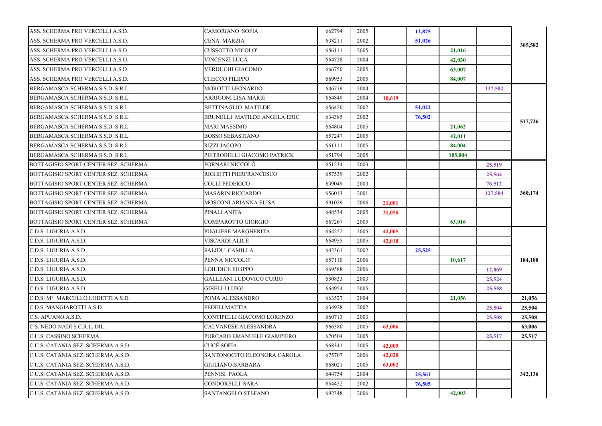| 638211<br>2002<br>ASS. SCHERMA PRO VERCELLI A.S.D.<br><b>CENA MARZIA</b><br>51,026<br>305,582<br>2005<br>ASS. SCHERMA PRO VERCELLI A.S.D.<br><b>CUSSOTTO NICOLO'</b><br>656111<br>21,016<br>664728<br>2004<br>ASS. SCHERMA PRO VERCELLI A.S.D.<br><b>VINCENZI LUCA</b><br>42,030<br>ASS. SCHERMA PRO VERCELLI A.S.D.<br>VERDUCHI GIACOMO<br>666750<br>2005<br>63,007<br>ASS. SCHERMA PRO VERCELLI A.S.D.<br><b>CHECCO FILIPPO</b><br>669953<br>2005<br>84,007<br>MOROTTI LEONARDO<br>646719<br>2004<br>127,502<br><b>ARRIGONI LISA MARIE</b><br>664849<br>2004<br>10,619<br>BERGAMASCA SCHERMA S.S.D. S.R.L.<br><b>BETTINAGLIO MATILDE</b><br>656420<br>2002<br>51,022<br>634385<br>2002<br>76,502<br>BRUNELLI MATILDE ANGELA ERIC<br>517,726<br><b>MARI MASSIMO</b><br>664804<br>2005<br>21,062<br>BERGAMASCA SCHERMA S.S.D. S.R.L.<br><b>BOSSO SEBASTIANO</b><br>657247<br>2005<br>42,011<br><b>RIZZI JACOPO</b><br>661111<br>2005<br>84,004<br>651794<br>2005<br>PIETROBELLI GIACOMO PATRICK<br>105,004<br>FORNARI NICCOLÒ<br>651234<br>2003<br>25,519<br>RIGHETTI PIERFRANCESCO<br>657539<br>2002<br>25,564<br>639049<br><b>COLLI FEDERICO</b><br>2003<br>76,512<br><b>MASARIN RICCARDO</b><br>656013<br>2001<br>360,174<br>127,504<br>691029<br><b>MOSCONI ARIANNA ELISA</b><br>2006<br>21,001<br>PINALI ANITA<br>648534<br>2005<br>21,058<br>BOTTAGISIO SPORT CENTER SEZ. SCHERMA<br>COMPAROTTO GIORGIO<br>667267<br>2005<br>63,016<br>C.D.S. LIGURIA A.S.D.<br><b>PUGLIESE MARGHERITA</b><br>664252<br>2005<br>42,005<br>C.D.S. LIGURIA A.S.D.<br><b>VISCARDI ALICE</b><br>664955<br>2005<br>42,010<br>642361<br>2002<br>C.D.S. LIGURIA A.S.D.<br><b>SALIDU CAMILLA</b><br>25,525<br>657110<br>2006<br>184,108<br>C.D.S. LIGURIA A.S.D.<br>PENNA NICCOLO'<br>10,617<br>669588<br>2006<br>C.D.S. LIGURIA A.S.D.<br><b>LOIUDICE FILIPPO</b><br>12,869<br>650833<br>25,524<br>C.D.S. LIGURIA A.S.D.<br><b>GALLEANI LUDOVICO CURIO</b><br>2003<br>664954<br>2005<br>C.D.S. LIGURIA A.S.D.<br><b>GIBELLI LUIGI</b><br>25,558<br>C.D.S. M° MARCELLO LODETTI A.S.D.<br>POMA ALESSANDRO<br>663527<br>2004<br>21,056<br>21.056<br>634928<br>2002<br>C.D.S. MANGIAROTTI A.S.D.<br><b>FEDELI MATTIA</b><br>25,504<br>25,504<br>C.S. APUANO A.S.D.<br>CONTIPELLI GIACOMO LORENZO<br>660713<br>2003<br>25,508<br>25,508<br>63,006<br>C.S. NEDO NADI S.C.R.L. DIL.<br><b>CALVANESE ALESSANDRA</b><br>666380<br>2005<br>63,006<br>C.U.S. CASSINO SCHERMA<br>PURCARO EMANUELE GIAMPIERO<br>670504<br>2005<br>25,517<br>25,517<br>C.U.S. CATANIA SEZ. SCHERMA A.S.D.<br>CUCÈ SOFIA<br>668341<br>2005<br>42,009<br>C.U.S. CATANIA SEZ. SCHERMA A.S.D.<br>SANTONOCITO ELEONORA CAROLA<br>675707<br>2006<br>42,028<br>C.U.S. CATANIA SEZ. SCHERMA A.S.D.<br>668021<br>2005<br><b>GIULIANO BARBARA</b><br>63,002<br>2004<br>C.U.S. CATANIA SEZ. SCHERMA A.S.D.<br>PENNISI PAOLA<br>644754<br>342,136<br>25,561<br>C.U.S. CATANIA SEZ. SCHERMA A.S.D.<br>CONDORELLI SARA<br>654452<br>2002<br>76,505<br>692348<br>C.U.S. CATANIA SEZ. SCHERMA A.S.D.<br>SANTANGELO STEFANO<br>2006<br>42,003 |                                      |                 |        |      |        |  |  |
|-------------------------------------------------------------------------------------------------------------------------------------------------------------------------------------------------------------------------------------------------------------------------------------------------------------------------------------------------------------------------------------------------------------------------------------------------------------------------------------------------------------------------------------------------------------------------------------------------------------------------------------------------------------------------------------------------------------------------------------------------------------------------------------------------------------------------------------------------------------------------------------------------------------------------------------------------------------------------------------------------------------------------------------------------------------------------------------------------------------------------------------------------------------------------------------------------------------------------------------------------------------------------------------------------------------------------------------------------------------------------------------------------------------------------------------------------------------------------------------------------------------------------------------------------------------------------------------------------------------------------------------------------------------------------------------------------------------------------------------------------------------------------------------------------------------------------------------------------------------------------------------------------------------------------------------------------------------------------------------------------------------------------------------------------------------------------------------------------------------------------------------------------------------------------------------------------------------------------------------------------------------------------------------------------------------------------------------------------------------------------------------------------------------------------------------------------------------------------------------------------------------------------------------------------------------------------------------------------------------------------------------------------------------------------------------------------------------------------------------------------------------------------------------------------------------------------------------------------------------------------------------------------------------------------------------------------------------------------------------------------------------------------------------------------------------------------------|--------------------------------------|-----------------|--------|------|--------|--|--|
|                                                                                                                                                                                                                                                                                                                                                                                                                                                                                                                                                                                                                                                                                                                                                                                                                                                                                                                                                                                                                                                                                                                                                                                                                                                                                                                                                                                                                                                                                                                                                                                                                                                                                                                                                                                                                                                                                                                                                                                                                                                                                                                                                                                                                                                                                                                                                                                                                                                                                                                                                                                                                                                                                                                                                                                                                                                                                                                                                                                                                                                                               | ASS. SCHERMA PRO VERCELLI A.S.D.     | CAMORIANO SOFIA | 662794 | 2005 | 12,875 |  |  |
|                                                                                                                                                                                                                                                                                                                                                                                                                                                                                                                                                                                                                                                                                                                                                                                                                                                                                                                                                                                                                                                                                                                                                                                                                                                                                                                                                                                                                                                                                                                                                                                                                                                                                                                                                                                                                                                                                                                                                                                                                                                                                                                                                                                                                                                                                                                                                                                                                                                                                                                                                                                                                                                                                                                                                                                                                                                                                                                                                                                                                                                                               |                                      |                 |        |      |        |  |  |
|                                                                                                                                                                                                                                                                                                                                                                                                                                                                                                                                                                                                                                                                                                                                                                                                                                                                                                                                                                                                                                                                                                                                                                                                                                                                                                                                                                                                                                                                                                                                                                                                                                                                                                                                                                                                                                                                                                                                                                                                                                                                                                                                                                                                                                                                                                                                                                                                                                                                                                                                                                                                                                                                                                                                                                                                                                                                                                                                                                                                                                                                               |                                      |                 |        |      |        |  |  |
|                                                                                                                                                                                                                                                                                                                                                                                                                                                                                                                                                                                                                                                                                                                                                                                                                                                                                                                                                                                                                                                                                                                                                                                                                                                                                                                                                                                                                                                                                                                                                                                                                                                                                                                                                                                                                                                                                                                                                                                                                                                                                                                                                                                                                                                                                                                                                                                                                                                                                                                                                                                                                                                                                                                                                                                                                                                                                                                                                                                                                                                                               |                                      |                 |        |      |        |  |  |
|                                                                                                                                                                                                                                                                                                                                                                                                                                                                                                                                                                                                                                                                                                                                                                                                                                                                                                                                                                                                                                                                                                                                                                                                                                                                                                                                                                                                                                                                                                                                                                                                                                                                                                                                                                                                                                                                                                                                                                                                                                                                                                                                                                                                                                                                                                                                                                                                                                                                                                                                                                                                                                                                                                                                                                                                                                                                                                                                                                                                                                                                               |                                      |                 |        |      |        |  |  |
|                                                                                                                                                                                                                                                                                                                                                                                                                                                                                                                                                                                                                                                                                                                                                                                                                                                                                                                                                                                                                                                                                                                                                                                                                                                                                                                                                                                                                                                                                                                                                                                                                                                                                                                                                                                                                                                                                                                                                                                                                                                                                                                                                                                                                                                                                                                                                                                                                                                                                                                                                                                                                                                                                                                                                                                                                                                                                                                                                                                                                                                                               |                                      |                 |        |      |        |  |  |
|                                                                                                                                                                                                                                                                                                                                                                                                                                                                                                                                                                                                                                                                                                                                                                                                                                                                                                                                                                                                                                                                                                                                                                                                                                                                                                                                                                                                                                                                                                                                                                                                                                                                                                                                                                                                                                                                                                                                                                                                                                                                                                                                                                                                                                                                                                                                                                                                                                                                                                                                                                                                                                                                                                                                                                                                                                                                                                                                                                                                                                                                               | BERGAMASCA SCHERMA S.S.D. S.R.L.     |                 |        |      |        |  |  |
|                                                                                                                                                                                                                                                                                                                                                                                                                                                                                                                                                                                                                                                                                                                                                                                                                                                                                                                                                                                                                                                                                                                                                                                                                                                                                                                                                                                                                                                                                                                                                                                                                                                                                                                                                                                                                                                                                                                                                                                                                                                                                                                                                                                                                                                                                                                                                                                                                                                                                                                                                                                                                                                                                                                                                                                                                                                                                                                                                                                                                                                                               | BERGAMASCA SCHERMA S.S.D. S.R.L.     |                 |        |      |        |  |  |
|                                                                                                                                                                                                                                                                                                                                                                                                                                                                                                                                                                                                                                                                                                                                                                                                                                                                                                                                                                                                                                                                                                                                                                                                                                                                                                                                                                                                                                                                                                                                                                                                                                                                                                                                                                                                                                                                                                                                                                                                                                                                                                                                                                                                                                                                                                                                                                                                                                                                                                                                                                                                                                                                                                                                                                                                                                                                                                                                                                                                                                                                               |                                      |                 |        |      |        |  |  |
|                                                                                                                                                                                                                                                                                                                                                                                                                                                                                                                                                                                                                                                                                                                                                                                                                                                                                                                                                                                                                                                                                                                                                                                                                                                                                                                                                                                                                                                                                                                                                                                                                                                                                                                                                                                                                                                                                                                                                                                                                                                                                                                                                                                                                                                                                                                                                                                                                                                                                                                                                                                                                                                                                                                                                                                                                                                                                                                                                                                                                                                                               | BERGAMASCA SCHERMA S.S.D. S.R.L.     |                 |        |      |        |  |  |
|                                                                                                                                                                                                                                                                                                                                                                                                                                                                                                                                                                                                                                                                                                                                                                                                                                                                                                                                                                                                                                                                                                                                                                                                                                                                                                                                                                                                                                                                                                                                                                                                                                                                                                                                                                                                                                                                                                                                                                                                                                                                                                                                                                                                                                                                                                                                                                                                                                                                                                                                                                                                                                                                                                                                                                                                                                                                                                                                                                                                                                                                               | BERGAMASCA SCHERMA S.S.D. S.R.L.     |                 |        |      |        |  |  |
|                                                                                                                                                                                                                                                                                                                                                                                                                                                                                                                                                                                                                                                                                                                                                                                                                                                                                                                                                                                                                                                                                                                                                                                                                                                                                                                                                                                                                                                                                                                                                                                                                                                                                                                                                                                                                                                                                                                                                                                                                                                                                                                                                                                                                                                                                                                                                                                                                                                                                                                                                                                                                                                                                                                                                                                                                                                                                                                                                                                                                                                                               |                                      |                 |        |      |        |  |  |
|                                                                                                                                                                                                                                                                                                                                                                                                                                                                                                                                                                                                                                                                                                                                                                                                                                                                                                                                                                                                                                                                                                                                                                                                                                                                                                                                                                                                                                                                                                                                                                                                                                                                                                                                                                                                                                                                                                                                                                                                                                                                                                                                                                                                                                                                                                                                                                                                                                                                                                                                                                                                                                                                                                                                                                                                                                                                                                                                                                                                                                                                               | BERGAMASCA SCHERMA S.S.D. S.R.L.     |                 |        |      |        |  |  |
|                                                                                                                                                                                                                                                                                                                                                                                                                                                                                                                                                                                                                                                                                                                                                                                                                                                                                                                                                                                                                                                                                                                                                                                                                                                                                                                                                                                                                                                                                                                                                                                                                                                                                                                                                                                                                                                                                                                                                                                                                                                                                                                                                                                                                                                                                                                                                                                                                                                                                                                                                                                                                                                                                                                                                                                                                                                                                                                                                                                                                                                                               | BERGAMASCA SCHERMA S.S.D. S.R.L.     |                 |        |      |        |  |  |
|                                                                                                                                                                                                                                                                                                                                                                                                                                                                                                                                                                                                                                                                                                                                                                                                                                                                                                                                                                                                                                                                                                                                                                                                                                                                                                                                                                                                                                                                                                                                                                                                                                                                                                                                                                                                                                                                                                                                                                                                                                                                                                                                                                                                                                                                                                                                                                                                                                                                                                                                                                                                                                                                                                                                                                                                                                                                                                                                                                                                                                                                               | BOTTAGISIO SPORT CENTER SEZ. SCHERMA |                 |        |      |        |  |  |
|                                                                                                                                                                                                                                                                                                                                                                                                                                                                                                                                                                                                                                                                                                                                                                                                                                                                                                                                                                                                                                                                                                                                                                                                                                                                                                                                                                                                                                                                                                                                                                                                                                                                                                                                                                                                                                                                                                                                                                                                                                                                                                                                                                                                                                                                                                                                                                                                                                                                                                                                                                                                                                                                                                                                                                                                                                                                                                                                                                                                                                                                               | BOTTAGISIO SPORT CENTER SEZ. SCHERMA |                 |        |      |        |  |  |
|                                                                                                                                                                                                                                                                                                                                                                                                                                                                                                                                                                                                                                                                                                                                                                                                                                                                                                                                                                                                                                                                                                                                                                                                                                                                                                                                                                                                                                                                                                                                                                                                                                                                                                                                                                                                                                                                                                                                                                                                                                                                                                                                                                                                                                                                                                                                                                                                                                                                                                                                                                                                                                                                                                                                                                                                                                                                                                                                                                                                                                                                               | BOTTAGISIO SPORT CENTER SEZ. SCHERMA |                 |        |      |        |  |  |
|                                                                                                                                                                                                                                                                                                                                                                                                                                                                                                                                                                                                                                                                                                                                                                                                                                                                                                                                                                                                                                                                                                                                                                                                                                                                                                                                                                                                                                                                                                                                                                                                                                                                                                                                                                                                                                                                                                                                                                                                                                                                                                                                                                                                                                                                                                                                                                                                                                                                                                                                                                                                                                                                                                                                                                                                                                                                                                                                                                                                                                                                               | BOTTAGISIO SPORT CENTER SEZ. SCHERMA |                 |        |      |        |  |  |
|                                                                                                                                                                                                                                                                                                                                                                                                                                                                                                                                                                                                                                                                                                                                                                                                                                                                                                                                                                                                                                                                                                                                                                                                                                                                                                                                                                                                                                                                                                                                                                                                                                                                                                                                                                                                                                                                                                                                                                                                                                                                                                                                                                                                                                                                                                                                                                                                                                                                                                                                                                                                                                                                                                                                                                                                                                                                                                                                                                                                                                                                               | BOTTAGISIO SPORT CENTER SEZ. SCHERMA |                 |        |      |        |  |  |
|                                                                                                                                                                                                                                                                                                                                                                                                                                                                                                                                                                                                                                                                                                                                                                                                                                                                                                                                                                                                                                                                                                                                                                                                                                                                                                                                                                                                                                                                                                                                                                                                                                                                                                                                                                                                                                                                                                                                                                                                                                                                                                                                                                                                                                                                                                                                                                                                                                                                                                                                                                                                                                                                                                                                                                                                                                                                                                                                                                                                                                                                               | BOTTAGISIO SPORT CENTER SEZ. SCHERMA |                 |        |      |        |  |  |
|                                                                                                                                                                                                                                                                                                                                                                                                                                                                                                                                                                                                                                                                                                                                                                                                                                                                                                                                                                                                                                                                                                                                                                                                                                                                                                                                                                                                                                                                                                                                                                                                                                                                                                                                                                                                                                                                                                                                                                                                                                                                                                                                                                                                                                                                                                                                                                                                                                                                                                                                                                                                                                                                                                                                                                                                                                                                                                                                                                                                                                                                               |                                      |                 |        |      |        |  |  |
|                                                                                                                                                                                                                                                                                                                                                                                                                                                                                                                                                                                                                                                                                                                                                                                                                                                                                                                                                                                                                                                                                                                                                                                                                                                                                                                                                                                                                                                                                                                                                                                                                                                                                                                                                                                                                                                                                                                                                                                                                                                                                                                                                                                                                                                                                                                                                                                                                                                                                                                                                                                                                                                                                                                                                                                                                                                                                                                                                                                                                                                                               |                                      |                 |        |      |        |  |  |
|                                                                                                                                                                                                                                                                                                                                                                                                                                                                                                                                                                                                                                                                                                                                                                                                                                                                                                                                                                                                                                                                                                                                                                                                                                                                                                                                                                                                                                                                                                                                                                                                                                                                                                                                                                                                                                                                                                                                                                                                                                                                                                                                                                                                                                                                                                                                                                                                                                                                                                                                                                                                                                                                                                                                                                                                                                                                                                                                                                                                                                                                               |                                      |                 |        |      |        |  |  |
|                                                                                                                                                                                                                                                                                                                                                                                                                                                                                                                                                                                                                                                                                                                                                                                                                                                                                                                                                                                                                                                                                                                                                                                                                                                                                                                                                                                                                                                                                                                                                                                                                                                                                                                                                                                                                                                                                                                                                                                                                                                                                                                                                                                                                                                                                                                                                                                                                                                                                                                                                                                                                                                                                                                                                                                                                                                                                                                                                                                                                                                                               |                                      |                 |        |      |        |  |  |
|                                                                                                                                                                                                                                                                                                                                                                                                                                                                                                                                                                                                                                                                                                                                                                                                                                                                                                                                                                                                                                                                                                                                                                                                                                                                                                                                                                                                                                                                                                                                                                                                                                                                                                                                                                                                                                                                                                                                                                                                                                                                                                                                                                                                                                                                                                                                                                                                                                                                                                                                                                                                                                                                                                                                                                                                                                                                                                                                                                                                                                                                               |                                      |                 |        |      |        |  |  |
|                                                                                                                                                                                                                                                                                                                                                                                                                                                                                                                                                                                                                                                                                                                                                                                                                                                                                                                                                                                                                                                                                                                                                                                                                                                                                                                                                                                                                                                                                                                                                                                                                                                                                                                                                                                                                                                                                                                                                                                                                                                                                                                                                                                                                                                                                                                                                                                                                                                                                                                                                                                                                                                                                                                                                                                                                                                                                                                                                                                                                                                                               |                                      |                 |        |      |        |  |  |
|                                                                                                                                                                                                                                                                                                                                                                                                                                                                                                                                                                                                                                                                                                                                                                                                                                                                                                                                                                                                                                                                                                                                                                                                                                                                                                                                                                                                                                                                                                                                                                                                                                                                                                                                                                                                                                                                                                                                                                                                                                                                                                                                                                                                                                                                                                                                                                                                                                                                                                                                                                                                                                                                                                                                                                                                                                                                                                                                                                                                                                                                               |                                      |                 |        |      |        |  |  |
|                                                                                                                                                                                                                                                                                                                                                                                                                                                                                                                                                                                                                                                                                                                                                                                                                                                                                                                                                                                                                                                                                                                                                                                                                                                                                                                                                                                                                                                                                                                                                                                                                                                                                                                                                                                                                                                                                                                                                                                                                                                                                                                                                                                                                                                                                                                                                                                                                                                                                                                                                                                                                                                                                                                                                                                                                                                                                                                                                                                                                                                                               |                                      |                 |        |      |        |  |  |
|                                                                                                                                                                                                                                                                                                                                                                                                                                                                                                                                                                                                                                                                                                                                                                                                                                                                                                                                                                                                                                                                                                                                                                                                                                                                                                                                                                                                                                                                                                                                                                                                                                                                                                                                                                                                                                                                                                                                                                                                                                                                                                                                                                                                                                                                                                                                                                                                                                                                                                                                                                                                                                                                                                                                                                                                                                                                                                                                                                                                                                                                               |                                      |                 |        |      |        |  |  |
|                                                                                                                                                                                                                                                                                                                                                                                                                                                                                                                                                                                                                                                                                                                                                                                                                                                                                                                                                                                                                                                                                                                                                                                                                                                                                                                                                                                                                                                                                                                                                                                                                                                                                                                                                                                                                                                                                                                                                                                                                                                                                                                                                                                                                                                                                                                                                                                                                                                                                                                                                                                                                                                                                                                                                                                                                                                                                                                                                                                                                                                                               |                                      |                 |        |      |        |  |  |
|                                                                                                                                                                                                                                                                                                                                                                                                                                                                                                                                                                                                                                                                                                                                                                                                                                                                                                                                                                                                                                                                                                                                                                                                                                                                                                                                                                                                                                                                                                                                                                                                                                                                                                                                                                                                                                                                                                                                                                                                                                                                                                                                                                                                                                                                                                                                                                                                                                                                                                                                                                                                                                                                                                                                                                                                                                                                                                                                                                                                                                                                               |                                      |                 |        |      |        |  |  |
|                                                                                                                                                                                                                                                                                                                                                                                                                                                                                                                                                                                                                                                                                                                                                                                                                                                                                                                                                                                                                                                                                                                                                                                                                                                                                                                                                                                                                                                                                                                                                                                                                                                                                                                                                                                                                                                                                                                                                                                                                                                                                                                                                                                                                                                                                                                                                                                                                                                                                                                                                                                                                                                                                                                                                                                                                                                                                                                                                                                                                                                                               |                                      |                 |        |      |        |  |  |
|                                                                                                                                                                                                                                                                                                                                                                                                                                                                                                                                                                                                                                                                                                                                                                                                                                                                                                                                                                                                                                                                                                                                                                                                                                                                                                                                                                                                                                                                                                                                                                                                                                                                                                                                                                                                                                                                                                                                                                                                                                                                                                                                                                                                                                                                                                                                                                                                                                                                                                                                                                                                                                                                                                                                                                                                                                                                                                                                                                                                                                                                               |                                      |                 |        |      |        |  |  |
|                                                                                                                                                                                                                                                                                                                                                                                                                                                                                                                                                                                                                                                                                                                                                                                                                                                                                                                                                                                                                                                                                                                                                                                                                                                                                                                                                                                                                                                                                                                                                                                                                                                                                                                                                                                                                                                                                                                                                                                                                                                                                                                                                                                                                                                                                                                                                                                                                                                                                                                                                                                                                                                                                                                                                                                                                                                                                                                                                                                                                                                                               |                                      |                 |        |      |        |  |  |
|                                                                                                                                                                                                                                                                                                                                                                                                                                                                                                                                                                                                                                                                                                                                                                                                                                                                                                                                                                                                                                                                                                                                                                                                                                                                                                                                                                                                                                                                                                                                                                                                                                                                                                                                                                                                                                                                                                                                                                                                                                                                                                                                                                                                                                                                                                                                                                                                                                                                                                                                                                                                                                                                                                                                                                                                                                                                                                                                                                                                                                                                               |                                      |                 |        |      |        |  |  |
|                                                                                                                                                                                                                                                                                                                                                                                                                                                                                                                                                                                                                                                                                                                                                                                                                                                                                                                                                                                                                                                                                                                                                                                                                                                                                                                                                                                                                                                                                                                                                                                                                                                                                                                                                                                                                                                                                                                                                                                                                                                                                                                                                                                                                                                                                                                                                                                                                                                                                                                                                                                                                                                                                                                                                                                                                                                                                                                                                                                                                                                                               |                                      |                 |        |      |        |  |  |
|                                                                                                                                                                                                                                                                                                                                                                                                                                                                                                                                                                                                                                                                                                                                                                                                                                                                                                                                                                                                                                                                                                                                                                                                                                                                                                                                                                                                                                                                                                                                                                                                                                                                                                                                                                                                                                                                                                                                                                                                                                                                                                                                                                                                                                                                                                                                                                                                                                                                                                                                                                                                                                                                                                                                                                                                                                                                                                                                                                                                                                                                               |                                      |                 |        |      |        |  |  |
|                                                                                                                                                                                                                                                                                                                                                                                                                                                                                                                                                                                                                                                                                                                                                                                                                                                                                                                                                                                                                                                                                                                                                                                                                                                                                                                                                                                                                                                                                                                                                                                                                                                                                                                                                                                                                                                                                                                                                                                                                                                                                                                                                                                                                                                                                                                                                                                                                                                                                                                                                                                                                                                                                                                                                                                                                                                                                                                                                                                                                                                                               |                                      |                 |        |      |        |  |  |
|                                                                                                                                                                                                                                                                                                                                                                                                                                                                                                                                                                                                                                                                                                                                                                                                                                                                                                                                                                                                                                                                                                                                                                                                                                                                                                                                                                                                                                                                                                                                                                                                                                                                                                                                                                                                                                                                                                                                                                                                                                                                                                                                                                                                                                                                                                                                                                                                                                                                                                                                                                                                                                                                                                                                                                                                                                                                                                                                                                                                                                                                               |                                      |                 |        |      |        |  |  |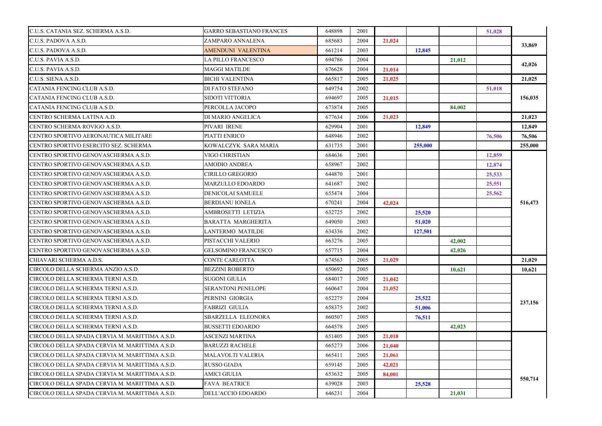| C.U.S. CATANIA SEZ. SCHERMA A.S.D.             | GARRO SEBASTIANO FRANCES   | 648898 | 2001 |        |         |        | 51,028 |         |
|------------------------------------------------|----------------------------|--------|------|--------|---------|--------|--------|---------|
| C.U.S. PADOVA A.S.D.                           | ZAMPARO ANNALENA           | 685683 | 2004 | 21,024 |         |        |        |         |
| C.U.S. PADOVA A.S.D.                           | <b>AMENDUNI VALENTINA</b>  | 661214 | 2003 |        | 12,845  |        |        | 33,869  |
| C.U.S. PAVIA A.S.D.                            | <b>LA PILLO FRANCESCO</b>  | 694786 | 2004 |        |         | 21,012 |        |         |
| C.U.S. PAVIA A.S.D.                            | <b>MAGGI MATILDE</b>       | 676628 | 2004 | 21.014 |         |        |        | 42,026  |
| C.U.S. SIENA A.S.D.                            | <b>BICHI VALENTINA</b>     | 665817 | 2005 | 21,025 |         |        |        | 21.025  |
| CATANIA FENCING CLUB A.S.D.                    | <b>DI FATO STEFANO</b>     | 649754 | 2002 |        |         |        | 51,018 |         |
| CATANIA FENCING CLUB A.S.D.                    | <b>SIDOTI VITTORIA</b>     | 694697 | 2005 | 21,015 |         |        |        | 156,035 |
| CATANIA FENCING CLUB A.S.D.                    | PERCOLLA JACOPO            | 673874 | 2005 |        |         | 84,002 |        |         |
| CENTRO SCHERMA LATINA A.D.                     | DI MARIO ANGELICA          | 677634 | 2006 | 21,023 |         |        |        | 21,023  |
| CENTRO SCHERMA ROVIGO A.S.D.                   | PIVARI IRENE               | 629904 | 2001 |        | 12,849  |        |        | 12,849  |
| CENTRO SPORTIVO AERONAUTICA MILITARE           | PIATTI ENRICO              | 648946 | 2002 |        |         |        | 76,506 | 76.506  |
| CENTRO SPORTIVO ESERCITO SEZ. SCHERMA          | KOWALCZYK SARA MARIA       | 631735 | 2001 |        | 255,000 |        |        | 255,000 |
| CENTRO SPORTIVO GENOVASCHERMA A.S.D.           | VIGO CHRISTIAN             | 684636 | 2001 |        |         |        | 12,859 |         |
| CENTRO SPORTIVO GENOVASCHERMA A.S.D.           | <b>AMODIO ANDREA</b>       | 658967 | 2002 |        |         |        | 12,874 |         |
| CENTRO SPORTIVO GENOVASCHERMA A.S.D.           | <b>CIRILLO GREGORIO</b>    | 644870 | 2001 |        |         |        | 25,533 |         |
| CENTRO SPORTIVO GENOVASCHERMA A.S.D.           | MARZULLO EDOARDO           | 641687 | 2002 |        |         |        | 25,551 |         |
| CENTRO SPORTIVO GENOVASCHERMA A.S.D.           | <b>DENICOLAI SAMUELE</b>   | 655474 | 2004 |        |         |        | 25,562 |         |
| CENTRO SPORTIVO GENOVASCHERMA A.S.D.           | <b>BERDIANU IONELA</b>     | 670241 | 2004 | 42,024 |         |        |        | 516,473 |
| CENTRO SPORTIVO GENOVASCHERMA A.S.D.           | AMBROSETTI LETIZIA         | 632725 | 2002 |        | 25,520  |        |        |         |
| CENTRO SPORTIVO GENOVASCHERMA A.S.D.           | BARATTA MARGHERITA         | 649050 | 2003 |        | 51,020  |        |        |         |
| CENTRO SPORTIVO GENOVASCHERMA A.S.D.           | <b>LANTERMO MATILDE</b>    | 634336 | 2002 |        | 127,501 |        |        |         |
| CENTRO SPORTIVO GENOVASCHERMA A.S.D.           | PISTACCHI VALERIO          | 663276 | 2005 |        |         | 42,002 |        |         |
| CENTRO SPORTIVO GENOVASCHERMA A.S.D.           | <b>GELSOMINO FRANCESCO</b> | 657715 | 2004 |        |         | 42,026 |        |         |
| CHIAVARI SCHERMA A.D.S.                        | <b>CONTE CARLOTTA</b>      | 674563 | 2005 | 21,029 |         |        |        | 21,029  |
| CIRCOLO DELLA SCHERMA ANZIO A.S.D.             | <b>BEZZINI ROBERTO</b>     | 650692 | 2005 |        |         | 10,621 |        | 10,621  |
| CIRCOLO DELLA SCHERMA TERNI A.S.D.             | <b>SUGONI GIULIA</b>       | 684017 | 2005 | 21,042 |         |        |        |         |
| CIRCOLO DELLA SCHERMA TERNI A.S.D.             | <b>SERANTONI PENELOPE</b>  | 660647 | 2004 | 21.052 |         |        |        |         |
| CIRCOLO DELLA SCHERMA TERNI A.S.D.             | PERNINI GIORGIA            | 652275 | 2004 |        | 25,522  |        |        |         |
| CIRCOLO DELLA SCHERMA TERNI A.S.D.             | <b>FABRIZI GIULIA</b>      | 658375 | 2002 |        | 51,006  |        |        | 237,156 |
| CIRCOLO DELLA SCHERMA TERNI A.S.D.             | <b>SBARZELLA ELEONORA</b>  | 660507 | 2005 |        | 76,511  |        |        |         |
| CIRCOLO DELLA SCHERMA TERNI A.S.D.             | <b>BUSSETTI EDOARDO</b>    | 664578 | 2005 |        |         | 42,023 |        |         |
| CIRCOLO DELLA SPADA CERVIA M. MARITTIMA A.S.D. | <b>ASCENZI MARTINA</b>     | 651405 | 2005 | 21,018 |         |        |        |         |
| CIRCOLO DELLA SPADA CERVIA M. MARITTIMA A.S.D. | <b>BARUZZI RACHELE</b>     | 665273 | 2006 | 21,040 |         |        |        |         |
| CIRCOLO DELLA SPADA CERVIA M. MARITTIMA A.S.D. | <b>MALAVOLTI VALERIA</b>   | 665411 | 2005 | 21,061 |         |        |        |         |
| CIRCOLO DELLA SPADA CERVIA M. MARITTIMA A.S.D. | <b>RUSSO GIADA</b>         | 659145 | 2005 | 42,021 |         |        |        |         |
| CIRCOLO DELLA SPADA CERVIA M. MARITTIMA A.S.D. | <b>AMICI GIULIA</b>        | 653632 | 2005 | 84,001 |         |        |        |         |
| CIRCOLO DELLA SPADA CERVIA M. MARITTIMA A.S.D. | <b>FAVA BEATRICE</b>       | 639028 | 2003 |        | 25,528  |        |        | 550,714 |
| CIRCOLO DELLA SPADA CERVIA M. MARITTIMA A.S.D. | DELL'ACCIO EDOARDO         | 646231 | 2004 |        |         | 21,031 |        |         |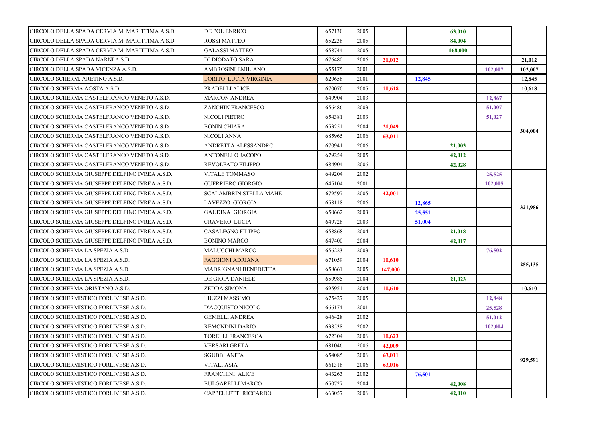| CIRCOLO DELLA SPADA CERVIA M. MARITTIMA A.S.D. | DE POL ENRICO                 | 657130 | 2005 |         |        | 63,010  |         |         |
|------------------------------------------------|-------------------------------|--------|------|---------|--------|---------|---------|---------|
| CIRCOLO DELLA SPADA CERVIA M. MARITTIMA A.S.D. | <b>ROSSI MATTEO</b>           | 652238 | 2005 |         |        | 84,004  |         |         |
| CIRCOLO DELLA SPADA CERVIA M. MARITTIMA A.S.D. | <b>GALASSI MATTEO</b>         | 658744 | 2005 |         |        | 168,000 |         |         |
| CIRCOLO DELLA SPADA NARNI A.S.D.               | DI DIODATO SARA               | 676480 | 2006 | 21,012  |        |         |         | 21,012  |
| CIRCOLO DELLA SPADA VICENZA A.S.D.             | AMBROSINI EMILIANO            | 655175 | 2001 |         |        |         | 102,007 | 102,007 |
| CIRCOLO SCHERM. ARETINO A.S.D.                 | <b>LORITO LUCIA VIRGINIA</b>  | 629658 | 2001 |         | 12,845 |         |         | 12,845  |
| CIRCOLO SCHERMA AOSTA A.S.D.                   | PRADELLI ALICE                | 670070 | 2005 | 10.618  |        |         |         | 10.618  |
| CIRCOLO SCHERMA CASTELFRANCO VENETO A.S.D.     | <b>MARCON ANDREA</b>          | 649904 | 2003 |         |        |         | 12,867  |         |
| CIRCOLO SCHERMA CASTELFRANCO VENETO A.S.D.     | <b>ZANCHIN FRANCESCO</b>      | 656486 | 2003 |         |        |         | 51,007  |         |
| CIRCOLO SCHERMA CASTELFRANCO VENETO A.S.D.     | NICOLI PIETRO                 | 654381 | 2003 |         |        |         | 51,027  |         |
| CIRCOLO SCHERMA CASTELFRANCO VENETO A.S.D.     | <b>BONIN CHIARA</b>           | 653251 | 2004 | 21,049  |        |         |         |         |
| CIRCOLO SCHERMA CASTELFRANCO VENETO A.S.D.     | NICOLI ANNA                   | 685965 | 2006 | 63,011  |        |         |         | 304.004 |
| CIRCOLO SCHERMA CASTELFRANCO VENETO A.S.D.     | ANDRETTA ALESSANDRO           | 670941 | 2006 |         |        | 21,003  |         |         |
| CIRCOLO SCHERMA CASTELFRANCO VENETO A.S.D.     | ANTONELLO JACOPO              | 679254 | 2005 |         |        | 42,012  |         |         |
| CIRCOLO SCHERMA CASTELFRANCO VENETO A.S.D.     | REVOLFATO FILIPPO             | 684904 | 2006 |         |        | 42,028  |         |         |
| CIRCOLO SCHERMA GIUSEPPE DELFINO IVREA A.S.D.  | <b>VITALE TOMMASO</b>         | 649204 | 2002 |         |        |         | 25,525  |         |
| CIRCOLO SCHERMA GIUSEPPE DELFINO IVREA A.S.D.  | <b>GUERRIERO GIORGIO</b>      | 645104 | 2001 |         |        |         | 102,005 |         |
| CIRCOLO SCHERMA GIUSEPPE DELFINO IVREA A.S.D.  | <b>SCALAMBRIN STELLA MAHE</b> | 679597 | 2005 | 42,001  |        |         |         |         |
| CIRCOLO SCHERMA GIUSEPPE DELFINO IVREA A.S.D.  | LAVEZZO GIORGIA               | 658118 | 2006 |         | 12,865 |         |         |         |
| CIRCOLO SCHERMA GIUSEPPE DELFINO IVREA A.S.D.  | GAUDINA GIORGIA               | 650662 | 2003 |         | 25,551 |         |         | 321,986 |
| CIRCOLO SCHERMA GIUSEPPE DELFINO IVREA A.S.D.  | CRAVERO LUCIA                 | 649728 | 2003 |         | 51,004 |         |         |         |
| CIRCOLO SCHERMA GIUSEPPE DELFINO IVREA A.S.D.  | <b>CASALEGNO FILIPPO</b>      | 658868 | 2004 |         |        | 21,018  |         |         |
| CIRCOLO SCHERMA GIUSEPPE DELFINO IVREA A.S.D.  | <b>BONINO MARCO</b>           | 647400 | 2004 |         |        | 42,017  |         |         |
| CIRCOLO SCHERMA LA SPEZIA A.S.D.               | <b>MALUCCHI MARCO</b>         | 656223 | 2003 |         |        |         | 76,502  |         |
| CIRCOLO SCHERMA LA SPEZIA A.S.D.               | FAGGIONI ADRIANA              | 671059 | 2004 | 10.610  |        |         |         |         |
| CIRCOLO SCHERMA LA SPEZIA A.S.D.               | MADRIGNANI BENEDETTA          | 658661 | 2005 | 147,000 |        |         |         | 255,135 |
| CIRCOLO SCHERMA LA SPEZIA A.S.D.               | DE GIOIA DANIELE              | 659985 | 2004 |         |        | 21,023  |         |         |
| CIRCOLO SCHERMA ORISTANO A.S.D.                | <b>ZEDDA SIMONA</b>           | 695951 | 2004 | 10.610  |        |         |         | 10.610  |
| CIRCOLO SCHERMISTICO FORLIVESE A.S.D.          | LIUZZI MASSIMO                | 675427 | 2005 |         |        |         | 12,848  |         |
| CIRCOLO SCHERMISTICO FORLIVESE A.S.D.          | D'ACQUISTO NICOLO             | 666174 | 2001 |         |        |         | 25,528  |         |
| CIRCOLO SCHERMISTICO FORLIVESE A.S.D.          | <b>GEMELLI ANDREA</b>         | 646428 | 2002 |         |        |         | 51,012  |         |
| CIRCOLO SCHERMISTICO FORLIVESE A.S.D.          | REMONDINI DARIO               | 638538 | 2002 |         |        |         | 102,004 |         |
| CIRCOLO SCHERMISTICO FORLIVESE A.S.D.          | TORELLI FRANCESCA             | 672304 | 2006 | 10,623  |        |         |         |         |
| CIRCOLO SCHERMISTICO FORLIVESE A.S.D.          | VERSARI GRETA                 | 681046 | 2006 | 42,009  |        |         |         |         |
| CIRCOLO SCHERMISTICO FORLIVESE A.S.D.          | SGUBBI ANITA                  | 654085 | 2006 | 63,011  |        |         |         |         |
| CIRCOLO SCHERMISTICO FORLIVESE A.S.D.          | VITALI ASIA                   | 661318 | 2006 | 63,016  |        |         |         | 929,591 |
| CIRCOLO SCHERMISTICO FORLIVESE A.S.D.          | FRANCHINI ALICE               | 643263 | 2002 |         | 76.501 |         |         |         |
| CIRCOLO SCHERMISTICO FORLIVESE A.S.D.          | BULGARELLI MARCO              | 650727 | 2004 |         |        | 42,008  |         |         |
| CIRCOLO SCHERMISTICO FORLIVESE A.S.D.          | CAPPELLETTI RICCARDO          | 663057 | 2006 |         |        | 42,010  |         |         |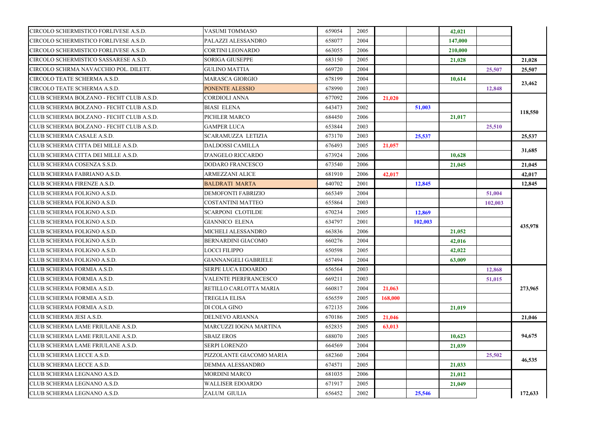| CIRCOLO SCHERMISTICO FORLIVESE A.S.D.    | VASUMI TOMMASO              | 659054 | 2005 |         |         | 42,021  |         |         |
|------------------------------------------|-----------------------------|--------|------|---------|---------|---------|---------|---------|
| CIRCOLO SCHERMISTICO FORLIVESE A.S.D.    | PALAZZI ALESSANDRO          | 658077 | 2004 |         |         | 147,000 |         |         |
| CIRCOLO SCHERMISTICO FORLIVESE A.S.D.    | CORTINI LEONARDO            | 663055 | 2006 |         |         | 210,000 |         |         |
| CIRCOLO SCHERMISTICO SASSARESE A.S.D.    | <b>SORIGA GIUSEPPE</b>      | 683150 | 2005 |         |         | 21,028  |         | 21,028  |
| CIRCOLO SCHRMA NAVACCHIO POL. DILETT.    | <b>GULINO MATTIA</b>        | 669720 | 2004 |         |         |         | 25,507  | 25,507  |
| CIRCOLO TEATE SCHERMA A.S.D.             | <b>MARASCA GIORGIO</b>      | 678199 | 2004 |         |         | 10,614  |         |         |
| CIRCOLO TEATE SCHERMA A.S.D.             | PONENTE ALESSIO             | 678990 | 2003 |         |         |         | 12,848  | 23,462  |
| CLUB SCHERMA BOLZANO - FECHT CLUB A.S.D. | CORDIOLI ANNA               | 677092 | 2006 | 21,020  |         |         |         |         |
| CLUB SCHERMA BOLZANO - FECHT CLUB A.S.D. | <b>BIASI ELENA</b>          | 643473 | 2002 |         | 51,003  |         |         |         |
| CLUB SCHERMA BOLZANO - FECHT CLUB A.S.D. | PICHLER MARCO               | 684450 | 2006 |         |         | 21,017  |         | 118,550 |
| CLUB SCHERMA BOLZANO - FECHT CLUB A.S.D. | GAMPER LUCA                 | 653844 | 2003 |         |         |         | 25,510  |         |
| CLUB SCHERMA CASALE A.S.D.               | SCARAMUZZA LETIZIA          | 673170 | 2003 |         | 25,537  |         |         | 25,537  |
| CLUB SCHERMA CITTA DEI MILLE A.S.D.      | DALDOSSI CAMILLA            | 676493 | 2005 | 21,057  |         |         |         |         |
| CLUB SCHERMA CITTA DEI MILLE A.S.D.      | D'ANGELO RICCARDO           | 673924 | 2006 |         |         | 10,628  |         | 31.685  |
| CLUB SCHERMA COSENZA S.S.D.              | <b>DODARO FRANCESCO</b>     | 673540 | 2006 |         |         | 21,045  |         | 21,045  |
| CLUB SCHERMA FABRIANO A.S.D.             | <b>ARMEZZANI ALICE</b>      | 681910 | 2006 | 42,017  |         |         |         | 42,017  |
| CLUB SCHERMA FIRENZE A.S.D.              | <b>BALDRATI MARTA</b>       | 640702 | 2001 |         | 12,845  |         |         | 12,845  |
| CLUB SCHERMA FOLIGNO A.S.D.              | DEMOFONTI FABRIZIO          | 665349 | 2004 |         |         |         | 51,004  |         |
| CLUB SCHERMA FOLIGNO A.S.D.              | <b>COSTANTINI MATTEO</b>    | 655864 | 2003 |         |         |         | 102,003 |         |
| CLUB SCHERMA FOLIGNO A.S.D.              | <b>SCARPONI CLOTILDE</b>    | 670234 | 2005 |         | 12,869  |         |         |         |
| CLUB SCHERMA FOLIGNO A.S.D.              | <b>GIANNICO ELENA</b>       | 634797 | 2001 |         | 102,003 |         |         |         |
| CLUB SCHERMA FOLIGNO A.S.D.              | MICHELI ALESSANDRO          | 663836 | 2006 |         |         | 21,052  |         | 435,978 |
| CLUB SCHERMA FOLIGNO A.S.D.              | BERNARDINI GIACOMO          | 660276 | 2004 |         |         | 42,016  |         |         |
| CLUB SCHERMA FOLIGNO A.S.D.              | LOCCI FILIPPO               | 650598 | 2005 |         |         | 42,022  |         |         |
| CLUB SCHERMA FOLIGNO A.S.D.              | <b>GIANNANGELI GABRIELE</b> | 657494 | 2004 |         |         | 63,009  |         |         |
| CLUB SCHERMA FORMIA A.S.D.               | SERPE LUCA EDOARDO          | 656564 | 2003 |         |         |         | 12,868  |         |
| CLUB SCHERMA FORMIA A.S.D.               | VALENTE PIERFRANCESCO       | 669211 | 2003 |         |         |         | 51,015  |         |
| CLUB SCHERMA FORMIA A.S.D.               | RETILLO CARLOTTA MARIA      | 660817 | 2004 | 21,063  |         |         |         | 273,965 |
| CLUB SCHERMA FORMIA A.S.D.               | <b>TREGLIA ELISA</b>        | 656559 | 2005 | 168,000 |         |         |         |         |
| CLUB SCHERMA FORMIA A.S.D.               | DI COLA GINO                | 672135 | 2006 |         |         | 21,019  |         |         |
| CLUB SCHERMA JESI A.S.D.                 | <b>DELNEVO ARIANNA</b>      | 670186 | 2005 | 21,046  |         |         |         | 21,046  |
| CLUB SCHERMA LAME FRIULANE A.S.D.        | MARCUZZI IOGNA MARTINA      | 652835 | 2005 | 63,013  |         |         |         |         |
| CLUB SCHERMA LAME FRIULANE A.S.D.        | <b>SBAIZ EROS</b>           | 688070 | 2005 |         |         | 10,623  |         | 94,675  |
| CLUB SCHERMA LAME FRIULANE A.S.D.        | <b>SERPI LORENZO</b>        | 664569 | 2004 |         |         | 21.039  |         |         |
| CLUB SCHERMA LECCE A.S.D.                | PIZZOLANTE GIACOMO MARIA    | 682360 | 2004 |         |         |         | 25,502  |         |
| CLUB SCHERMA LECCE A.S.D.                | DEMMA ALESSANDRO            | 674571 | 2005 |         |         | 21,033  |         | 46,535  |
| CLUB SCHERMA LEGNANO A.S.D.              | <b>MORDINI MARCO</b>        | 681035 | 2006 |         |         | 21,012  |         |         |
| CLUB SCHERMA LEGNANO A.S.D.              | <b>WALLISER EDOARDO</b>     | 671917 | 2005 |         |         | 21,049  |         |         |
| CLUB SCHERMA LEGNANO A.S.D.              | ZALUM GIULIA                | 656452 | 2002 |         | 25,546  |         |         | 172,633 |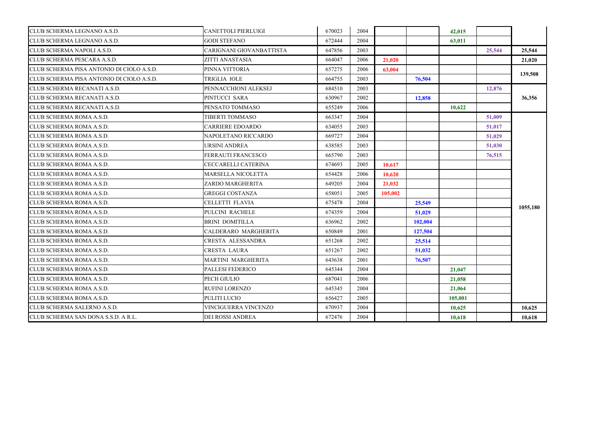| CLUB SCHERMA LEGNANO A.S.D.               | CANETTOLI PIERLUIGI         | 670023 | 2004 |         |         | 42,015  |        |          |
|-------------------------------------------|-----------------------------|--------|------|---------|---------|---------|--------|----------|
| CLUB SCHERMA LEGNANO A.S.D.               | <b>GODI STEFANO</b>         | 672444 | 2004 |         |         | 63,011  |        |          |
| CLUB SCHERMA NAPOLI A.S.D.                | CARIGNANI GIOVANBATTISTA    | 647856 | 2003 |         |         |         | 25,544 | 25,544   |
| CLUB SCHERMA PESCARA A.S.D.               | ZITTI ANASTASIA             | 664047 | 2006 | 21.020  |         |         |        | 21,020   |
| CLUB SCHERMA PISA ANTONIO DI CIOLO A.S.D. | PINNA VITTORIA              | 657275 | 2006 | 63,004  |         |         |        | 139,508  |
| CLUB SCHERMA PISA ANTONIO DI CIOLO A.S.D. | TRIGLIA IOLE                | 664755 | 2003 |         | 76,504  |         |        |          |
| CLUB SCHERMA RECANATI A.S.D.              | PENNACCHIONI ALEKSEJ        | 684510 | 2003 |         |         |         | 12,876 |          |
| CLUB SCHERMA RECANATI A.S.D.              | PINTUCCI SARA               | 630967 | 2002 |         | 12,858  |         |        | 36,356   |
| CLUB SCHERMA RECANATI A.S.D.              | PENSATO TOMMASO             | 655249 | 2006 |         |         | 10.622  |        |          |
| CLUB SCHERMA ROMA A.S.D.                  | TIBERTI TOMMASO             | 663347 | 2004 |         |         |         | 51,009 |          |
| CLUB SCHERMA ROMA A.S.D.                  | CARRIERE EDOARDO            | 634055 | 2003 |         |         |         | 51,017 |          |
| CLUB SCHERMA ROMA A.S.D.                  | NAPOLETANO RICCARDO         | 669727 | 2004 |         |         |         | 51,029 |          |
| CLUB SCHERMA ROMA A.S.D.                  | URSINI ANDREA               | 638585 | 2003 |         |         |         | 51,030 |          |
| CLUB SCHERMA ROMA A.S.D.                  | FERRAUTI FRANCESCO          | 665790 | 2003 |         |         |         | 76,515 |          |
| CLUB SCHERMA ROMA A.S.D.                  | CECCARELLI CATERINA         | 674693 | 2005 | 10.617  |         |         |        |          |
| CLUB SCHERMA ROMA A.S.D.                  | MARSELLA NICOLETTA          | 654428 | 2006 | 10.620  |         |         |        |          |
| CLUB SCHERMA ROMA A.S.D.                  | ZARDO MARGHERITA            | 649205 | 2004 | 21,032  |         |         |        |          |
| CLUB SCHERMA ROMA A.S.D.                  | <b>GREGGI COSTANZA</b>      | 658051 | 2005 | 105,002 |         |         |        |          |
| CLUB SCHERMA ROMA A.S.D.                  | CELLETTI FLAVIA             | 675478 | 2004 |         | 25,549  |         |        | 1055,180 |
| CLUB SCHERMA ROMA A.S.D.                  | PULCINI RACHELE             | 674359 | 2004 |         | 51,029  |         |        |          |
| CLUB SCHERMA ROMA A.S.D.                  | <b>BRINI DOMITILLA</b>      | 636962 | 2002 |         | 102,004 |         |        |          |
| CLUB SCHERMA ROMA A.S.D.                  | CALDERARO MARGHERITA        | 650849 | 2001 |         | 127,504 |         |        |          |
| CLUB SCHERMA ROMA A.S.D.                  | CRESTA ALESSANDRA           | 651268 | 2002 |         | 25,514  |         |        |          |
| CLUB SCHERMA ROMA A.S.D.                  | CRESTA LAURA                | 651267 | 2002 |         | 51,032  |         |        |          |
| CLUB SCHERMA ROMA A.S.D.                  | MARTINI MARGHERITA          | 643638 | 2001 |         | 76.507  |         |        |          |
| CLUB SCHERMA ROMA A.S.D.                  | PALLESI FEDERICO            | 645344 | 2004 |         |         | 21,047  |        |          |
| CLUB SCHERMA ROMA A.S.D.                  | PECH GIULIO                 | 687041 | 2006 |         |         | 21,058  |        |          |
| CLUB SCHERMA ROMA A.S.D.                  | RUFINI LORENZO              | 645345 | 2004 |         |         | 21,064  |        |          |
| CLUB SCHERMA ROMA A.S.D.                  | PULITI LUCIO                | 656427 | 2005 |         |         | 105,001 |        |          |
| CLUB SCHERMA SALERNO A.S.D.               | <b>VINCIGUERRA VINCENZO</b> | 670937 | 2004 |         |         | 10,625  |        | 10.625   |
| CLUB SCHERMA SAN DONA S.S.D. A R.L.       | DEI ROSSI ANDREA            | 672476 | 2004 |         |         | 10.618  |        | 10.618   |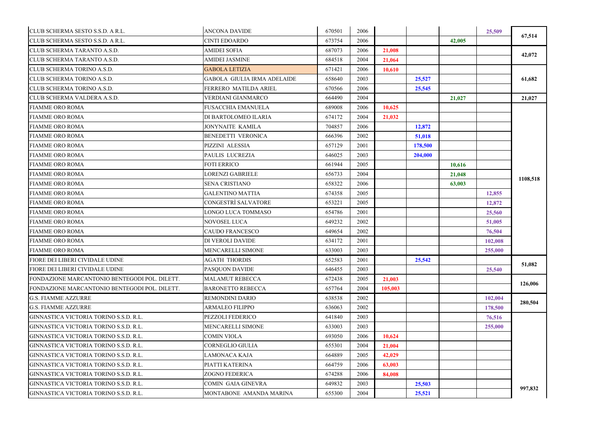| CLUB SCHERMA SESTO S.S.D. A R.L.              | <b>ANCONA DAVIDE</b>               | 670501 | 2006 |         |         |        | 25,509  |          |
|-----------------------------------------------|------------------------------------|--------|------|---------|---------|--------|---------|----------|
| CLUB SCHERMA SESTO S.S.D. A R.L.              | <b>CINTI EDOARDO</b>               | 673754 | 2006 |         |         | 42,005 |         | 67,514   |
| CLUB SCHERMA TARANTO A.S.D.                   | <b>AMIDEI SOFIA</b>                | 687073 | 2006 | 21,008  |         |        |         |          |
| CLUB SCHERMA TARANTO A.S.D.                   | <b>AMIDEI JASMINE</b>              | 684518 | 2004 | 21,064  |         |        |         | 42,072   |
| CLUB SCHERMA TORINO A.S.D.                    | <b>GABOLA LETIZIA</b>              | 671421 | 2006 | 10,610  |         |        |         |          |
| CLUB SCHERMA TORINO A.S.D.                    | <b>GABOLA GIULIA IRMA ADELAIDE</b> | 658640 | 2003 |         | 25,527  |        |         | 61,682   |
| CLUB SCHERMA TORINO A.S.D.                    | FERRERO MATILDA ARIEL              | 670566 | 2006 |         | 25,545  |        |         |          |
| CLUB SCHERMA VALDERA A.S.D.                   | VERDIANI GIANMARCO                 | 664490 | 2004 |         |         | 21,027 |         | 21,027   |
| FIAMME ORO ROMA                               | <b>FUSACCHIA EMANUELA</b>          | 689008 | 2006 | 10.625  |         |        |         |          |
| FIAMME ORO ROMA                               | DI BARTOLOMEO ILARIA               | 674172 | 2004 | 21,032  |         |        |         |          |
| <b>FIAMME ORO ROMA</b>                        | JONYNAITE KAMILA                   | 704857 | 2006 |         | 12,872  |        |         |          |
| <b>FIAMME ORO ROMA</b>                        | BENEDETTI VERONICA                 | 666396 | 2002 |         | 51,018  |        |         |          |
| <b>FIAMME ORO ROMA</b>                        | PIZZINI ALESSIA                    | 657129 | 2001 |         | 178,500 |        |         |          |
| <b>FIAMME ORO ROMA</b>                        | PAULIS LUCREZIA                    | 646025 | 2003 |         | 204,000 |        |         |          |
| FIAMME ORO ROMA                               | <b>FOTI ERRICO</b>                 | 661944 | 2005 |         |         | 10,616 |         |          |
| <b>FIAMME ORO ROMA</b>                        | <b>LORENZI GABRIELE</b>            | 656733 | 2004 |         |         | 21,048 |         |          |
| <b>FIAMME ORO ROMA</b>                        | <b>SENA CRISTIANO</b>              | 658322 | 2006 |         |         | 63,003 |         | 1108,518 |
| <b>FIAMME ORO ROMA</b>                        | <b>GALENTINO MATTIA</b>            | 674358 | 2005 |         |         |        | 12,855  |          |
| <b>FIAMME ORO ROMA</b>                        | CONGESTRÌ SALVATORE                | 653221 | 2005 |         |         |        | 12,872  |          |
| FIAMME ORO ROMA                               | LONGO LUCA TOMMASO                 | 654786 | 2001 |         |         |        | 25,560  |          |
| FIAMME ORO ROMA                               | NOVOSEL LUCA                       | 649232 | 2002 |         |         |        | 51,005  |          |
| <b>FIAMME ORO ROMA</b>                        | CAUDO FRANCESCO                    | 649654 | 2002 |         |         |        | 76,504  |          |
| <b>FIAMME ORO ROMA</b>                        | DI VEROLI DAVIDE                   | 634172 | 2001 |         |         |        | 102,008 |          |
| <b>FIAMME ORO ROMA</b>                        | MENCARELLI SIMONE                  | 633003 | 2003 |         |         |        | 255,000 |          |
| FIORE DEI LIBERI CIVIDALE UDINE               | <b>AGATH THORDIS</b>               | 652583 | 2001 |         | 25,542  |        |         |          |
| FIORE DEI LIBERI CIVIDALE UDINE               | <b>PASQUON DAVIDE</b>              | 646455 | 2003 |         |         |        | 25,540  | 51,082   |
| FONDAZIONE MARCANTONIO BENTEGODI POL. DILETT. | <b>MALAMUT REBECCA</b>             | 672438 | 2005 | 21,003  |         |        |         |          |
| FONDAZIONE MARCANTONIO BENTEGODI POL. DILETT. | <b>BARONETTO REBECCA</b>           | 657764 | 2004 | 105,003 |         |        |         | 126,006  |
| <b>G.S. FIAMME AZZURRE</b>                    | <b>REMONDINI DARIO</b>             | 638538 | 2002 |         |         |        | 102,004 |          |
| <b>G.S. FIAMME AZZURRE</b>                    | <b>ARMALEO FILIPPO</b>             | 636063 | 2002 |         |         |        | 178,500 | 280,504  |
| GINNASTICA VICTORIA TORINO S.S.D. R.L.        | PEZZOLI FEDERICO                   | 641840 | 2003 |         |         |        | 76,516  |          |
| GINNASTICA VICTORIA TORINO S.S.D. R.L.        | MENCARELLI SIMONE                  | 633003 | 2003 |         |         |        | 255,000 |          |
| GINNASTICA VICTORIA TORINO S.S.D. R.L.        | <b>COMIN VIOLA</b>                 | 693050 | 2006 | 10,624  |         |        |         |          |
| GINNASTICA VICTORIA TORINO S.S.D. R.L.        | CORNEGLIO GIULIA                   | 655301 | 2004 | 21,004  |         |        |         |          |
| GINNASTICA VICTORIA TORINO S.S.D. R.L.        | LAMONACA KAJA                      | 664889 | 2005 | 42,029  |         |        |         |          |
| GINNASTICA VICTORIA TORINO S.S.D. R.L.        | PIATTI KATERINA                    | 664759 | 2006 | 63,003  |         |        |         |          |
| GINNASTICA VICTORIA TORINO S.S.D. R.L.        | ZOGNO FEDERICA                     | 674288 | 2006 | 84,008  |         |        |         |          |
| GINNASTICA VICTORIA TORINO S.S.D. R.L.        | COMIN GAIA GINEVRA                 | 649832 | 2003 |         | 25,503  |        |         |          |
| GINNASTICA VICTORIA TORINO S.S.D. R.L.        | MONTABONE AMANDA MARINA            | 655300 | 2004 |         | 25,521  |        |         | 997,832  |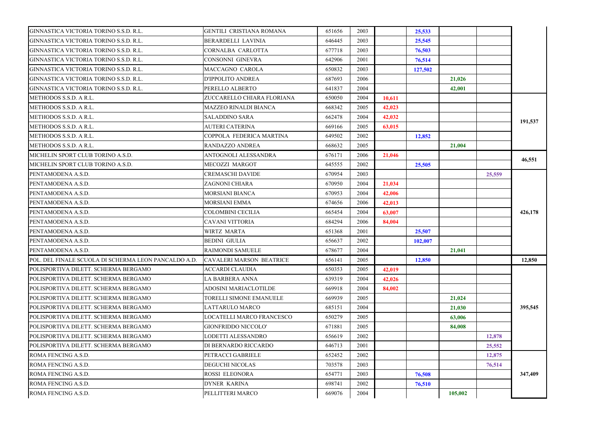| GINNASTICA VICTORIA TORINO S.S.D. R.L.               | GENTILI CRISTIANA ROMANA        | 651656 | 2003 |        | 25,533  |         |        |         |
|------------------------------------------------------|---------------------------------|--------|------|--------|---------|---------|--------|---------|
| GINNASTICA VICTORIA TORINO S.S.D. R.L.               | BERARDELLI LAVINIA              | 646445 | 2003 |        | 25,545  |         |        |         |
| GINNASTICA VICTORIA TORINO S.S.D. R.L.               | CORNALBA CARLOTTA               | 677718 | 2003 |        | 76,503  |         |        |         |
| GINNASTICA VICTORIA TORINO S.S.D. R.L.               | CONSONNI GINEVRA                | 642906 | 2001 |        | 76,514  |         |        |         |
| GINNASTICA VICTORIA TORINO S.S.D. R.L.               | MACCAGNO CAROLA                 | 650832 | 2003 |        | 127,502 |         |        |         |
| GINNASTICA VICTORIA TORINO S.S.D. R.L.               | D'IPPOLITO ANDREA               | 687693 | 2006 |        |         | 21,026  |        |         |
| GINNASTICA VICTORIA TORINO S.S.D. R.L.               | PERELLO ALBERTO                 | 641837 | 2004 |        |         | 42,001  |        |         |
| METHODOS S.S.D. A R.L.                               | ZUCCARELLO CHIARA FLORIANA      | 650050 | 2004 | 10,611 |         |         |        |         |
| METHODOS S.S.D. A R.L.                               | MAZZEO RINALDI BIANCA           | 668342 | 2005 | 42,023 |         |         |        |         |
| METHODOS S.S.D. A R.L.                               | <b>SALADDINO SARA</b>           | 662478 | 2004 | 42,032 |         |         |        |         |
| METHODOS S.S.D. A R.L.                               | <b>AUTERI CATERINA</b>          | 669166 | 2005 | 63,015 |         |         |        | 191,537 |
| METHODOS S.S.D. A R.L.                               | COPPOLA FEDERICA MARTINA        | 649502 | 2002 |        | 12,852  |         |        |         |
| METHODOS S.S.D. A R.L.                               | RANDAZZO ANDREA                 | 668632 | 2005 |        |         | 21,004  |        |         |
| MICHELIN SPORT CLUB TORINO A.S.D.                    | ANTOGNOLI ALESSANDRA            | 676171 | 2006 | 21,046 |         |         |        |         |
| MICHELIN SPORT CLUB TORINO A.S.D.                    | MECOZZI MARGOT                  | 645555 | 2002 |        | 25,505  |         |        | 46,551  |
| PENTAMODENA A.S.D.                                   | CREMASCHI DAVIDE                | 670954 | 2003 |        |         |         | 25,559 |         |
| PENTAMODENA A.S.D.                                   | ZAGNONI CHIARA                  | 670950 | 2004 | 21,034 |         |         |        |         |
| PENTAMODENA A.S.D.                                   | MORSIANI BIANCA                 | 670953 | 2004 | 42,006 |         |         |        |         |
| PENTAMODENA A.S.D.                                   | MORSIANI EMMA                   | 674656 | 2006 | 42,013 |         |         |        |         |
| PENTAMODENA A.S.D.                                   | COLOMBINI CECILIA               | 665454 | 2004 | 63,007 |         |         |        | 426,178 |
| PENTAMODENA A.S.D.                                   | CAVANI VITTORIA                 | 684294 | 2006 | 84,004 |         |         |        |         |
| PENTAMODENA A.S.D.                                   | WIRTZ MARTA                     | 651368 | 2001 |        | 25,507  |         |        |         |
| PENTAMODENA A.S.D.                                   | BEDINI GIULIA                   | 656637 | 2002 |        | 102,007 |         |        |         |
| PENTAMODENA A.S.D.                                   | <b>RAIMONDI SAMUELE</b>         | 678677 | 2004 |        |         | 21,041  |        |         |
| POL. DEL FINALE SCUOLA DI SCHERMA LEON PANCALDO A.D. | <b>CAVALERI MARSON BEATRICE</b> | 656141 | 2005 |        | 12,850  |         |        | 12,850  |
| POLISPORTIVA DILETT. SCHERMA BERGAMO                 | ACCARDI CLAUDIA                 | 650353 | 2005 | 42,019 |         |         |        |         |
| POLISPORTIVA DILETT. SCHERMA BERGAMO                 | LA BARBERA ANNA                 | 639319 | 2004 | 42,026 |         |         |        |         |
| POLISPORTIVA DILETT. SCHERMA BERGAMO                 | ADOSINI MARIACLOTILDE           | 669918 | 2004 | 84,002 |         |         |        |         |
| POLISPORTIVA DILETT. SCHERMA BERGAMO                 | TORELLI SIMONE EMANUELE         | 669939 | 2005 |        |         | 21,024  |        |         |
| POLISPORTIVA DILETT. SCHERMA BERGAMO                 | LATTARULO MARCO                 | 685151 | 2004 |        |         | 21,030  |        | 395,545 |
| POLISPORTIVA DILETT. SCHERMA BERGAMO                 | LOCATELLI MARCO FRANCESCO       | 650279 | 2005 |        |         | 63,006  |        |         |
| POLISPORTIVA DILETT. SCHERMA BERGAMO                 | GIONFRIDDO NICCOLO'             | 671881 | 2005 |        |         | 84,008  |        |         |
| POLISPORTIVA DILETT. SCHERMA BERGAMO                 | LODETTI ALESSANDRO              | 656619 | 2002 |        |         |         | 12,878 |         |
| POLISPORTIVA DILETT. SCHERMA BERGAMO                 | DI BERNARDO RICCARDO            | 646713 | 2001 |        |         |         | 25,552 |         |
| ROMA FENCING A.S.D.                                  | PETRACCI GABRIELE               | 652452 | 2002 |        |         |         | 12,875 |         |
| ROMA FENCING A.S.D.                                  | <b>DEGUCHI NICOLAS</b>          | 703578 | 2003 |        |         |         | 76,514 |         |
| ROMA FENCING A.S.D.                                  | ROSSI ELEONORA                  | 654771 | 2003 |        | 76,508  |         |        | 347,409 |
| ROMA FENCING A.S.D.                                  | <b>DYNER KARINA</b>             | 698741 | 2002 |        | 76,510  |         |        |         |
| ROMA FENCING A.S.D.                                  | PELLITTERI MARCO                | 669076 | 2004 |        |         | 105,002 |        |         |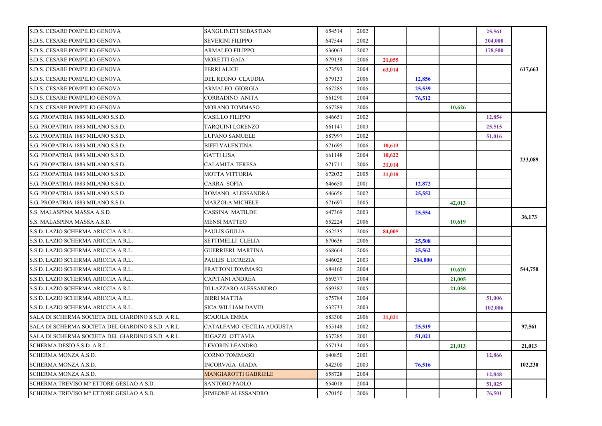| SANGUINETI SEBASTIAN      | 654514 | 2002 |        |         |        | 25,561  |         |
|---------------------------|--------|------|--------|---------|--------|---------|---------|
| SEVERINI FILIPPO          | 647544 | 2002 |        |         |        | 204,000 |         |
| ARMALEO FILIPPO           | 636063 | 2002 |        |         |        | 178,500 |         |
| MORETTI GAIA              | 679138 | 2006 | 21,055 |         |        |         |         |
| <b>FERRI ALICE</b>        | 673593 | 2004 | 63,014 |         |        |         | 617,663 |
| DEL REGNO CLAUDIA         | 679133 | 2006 |        | 12,856  |        |         |         |
| ARMALEO GIORGIA           | 667285 | 2006 |        | 25,539  |        |         |         |
| CORRADINO ANITA           | 661290 | 2004 |        | 76,512  |        |         |         |
| <b>MORANO TOMMASO</b>     | 667289 | 2006 |        |         | 10,626 |         |         |
| CASILLO FILIPPO           | 646651 | 2002 |        |         |        | 12,854  |         |
| TARQUINI LORENZO          | 661147 | 2003 |        |         |        | 25,515  |         |
| LUPANO SAMUELE            | 687997 | 2002 |        |         |        | 51,016  |         |
| BIFFI VALENTINA           | 671695 | 2006 | 10.613 |         |        |         |         |
| GATTI LISA                | 661148 | 2004 | 10.622 |         |        |         |         |
| <b>CALAMITA TERESA</b>    | 671711 | 2006 | 21,014 |         |        |         | 233,089 |
| MOTTA VITTORIA            | 672032 | 2005 | 21,018 |         |        |         |         |
| CARRA SOFIA               | 646650 | 2001 |        | 12,872  |        |         |         |
| ROMANO ALESSANDRA         | 646656 | 2002 |        | 25,552  |        |         |         |
| MARZOLA MICHELE           | 671697 | 2005 |        |         | 42,013 |         |         |
| CASSINA MATILDE           | 647369 | 2003 |        | 25,554  |        |         |         |
| <b>MENSI MATTEO</b>       | 652224 | 2006 |        |         | 10.619 |         | 36,173  |
| PAULIS GIULIA             | 662535 | 2006 | 84,005 |         |        |         |         |
| SETTIMELLI CLELIA         | 670636 | 2006 |        | 25,508  |        |         |         |
| <b>GUERRIERI MARTINA</b>  | 668664 | 2006 |        | 25,562  |        |         |         |
| PAULIS LUCREZIA           | 646025 | 2003 |        | 204,000 |        |         |         |
| FRATTONI TOMMASO          | 684160 | 2004 |        |         | 10,620 |         | 544,750 |
| CAPITANI ANDREA           | 669377 | 2004 |        |         | 21,005 |         |         |
| DI LAZZARO ALESSANDRO     | 669382 | 2005 |        |         | 21,038 |         |         |
| <b>BIRRI MATTIA</b>       | 675784 | 2004 |        |         |        | 51,006  |         |
| <b>SICA WILLIAM DAVID</b> | 632733 | 2003 |        |         |        | 102,006 |         |
| <b>SCAJOLA EMMA</b>       | 683300 | 2006 | 21.021 |         |        |         |         |
| CATALFAMO CECILIA AUGUSTA | 655148 | 2002 |        | 25,519  |        |         | 97,561  |
| RIGAZZI OTTAVIA           | 637285 | 2001 |        | 51,021  |        |         |         |
| LEVORIN LEANDRO           | 657134 | 2005 |        |         | 21,013 |         | 21,013  |
| CORNO TOMMASO             | 640850 | 2001 |        |         |        | 12,866  |         |
| INCORVAIA GIADA           | 642300 | 2003 |        | 76,516  |        |         | 102,230 |
| MANGIAROTTI GABRIELE      | 658728 | 2004 |        |         |        | 12,848  |         |
| <b>SANTORO PAOLO</b>      | 654018 | 2004 |        |         |        | 51,025  |         |
| SIMEONE ALESSANDRO        | 670150 | 2006 |        |         |        | 76,501  |         |
|                           |        |      |        |         |        |         |         |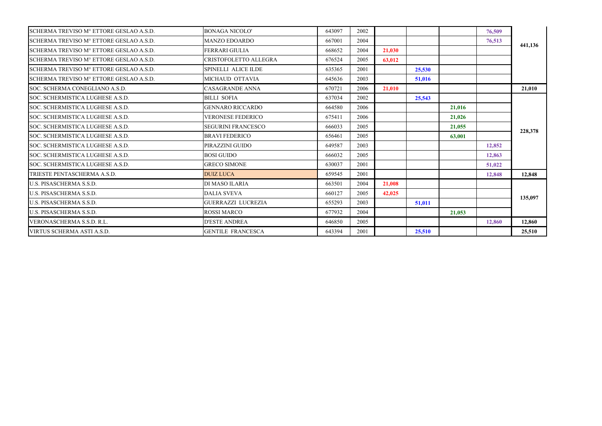| SCHERMA TREVISO M° ETTORE GESLAO A.S.D. | <b>BONAGA NICOLO'</b>      | 643097 | 2002 |        |        |        | 76,509 |         |
|-----------------------------------------|----------------------------|--------|------|--------|--------|--------|--------|---------|
| SCHERMA TREVISO M° ETTORE GESLAO A.S.D. | <b>MANZO EDOARDO</b>       | 667001 | 2004 |        |        |        | 76,513 |         |
| SCHERMA TREVISO Mº ETTORE GESLAO A.S.D. | FERRARI GIULIA             | 668652 | 2004 | 21.030 |        |        |        | 441,136 |
| SCHERMA TREVISO M° ETTORE GESLAO A.S.D. | CRISTOFOLETTO ALLEGRA      | 676524 | 2005 | 63,012 |        |        |        |         |
| SCHERMA TREVISO M° ETTORE GESLAO A.S.D. | <b>SPINELLI ALICE ILDE</b> | 635365 | 2001 |        | 25,530 |        |        |         |
| SCHERMA TREVISO M° ETTORE GESLAO A.S.D. | MICHAUD OTTAVIA            | 645636 | 2003 |        | 51,016 |        |        |         |
| SOC. SCHERMA CONEGLIANO A.S.D.          | <b>CASAGRANDE ANNA</b>     | 670721 | 2006 | 21.010 |        |        |        | 21.010  |
| SOC. SCHERMISTICA LUGHESE A.S.D.        | <b>BILLI SOFIA</b>         | 637034 | 2002 |        | 25,543 |        |        |         |
| SOC. SCHERMISTICA LUGHESE A.S.D.        | <b>GENNARO RICCARDO</b>    | 664580 | 2006 |        |        | 21,016 |        |         |
| SOC. SCHERMISTICA LUGHESE A.S.D.        | <b>VERONESE FEDERICO</b>   | 675411 | 2006 |        |        | 21,026 |        |         |
| SOC. SCHERMISTICA LUGHESE A.S.D.        | <b>SEGURINI FRANCESCO</b>  | 666033 | 2005 |        |        | 21,055 |        |         |
| SOC. SCHERMISTICA LUGHESE A.S.D.        | <b>BRAVI FEDERICO</b>      | 656461 | 2005 |        |        | 63,001 |        | 228,378 |
| SOC. SCHERMISTICA LUGHESE A.S.D.        | PIRAZZINI GUIDO            | 649587 | 2003 |        |        |        | 12,852 |         |
| SOC. SCHERMISTICA LUGHESE A.S.D.        | <b>BOSI GUIDO</b>          | 666032 | 2005 |        |        |        | 12,863 |         |
| SOC. SCHERMISTICA LUGHESE A.S.D.        | <b>GRECO SIMONE</b>        | 630037 | 2001 |        |        |        | 51,022 |         |
| TRIESTE PENTASCHERMA A.S.D.             | <b>DUIZ LUCA</b>           | 659545 | 2001 |        |        |        | 12,848 | 12,848  |
| <b>U.S. PISASCHERMA S.S.D.</b>          | DI MASO ILARIA             | 663501 | 2004 | 21,008 |        |        |        |         |
| <b>U.S. PISASCHERMA S.S.D.</b>          | <b>DALIA SVEVA</b>         | 660127 | 2005 | 42,025 |        |        |        | 135,097 |
| <b>U.S. PISASCHERMA S.S.D.</b>          | <b>GUERRAZZI LUCREZIA</b>  | 655293 | 2003 |        | 51.011 |        |        |         |
| <b>U.S. PISASCHERMA S.S.D.</b>          | <b>ROSSI MARCO</b>         | 677932 | 2004 |        |        | 21,053 |        |         |
| VERONASCHERMA S.S.D. R.L.               | <b>D'ESTE ANDREA</b>       | 646850 | 2005 |        |        |        | 12,860 | 12.860  |
| VIRTUS SCHERMA ASTI A.S.D.              | <b>GENTILE FRANCESCA</b>   | 643394 | 2001 |        | 25,510 |        |        | 25,510  |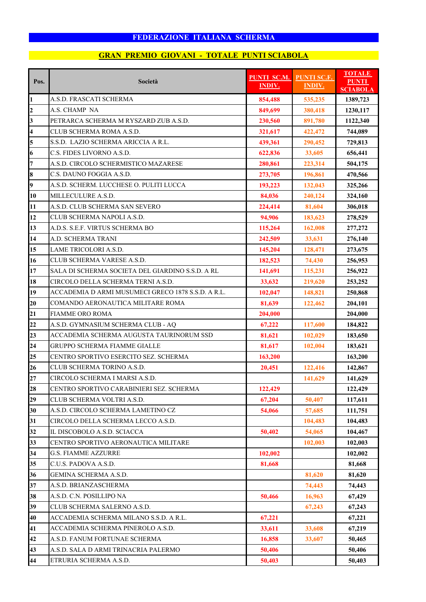## **GRAN PREMIO GIOVANI - TOTALE PUNTI SCIABOLA**

| Pos.                    | Società                                            | <b>PUNTI SC.M.</b><br><b>INDIV.</b> | <b>PUNTI SC.F.</b><br><b>INDIV.</b> | <b>TOTALE</b><br><b>PUNTI</b><br><b>SCIABOLA</b> |
|-------------------------|----------------------------------------------------|-------------------------------------|-------------------------------------|--------------------------------------------------|
| 1                       | A.S.D. FRASCATI SCHERMA                            | 854,488                             | 535,235                             | 1389,723                                         |
| $\overline{2}$          | A.S. CHAMP NA                                      | 849,699                             | 380,418                             | 1230,117                                         |
| $\mathbf{3}$            | PETRARCA SCHERMA M RYSZARD ZUB A.S.D.              | 230,560                             | 891,780                             | 1122,340                                         |
| $\overline{\mathbf{4}}$ | CLUB SCHERMA ROMA A.S.D.                           | 321,617                             | 422,472                             | 744,089                                          |
| 5                       | S.S.D. LAZIO SCHERMA ARICCIA A R.L.                | 439,361                             | 290,452                             | 729,813                                          |
| 6                       | C.S. FIDES LIVORNO A.S.D.                          | 622,836                             | 33,605                              | 656,441                                          |
| $\overline{7}$          | A.S.D. CIRCOLO SCHERMISTICO MAZARESE               | 280,861                             | 223,314                             | 504,175                                          |
| 8                       | C.S. DAUNO FOGGIA A.S.D.                           | 273,705                             | 196,861                             | 470,566                                          |
| $\overline{9}$          | A.S.D. SCHERM. LUCCHESE O. PULITI LUCCA            | 193,223                             | 132,043                             | 325,266                                          |
| 10                      | MILLECULURE A.S.D.                                 | 84,036                              | 240,124                             | 324,160                                          |
| 11                      | A.S.D. CLUB SCHERMA SAN SEVERO                     | 224,414                             | 81,604                              | 306,018                                          |
| 12                      | CLUB SCHERMA NAPOLI A.S.D.                         | 94,906                              | 183,623                             | 278,529                                          |
| 13                      | A.D.S. S.E.F. VIRTUS SCHERMA BO                    | 115,264                             | 162,008                             | 277,272                                          |
| 14                      | A.D. SCHERMA TRANI                                 | 242,509                             | 33,631                              | 276,140                                          |
| 15                      | LAME TRICOLORI A.S.D.                              | 145,204                             | 128,471                             | 273,675                                          |
| 16                      | CLUB SCHERMA VARESE A.S.D.                         | 182,523                             | 74,430                              | 256,953                                          |
| 17                      | SALA DI SCHERMA SOCIETA DEL GIARDINO S.S.D. A RL   | 141,691                             | 115,231                             | 256,922                                          |
| 18                      | CIRCOLO DELLA SCHERMA TERNI A.S.D.                 | 33,632                              | 219,620                             | 253,252                                          |
| 19                      | ACCADEMIA D ARMI MUSUMECI GRECO 1878 S.S.D. A R.L. | 102,047                             | 148,821                             | 250,868                                          |
| 20                      | COMANDO AERONAUTICA MILITARE ROMA                  | 81,639                              | 122,462                             | 204,101                                          |
| 21                      | <b>FIAMME ORO ROMA</b>                             | 204,000                             |                                     | 204,000                                          |
| 22                      | A.S.D. GYMNASIUM SCHERMA CLUB - AQ                 | 67,222                              | 117,600                             | 184,822                                          |
| 23                      | ACCADEMIA SCHERMA AUGUSTA TAURINORUM SSD           | 81,621                              | 102,029                             | 183,650                                          |
| 24                      | <b>GRUPPO SCHERMA FIAMME GIALLE</b>                | 81,617                              | 102,004                             | 183,621                                          |
| 25                      | CENTRO SPORTIVO ESERCITO SEZ. SCHERMA              | 163,200                             |                                     | 163,200                                          |
| 26                      | CLUB SCHERMA TORINO A.S.D.                         | 20,451                              | 122,416                             | 142,867                                          |
| 27                      | CIRCOLO SCHERMA I MARSI A.S.D.                     |                                     | 141,629                             | 141,629                                          |
| 28                      | CENTRO SPORTIVO CARABINIERI SEZ. SCHERMA           | 122,429                             |                                     | 122,429                                          |
| 29                      | CLUB SCHERMA VOLTRI A.S.D.                         | 67,204                              | 50,407                              | 117,611                                          |
| 30                      | A.S.D. CIRCOLO SCHERMA LAMETINO CZ                 | 54,066                              | 57,685                              | 111,751                                          |
| 31                      | CIRCOLO DELLA SCHERMA LECCO A.S.D.                 |                                     | 104,483                             | 104,483                                          |
| 32                      | IL DISCOBOLO A.S.D. SCIACCA                        | 50,402                              | 54,065                              | 104,467                                          |
| 33                      | CENTRO SPORTIVO AERONAUTICA MILITARE               |                                     | 102,003                             | 102,003                                          |
| 34                      | <b>G.S. FIAMME AZZURRE</b>                         | 102,002                             |                                     | 102,002                                          |
| 35                      | C.U.S. PADOVA A.S.D.                               | 81,668                              |                                     | 81,668                                           |
| 36                      | GEMINA SCHERMA A.S.D.                              |                                     | 81,620                              | 81,620                                           |
| 37                      | A.S.D. BRIANZASCHERMA                              |                                     | 74,443                              | 74,443                                           |
| 38                      | A.S.D. C.N. POSILLIPO NA                           | 50,466                              | 16,963                              | 67,429                                           |
| 39                      | CLUB SCHERMA SALERNO A.S.D.                        |                                     | 67,243                              | 67,243                                           |
| 40                      | ACCADEMIA SCHERMA MILANO S.S.D. A R.L.             | 67,221                              |                                     | 67,221                                           |
| 41                      | ACCADEMIA SCHERMA PINEROLO A.S.D.                  | 33,611                              | 33,608                              | 67,219                                           |
| 42                      | A.S.D. FANUM FORTUNAE SCHERMA                      | 16,858                              | 33,607                              | 50,465                                           |
| 43                      | A.S.D. SALA D ARMI TRINACRIA PALERMO               | 50,406                              |                                     | 50,406                                           |
| 44                      | ETRURIA SCHERMA A.S.D.                             | 50,403                              |                                     | 50,403                                           |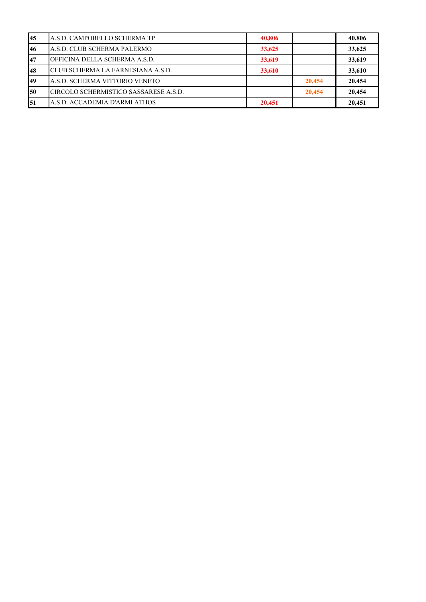| 45 | A.S.D. CAMPOBELLO SCHERMA TP          | 40,806 |        | 40,806 |
|----|---------------------------------------|--------|--------|--------|
| 46 | A.S.D. CLUB SCHERMA PALERMO           | 33,625 |        | 33,625 |
| 47 | OFFICINA DELLA SCHERMA A.S.D.         | 33,619 |        | 33,619 |
| 48 | CLUB SCHERMA LA FARNESIANA A.S.D.     | 33,610 |        | 33.610 |
| 49 | A.S.D. SCHERMA VITTORIO VENETO        |        | 20,454 | 20.454 |
| 50 | CIRCOLO SCHERMISTICO SASSARESE A.S.D. |        | 20,454 | 20.454 |
| 51 | A.S.D. ACCADEMIA D'ARMI ATHOS         | 20,451 |        | 20,451 |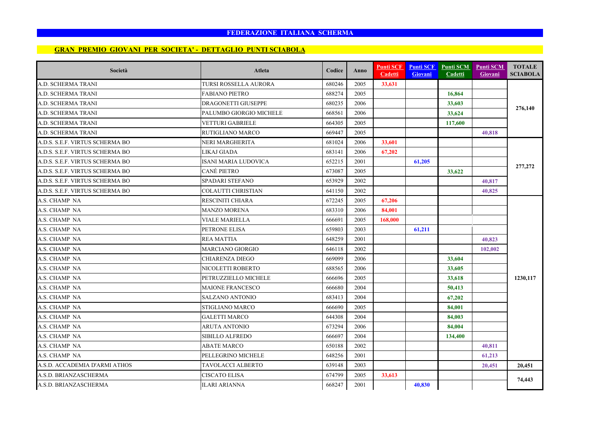#### **GRAN PREMIO GIOVANI PER SOCIETA' - DETTAGLIO PUNTI SCIABOLA**

| Società                         | Atleta                       | Codice | <b>Anno</b> | <b>Punti SCF</b><br><b>Cadetti</b> | <b>Punti SCF</b><br><b>Giovani</b> | Punti SCM<br>Cadetti | <b>Punti SCM</b><br>Giovani | <b>TOTALE</b><br><b>SCIABOLA</b> |
|---------------------------------|------------------------------|--------|-------------|------------------------------------|------------------------------------|----------------------|-----------------------------|----------------------------------|
| A.D. SCHERMA TRANI              | <b>TURSI ROSSELLA AURORA</b> | 680246 | 2005        | 33.631                             |                                    |                      |                             |                                  |
| A.D. SCHERMA TRANI              | <b>FABIANO PIETRO</b>        | 688274 | 2005        |                                    |                                    | 16,864               |                             |                                  |
| A.D. SCHERMA TRANI              | <b>DRAGONETTI GIUSEPPE</b>   | 680235 | 2006        |                                    |                                    | 33,603               |                             |                                  |
| A.D. SCHERMA TRANI              | PALUMBO GIORGIO MICHELE      | 668561 | 2006        |                                    |                                    | 33,624               |                             | 276,140                          |
| A.D. SCHERMA TRANI              | VETTURI GABRIELE             | 664305 | 2005        |                                    |                                    | 117,600              |                             |                                  |
| A.D. SCHERMA TRANI              | RUTIGLIANO MARCO             | 669447 | 2005        |                                    |                                    |                      | 40,818                      |                                  |
| A.D.S. S.E.F. VIRTUS SCHERMA BO | <b>NERI MARGHERITA</b>       | 681024 | 2006        | 33,601                             |                                    |                      |                             |                                  |
| A.D.S. S.E.F. VIRTUS SCHERMA BO | LIKAJ GIADA                  | 683141 | 2006        | 67,202                             |                                    |                      |                             |                                  |
| A.D.S. S.E.F. VIRTUS SCHERMA BO | ISANI MARIA LUDOVICA         | 652215 | 2001        |                                    | 61,205                             |                      |                             | 277,272                          |
| A.D.S. S.E.F. VIRTUS SCHERMA BO | CANÈ PIETRO                  | 673087 | 2005        |                                    |                                    | 33,622               |                             |                                  |
| A.D.S. S.E.F. VIRTUS SCHERMA BO | SPADARI STEFANO              | 653929 | 2002        |                                    |                                    |                      | 40,817                      |                                  |
| A.D.S. S.E.F. VIRTUS SCHERMA BO | COLAUTTI CHRISTIAN           | 641150 | 2002        |                                    |                                    |                      | 40,825                      |                                  |
| A.S. CHAMP NA                   | RESCINITI CHIARA             | 672245 | 2005        | 67,206                             |                                    |                      |                             |                                  |
| A.S. CHAMP NA                   | <b>MANZO MORENA</b>          | 683310 | 2006        | 84,001                             |                                    |                      |                             |                                  |
| A.S. CHAMP NA                   | VIALE MARIELLA               | 666691 | 2005        | 168,000                            |                                    |                      |                             |                                  |
| A.S. CHAMP NA                   | PETRONE ELISA                | 659803 | 2003        |                                    | 61,211                             |                      |                             |                                  |
| A.S. CHAMP NA                   | <b>REA MATTIA</b>            | 648259 | 2001        |                                    |                                    |                      | 40,823                      |                                  |
| A.S. CHAMP NA                   | <b>MARCIANO GIORGIO</b>      | 646118 | 2002        |                                    |                                    |                      | 102,002                     |                                  |
| A.S. CHAMP NA                   | <b>CHIARENZA DIEGO</b>       | 669099 | 2006        |                                    |                                    | 33,604               |                             |                                  |
| A.S. CHAMP NA                   | NICOLETTI ROBERTO            | 688565 | 2006        |                                    |                                    | 33,605               |                             |                                  |
| A.S. CHAMP NA                   | PETRUZZIELLO MICHELE         | 666696 | 2005        |                                    |                                    | 33,618               |                             | 1230,117                         |
| A.S. CHAMP NA                   | <b>MAIONE FRANCESCO</b>      | 666680 | 2004        |                                    |                                    | 50,413               |                             |                                  |
| A.S. CHAMP NA                   | <b>SALZANO ANTONIO</b>       | 683413 | 2004        |                                    |                                    | 67,202               |                             |                                  |
| A.S. CHAMP NA                   | STIGLIANO MARCO              | 666690 | 2005        |                                    |                                    | 84,001               |                             |                                  |
| A.S. CHAMP NA                   | <b>GALETTI MARCO</b>         | 644308 | 2004        |                                    |                                    | 84,003               |                             |                                  |
| A.S. CHAMP NA                   | ARUTA ANTONIO                | 673294 | 2006        |                                    |                                    | 84,004               |                             |                                  |
| A.S. CHAMP NA                   | SIBILLO ALFREDO              | 666697 | 2004        |                                    |                                    | 134,400              |                             |                                  |
| A.S. CHAMP NA                   | <b>ABATE MARCO</b>           | 650188 | 2002        |                                    |                                    |                      | 40,811                      |                                  |
| A.S. CHAMP NA                   | PELLEGRINO MICHELE           | 648256 | 2001        |                                    |                                    |                      | 61,213                      |                                  |
| A.S.D. ACCADEMIA D'ARMI ATHOS   | TAVOLACCI ALBERTO            | 639148 | 2003        |                                    |                                    |                      | 20,451                      | 20.451                           |
| A.S.D. BRIANZASCHERMA           | CISCATO ELISA                | 674799 | 2005        | 33,613                             |                                    |                      |                             | 74,443                           |
| A.S.D. BRIANZASCHERMA           | <b>ILARI ARIANNA</b>         | 668247 | 2001        |                                    | 40,830                             |                      |                             |                                  |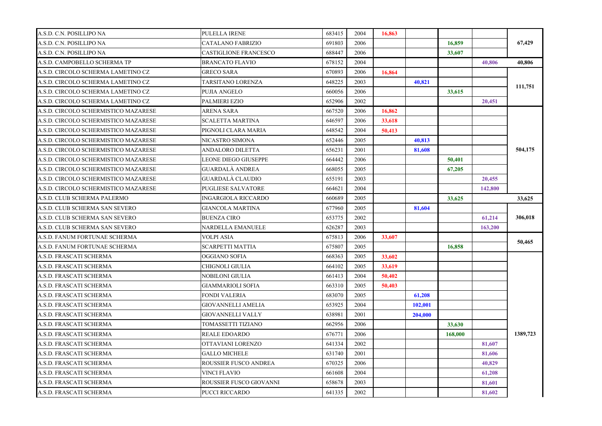| A.S.D. C.N. POSILLIPO NA             | PULELLA IRENE              | 683415 | 2004 | 16,863 |         |         |         |          |
|--------------------------------------|----------------------------|--------|------|--------|---------|---------|---------|----------|
| A.S.D. C.N. POSILLIPO NA             | CATALANO FABRIZIO          | 691803 | 2006 |        |         | 16,859  |         | 67,429   |
| A.S.D. C.N. POSILLIPO NA             | CASTIGLIONE FRANCESCO      | 688447 | 2006 |        |         | 33,607  |         |          |
| A.S.D. CAMPOBELLO SCHERMA TP         | <b>BRANCATO FLAVIO</b>     | 678152 | 2004 |        |         |         | 40,806  | 40,806   |
| A.S.D. CIRCOLO SCHERMA LAMETINO CZ   | <b>GRECO SARA</b>          | 670893 | 2006 | 16,864 |         |         |         |          |
| A.S.D. CIRCOLO SCHERMA LAMETINO CZ   | TARSITANO LORENZA          | 648225 | 2003 |        | 40.821  |         |         | 111,751  |
| A.S.D. CIRCOLO SCHERMA LAMETINO CZ   | <b>PUJIA ANGELO</b>        | 660056 | 2006 |        |         | 33,615  |         |          |
| A.S.D. CIRCOLO SCHERMA LAMETINO CZ   | <b>PALMIERI EZIO</b>       | 652906 | 2002 |        |         |         | 20,451  |          |
| A.S.D. CIRCOLO SCHERMISTICO MAZARESE | ARENA SARA                 | 667520 | 2006 | 16,862 |         |         |         |          |
| A.S.D. CIRCOLO SCHERMISTICO MAZARESE | <b>SCALETTA MARTINA</b>    | 646597 | 2006 | 33,618 |         |         |         |          |
| A.S.D. CIRCOLO SCHERMISTICO MAZARESE | PIGNOLI CLARA MARIA        | 648542 | 2004 | 50,413 |         |         |         |          |
| A.S.D. CIRCOLO SCHERMISTICO MAZARESE | NICASTRO SIMONA            | 652446 | 2005 |        | 40,813  |         |         |          |
| A.S.D. CIRCOLO SCHERMISTICO MAZARESE | ANDALORO DILETTA           | 656231 | 2001 |        | 81,608  |         |         | 504,175  |
| A.S.D. CIRCOLO SCHERMISTICO MAZARESE | LEONE DIEGO GIUSEPPE       | 664442 | 2006 |        |         | 50,401  |         |          |
| A.S.D. CIRCOLO SCHERMISTICO MAZARESE | <b>GUARDALA ANDREA</b>     | 668055 | 2005 |        |         | 67,205  |         |          |
| A.S.D. CIRCOLO SCHERMISTICO MAZARESE | <b>GUARDALA CLAUDIO</b>    | 655191 | 2003 |        |         |         | 20,455  |          |
| A.S.D. CIRCOLO SCHERMISTICO MAZARESE | <b>PUGLIESE SALVATORE</b>  | 664621 | 2004 |        |         |         | 142,800 |          |
| A.S.D. CLUB SCHERMA PALERMO          | <b>INGARGIOLA RICCARDO</b> | 660689 | 2005 |        |         | 33,625  |         | 33,625   |
| A.S.D. CLUB SCHERMA SAN SEVERO       | <b>GIANCOLA MARTINA</b>    | 677960 | 2005 |        | 81,604  |         |         |          |
| A.S.D. CLUB SCHERMA SAN SEVERO       | <b>BUENZA CIRO</b>         | 653775 | 2002 |        |         |         | 61,214  | 306,018  |
| A.S.D. CLUB SCHERMA SAN SEVERO       | NARDELLA EMANUELE          | 626287 | 2003 |        |         |         | 163,200 |          |
| A.S.D. FANUM FORTUNAE SCHERMA        | VOLPI ASIA                 | 675813 | 2006 | 33,607 |         |         |         | 50,465   |
| A.S.D. FANUM FORTUNAE SCHERMA        | <b>SCARPETTI MATTIA</b>    | 675807 | 2005 |        |         | 16,858  |         |          |
| A.S.D. FRASCATI SCHERMA              | OGGIANO SOFIA              | 668363 | 2005 | 33,602 |         |         |         |          |
| A.S.D. FRASCATI SCHERMA              | CHIGNOLI GIULIA            | 664102 | 2005 | 33,619 |         |         |         |          |
| A.S.D. FRASCATI SCHERMA              | NOBILONI GIULIA            | 661413 | 2004 | 50,402 |         |         |         |          |
| A.S.D. FRASCATI SCHERMA              | GIAMMARIOLI SOFIA          | 663310 | 2005 | 50,403 |         |         |         |          |
| A.S.D. FRASCATI SCHERMA              | FONDI VALERIA              | 683070 | 2005 |        | 61,208  |         |         |          |
| A.S.D. FRASCATI SCHERMA              | GIOVANNELLI AMELIA         | 653925 | 2004 |        | 102,001 |         |         |          |
| A.S.D. FRASCATI SCHERMA              | GIOVANNELLI VALLY          | 638981 | 2001 |        | 204,000 |         |         |          |
| A.S.D. FRASCATI SCHERMA              | TOMASSETTI TIZIANO         | 662956 | 2006 |        |         | 33,630  |         |          |
| A.S.D. FRASCATI SCHERMA              | <b>REALE EDOARDO</b>       | 676771 | 2006 |        |         | 168,000 |         | 1389,723 |
| A.S.D. FRASCATI SCHERMA              | OTTAVIANI LORENZO          | 641334 | 2002 |        |         |         | 81,607  |          |
| A.S.D. FRASCATI SCHERMA              | <b>GALLO MICHELE</b>       | 631740 | 2001 |        |         |         | 81,606  |          |
| A.S.D. FRASCATI SCHERMA              | ROUSSIER FUSCO ANDREA      | 670325 | 2006 |        |         |         | 40,829  |          |
| A.S.D. FRASCATI SCHERMA              | VINCI FLAVIO               | 661608 | 2004 |        |         |         | 61,208  |          |
| A.S.D. FRASCATI SCHERMA              | ROUSSIER FUSCO GIOVANNI    | 658678 | 2003 |        |         |         | 81,601  |          |
| A.S.D. FRASCATI SCHERMA              | PUCCI RICCARDO             | 641335 | 2002 |        |         |         | 81,602  |          |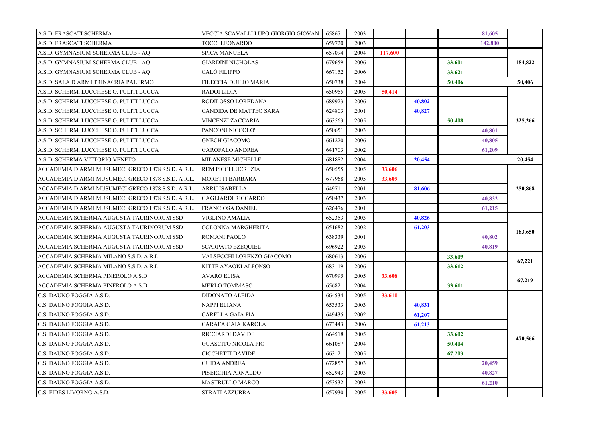| A.S.D. FRASCATI SCHERMA                            | VECCIA SCAVALLI LUPO GIORGIO GIOVAN | 658671 | 2003 |         |        |        | 81,605  |         |
|----------------------------------------------------|-------------------------------------|--------|------|---------|--------|--------|---------|---------|
| A.S.D. FRASCATI SCHERMA                            | TOCCI LEONARDO                      | 659720 | 2003 |         |        |        | 142,800 |         |
| A.S.D. GYMNASIUM SCHERMA CLUB - AQ                 | SPICA MANUELA                       | 657094 | 2004 | 117,600 |        |        |         |         |
| A.S.D. GYMNASIUM SCHERMA CLUB - AQ                 | GIARDINI NICHOLAS                   | 679659 | 2006 |         |        | 33,601 |         | 184,822 |
| A.S.D. GYMNASIUM SCHERMA CLUB - AQ                 | CALÒ FILIPPO                        | 667152 | 2006 |         |        | 33,621 |         |         |
| A.S.D. SALA D ARMI TRINACRIA PALERMO               | FILECCIA DUILIO MARIA               | 650738 | 2004 |         |        | 50,406 |         | 50,406  |
| A.S.D. SCHERM. LUCCHESE O. PULITI LUCCA            | RADOI LIDIA                         | 650955 | 2005 | 50,414  |        |        |         |         |
| A.S.D. SCHERM. LUCCHESE O. PULITI LUCCA            | RODILOSSO LOREDANA                  | 689923 | 2006 |         | 40,802 |        |         |         |
| A.S.D. SCHERM. LUCCHESE O. PULITI LUCCA            | CANDIDA DE MATTEO SARA              | 624803 | 2001 |         | 40,827 |        |         |         |
| A.S.D. SCHERM. LUCCHESE O. PULITI LUCCA            | VINCENZI ZACCARIA                   | 663563 | 2005 |         |        | 50,408 |         | 325,266 |
| A.S.D. SCHERM. LUCCHESE O. PULITI LUCCA            | PANCONI NICCOLO'                    | 650651 | 2003 |         |        |        | 40,801  |         |
| A.S.D. SCHERM. LUCCHESE O. PULITI LUCCA            | GNECH GIACOMO                       | 661220 | 2006 |         |        |        | 40,805  |         |
| A.S.D. SCHERM. LUCCHESE O. PULITI LUCCA            | GAROFALO ANDREA                     | 641703 | 2002 |         |        |        | 61,209  |         |
| A.S.D. SCHERMA VITTORIO VENETO                     | MILANESE MICHELLE                   | 681882 | 2004 |         | 20,454 |        |         | 20.454  |
| ACCADEMIA D ARMI MUSUMECI GRECO 1878 S.S.D. A R.L. | REM PICCI LUCREZIA                  | 650555 | 2005 | 33,606  |        |        |         | 250,868 |
| ACCADEMIA D ARMI MUSUMECI GRECO 1878 S.S.D. A R.L. | MORETTI BARBARA                     | 677968 | 2005 | 33,609  |        |        |         |         |
| ACCADEMIA D ARMI MUSUMECI GRECO 1878 S.S.D. A R.L. | ARRU ISABELLA                       | 649711 | 2001 |         | 81,606 |        |         |         |
| ACCADEMIA D ARMI MUSUMECI GRECO 1878 S.S.D. A R.L. | GAGLIARDI RICCARDO                  | 650437 | 2003 |         |        |        | 40,832  |         |
| ACCADEMIA D ARMI MUSUMECI GRECO 1878 S.S.D. A R.L. | FRANCIOSA DANIELE                   | 626476 | 2001 |         |        |        | 61,215  |         |
| ACCADEMIA SCHERMA AUGUSTA TAURINORUM SSD           | VIGLINO AMALIA                      | 652353 | 2003 |         | 40,826 |        |         | 183,650 |
| ACCADEMIA SCHERMA AUGUSTA TAURINORUM SSD           | COLONNA MARGHERITA                  | 651682 | 2002 |         | 61,203 |        |         |         |
| ACCADEMIA SCHERMA AUGUSTA TAURINORUM SSD           | ROMANI PAOLO                        | 638339 | 2001 |         |        |        | 40,802  |         |
| ACCADEMIA SCHERMA AUGUSTA TAURINORUM SSD           | SCARPATO EZEQUIEL                   | 696922 | 2003 |         |        |        | 40,819  |         |
| ACCADEMIA SCHERMA MILANO S.S.D. A R.L.             | VALSECCHI LORENZO GIACOMO           | 680613 | 2006 |         |        | 33,609 |         | 67,221  |
| ACCADEMIA SCHERMA MILANO S.S.D. A R.L.             | KITTE AYAOKI ALFONSO                | 683119 | 2006 |         |        | 33,612 |         |         |
| ACCADEMIA SCHERMA PINEROLO A.S.D.                  | AVARO ELISA                         | 670995 | 2005 | 33,608  |        |        |         | 67,219  |
| ACCADEMIA SCHERMA PINEROLO A.S.D.                  | MERLO TOMMASO                       | 656821 | 2004 |         |        | 33,611 |         |         |
| C.S. DAUNO FOGGIA A.S.D.                           | DIDONATO ALEIDA                     | 664534 | 2005 | 33,610  |        |        |         |         |
| C.S. DAUNO FOGGIA A.S.D.                           | NAPPI ELIANA                        | 653533 | 2003 |         | 40,831 |        |         |         |
| C.S. DAUNO FOGGIA A.S.D.                           | CARELLA GAIA PIA                    | 649435 | 2002 |         | 61,207 |        |         |         |
| C.S. DAUNO FOGGIA A.S.D.                           | CARAFA GAIA KAROLA                  | 673443 | 2006 |         | 61,213 |        |         |         |
| C.S. DAUNO FOGGIA A.S.D.                           | RICCIARDI DAVIDE                    | 664518 | 2005 |         |        | 33,602 |         | 470,566 |
| C.S. DAUNO FOGGIA A.S.D.                           | GUASCITO NICOLA PIO                 | 661087 | 2004 |         |        | 50,404 |         |         |
| C.S. DAUNO FOGGIA A.S.D.                           | CICCHETTI DAVIDE                    | 663121 | 2005 |         |        | 67,203 |         |         |
| C.S. DAUNO FOGGIA A.S.D.                           | GUIDA ANDREA                        | 672857 | 2003 |         |        |        | 20,459  |         |
| C.S. DAUNO FOGGIA A.S.D.                           | PISERCHIA ARNALDO                   | 652943 | 2003 |         |        |        | 40,827  |         |
| C.S. DAUNO FOGGIA A.S.D.                           | MASTRULLO MARCO                     | 653532 | 2003 |         |        |        | 61,210  |         |
| C.S. FIDES LIVORNO A.S.D.                          | STRATI AZZURRA                      | 657930 | 2005 | 33,605  |        |        |         |         |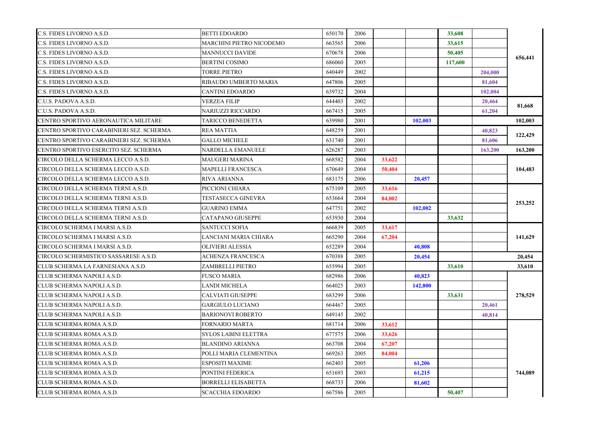| C.S. FIDES LIVORNO A.S.D.                | BETTI EDOARDO            | 650170 | 2006 |        |         | 33,608  |         | 656,441 |
|------------------------------------------|--------------------------|--------|------|--------|---------|---------|---------|---------|
| C.S. FIDES LIVORNO A.S.D.                | MARCHINI PIETRO NICODEMO | 663565 | 2006 |        |         | 33,615  |         |         |
| C.S. FIDES LIVORNO A.S.D.                | MANNUCCI DAVIDE          | 670678 | 2006 |        |         | 50,405  |         |         |
| C.S. FIDES LIVORNO A.S.D.                | BERTINI COSIMO           | 686060 | 2005 |        |         | 117,600 |         |         |
| C.S. FIDES LIVORNO A.S.D.                | TORRE PIETRO             | 640449 | 2002 |        |         |         | 204,000 |         |
| C.S. FIDES LIVORNO A.S.D.                | RIBAUDO UMBERTO MARIA    | 647806 | 2005 |        |         |         | 81,604  |         |
| C.S. FIDES LIVORNO A.S.D.                | CANTINI EDOARDO          | 639732 | 2004 |        |         |         | 102,004 |         |
| C.U.S. PADOVA A.S.D.                     | VERZEA FILIP             | 644403 | 2002 |        |         |         | 20,464  | 81,668  |
| C.U.S. PADOVA A.S.D.                     | NARIUZZI RICCARDO        | 667415 | 2005 |        |         |         | 61,204  |         |
| CENTRO SPORTIVO AERONAUTICA MILITARE     | TARICCO BENEDETTA        | 639980 | 2001 |        | 102,003 |         |         | 102,003 |
| CENTRO SPORTIVO CARABINIERI SEZ. SCHERMA | REA MATTIA               | 648259 | 2001 |        |         |         | 40.823  |         |
| CENTRO SPORTIVO CARABINIERI SEZ. SCHERMA | GALLO MICHELE            | 631740 | 2001 |        |         |         | 81,606  | 122,429 |
| CENTRO SPORTIVO ESERCITO SEZ. SCHERMA    | NARDELLA EMANUELE        | 626287 | 2003 |        |         |         | 163,200 | 163,200 |
| CIRCOLO DELLA SCHERMA LECCO A.S.D.       | MAUGERI MARINA           | 668582 | 2004 | 33,622 |         |         |         |         |
| CIRCOLO DELLA SCHERMA LECCO A.S.D.       | <b>MAPELLI FRANCESCA</b> | 670649 | 2004 | 50,404 |         |         |         | 104,483 |
| CIRCOLO DELLA SCHERMA LECCO A.S.D.       | RIVA ARIANNA             | 683175 | 2006 |        | 20,457  |         |         |         |
| CIRCOLO DELLA SCHERMA TERNI A.S.D.       | PICCIONI CHIARA          | 675109 | 2005 | 33,616 |         |         |         | 253,252 |
| CIRCOLO DELLA SCHERMA TERNI A.S.D.       | TESTASECCA GINEVRA       | 653664 | 2004 | 84,002 |         |         |         |         |
| CIRCOLO DELLA SCHERMA TERNI A.S.D.       | GUARINO EMMA             | 647751 | 2002 |        | 102,002 |         |         |         |
| CIRCOLO DELLA SCHERMA TERNI A.S.D.       | CATAPANO GIUSEPPE        | 653930 | 2004 |        |         | 33,632  |         |         |
| CIRCOLO SCHERMA I MARSI A.S.D.           | SANTUCCI SOFIA           | 666839 | 2005 | 33,617 |         |         |         |         |
| CIRCOLO SCHERMA I MARSI A.S.D.           | LANCIANI MARIA CHIARA    | 665290 | 2004 | 67,204 |         |         |         | 141,629 |
| CIRCOLO SCHERMA I MARSI A.S.D.           | OLIVIERI ALESSIA         | 652289 | 2004 |        | 40,808  |         |         |         |
| CIRCOLO SCHERMISTICO SASSARESE A.S.D.    | ACHENZA FRANCESCA        | 670388 | 2005 |        | 20,454  |         |         | 20,454  |
| CLUB SCHERMA LA FARNESIANA A.S.D.        | ZAMBRELLI PIETRO         | 655994 | 2005 |        |         | 33,610  |         | 33,610  |
| CLUB SCHERMA NAPOLI A.S.D.               | FUSCO MARIA              | 682986 | 2006 |        | 40,823  |         |         |         |
| CLUB SCHERMA NAPOLI A.S.D.               | LANDI MICHELA            | 664025 | 2003 |        | 142,800 |         |         |         |
| CLUB SCHERMA NAPOLI A.S.D.               | CALVIATI GIUSEPPE        | 683299 | 2006 |        |         | 33,631  |         | 278,529 |
| CLUB SCHERMA NAPOLI A.S.D.               | GARGIULO LUCIANO         | 664467 | 2005 |        |         |         | 20,461  |         |
| CLUB SCHERMA NAPOLI A.S.D.               | BARIONOVI ROBERTO        | 649145 | 2002 |        |         |         | 40,814  |         |
| CLUB SCHERMA ROMA A.S.D.                 | FORNARIO MARTA           | 681714 | 2006 | 33,612 |         |         |         |         |
| CLUB SCHERMA ROMA A.S.D.                 | SYLOS LABINI ELETTRA     | 677575 | 2006 | 33,626 |         |         |         |         |
| CLUB SCHERMA ROMA A.S.D.                 | BLANDINO ARIANNA         | 663708 | 2004 | 67,207 |         |         |         |         |
| CLUB SCHERMA ROMA A.S.D.                 | POLLI MARIA CLEMENTINA   | 669263 | 2005 | 84,004 |         |         |         |         |
| CLUB SCHERMA ROMA A.S.D.                 | ESPOSITI MAXIME          | 662403 | 2005 |        | 61,206  |         |         |         |
| CLUB SCHERMA ROMA A.S.D.                 | PONTINI FEDERICA         | 651693 | 2003 |        | 61,215  |         |         | 744,089 |
| CLUB SCHERMA ROMA A.S.D.                 | BORRELLI ELISABETTA      | 668733 | 2006 |        | 81,602  |         |         |         |
| CLUB SCHERMA ROMA A.S.D.                 | SCACCHIA EDOARDO         | 667586 | 2005 |        |         | 50,407  |         |         |
|                                          |                          |        |      |        |         |         |         |         |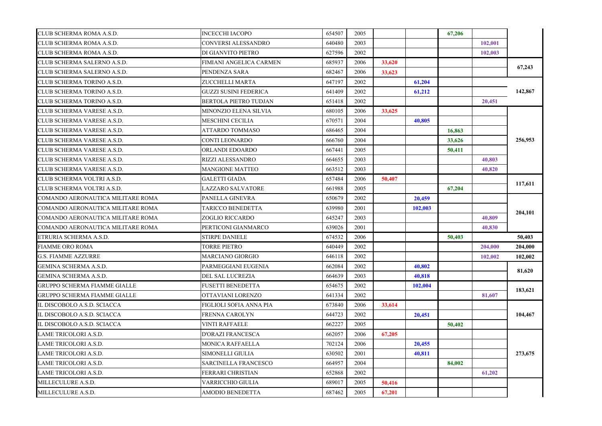| CLUB SCHERMA ROMA A.S.D.            | INCECCHI IACOPO         | 654507 | 2005 |        |         | 67,206 |         |         |
|-------------------------------------|-------------------------|--------|------|--------|---------|--------|---------|---------|
| CLUB SCHERMA ROMA A.S.D.            | CONVERSI ALESSANDRO     | 640480 | 2003 |        |         |        | 102.001 |         |
| CLUB SCHERMA ROMA A.S.D.            | DI GIANVITO PIETRO      | 627596 | 2002 |        |         |        | 102,003 |         |
| CLUB SCHERMA SALERNO A.S.D.         | FIMIANI ANGELICA CARMEN | 685937 | 2006 | 33,620 |         |        |         | 67,243  |
| CLUB SCHERMA SALERNO A.S.D.         | PENDENZA SARA           | 682467 | 2006 | 33,623 |         |        |         |         |
| CLUB SCHERMA TORINO A.S.D.          | ZUCCHELLI MARTA         | 647197 | 2002 |        | 61,204  |        |         | 142,867 |
| CLUB SCHERMA TORINO A.S.D.          | GUZZI SUSINI FEDERICA   | 641409 | 2002 |        | 61,212  |        |         |         |
| CLUB SCHERMA TORINO A.S.D.          | BERTOLA PIETRO TUDJAN   | 651418 | 2002 |        |         |        | 20,451  |         |
| CLUB SCHERMA VARESE A.S.D.          | MINONZIO ELENA SILVIA   | 680105 | 2006 | 33,625 |         |        |         |         |
| CLUB SCHERMA VARESE A.S.D.          | MESCHINI CECILIA        | 670571 | 2004 |        | 40.805  |        |         |         |
| CLUB SCHERMA VARESE A.S.D.          | ATTARDO TOMMASO         | 686465 | 2004 |        |         | 16,863 |         |         |
| CLUB SCHERMA VARESE A.S.D.          | CONTI LEONARDO          | 666760 | 2004 |        |         | 33,626 |         | 256,953 |
| CLUB SCHERMA VARESE A.S.D.          | ORLANDI EDOARDO         | 667441 | 2005 |        |         | 50,411 |         |         |
| CLUB SCHERMA VARESE A.S.D.          | RIZZI ALESSANDRO        | 664655 | 2003 |        |         |        | 40,803  |         |
| CLUB SCHERMA VARESE A.S.D.          | MANGIONE MATTEO         | 663512 | 2003 |        |         |        | 40,820  |         |
| CLUB SCHERMA VOLTRI A.S.D.          | GALETTI GIADA           | 657484 | 2006 | 50,407 |         |        |         | 117,611 |
| CLUB SCHERMA VOLTRI A.S.D.          | LAZZARO SALVATORE       | 661988 | 2005 |        |         | 67,204 |         |         |
| COMANDO AERONAUTICA MILITARE ROMA   | PANELLA GINEVRA         | 650679 | 2002 |        | 20,459  |        |         | 204,101 |
| COMANDO AERONAUTICA MILITARE ROMA   | TARICCO BENEDETTA       | 639980 | 2001 |        | 102,003 |        |         |         |
| COMANDO AERONAUTICA MILITARE ROMA   | ZOGLIO RICCARDO         | 645247 | 2003 |        |         |        | 40,809  |         |
| COMANDO AERONAUTICA MILITARE ROMA   | PERTICONI GIANMARCO     | 639026 | 2001 |        |         |        | 40,830  |         |
| ETRURIA SCHERMA A.S.D.              | STIRPE DANIELE          | 674532 | 2006 |        |         | 50,403 |         | 50,403  |
| <b>FIAMME ORO ROMA</b>              | TORRE PIETRO            | 640449 | 2002 |        |         |        | 204,000 | 204,000 |
| <b>G.S. FIAMME AZZURRE</b>          | MARCIANO GIORGIO        | 646118 | 2002 |        |         |        | 102,002 | 102,002 |
| GEMINA SCHERMA A.S.D.               | PARMEGGIANI EUGENIA     | 662084 | 2002 |        | 40,802  |        |         | 81,620  |
| GEMINA SCHERMA A.S.D.               | DEL SAL LUCREZIA        | 664639 | 2003 |        | 40,818  |        |         |         |
| <b>GRUPPO SCHERMA FIAMME GIALLE</b> | FUSETTI BENEDETTA       | 654675 | 2002 |        | 102,004 |        |         | 183,621 |
| <b>GRUPPO SCHERMA FIAMME GIALLE</b> | OTTAVIANI LORENZO       | 641334 | 2002 |        |         |        | 81,607  |         |
| IL DISCOBOLO A.S.D. SCIACCA         | FIGLIOLI SOFIA ANNA PIA | 673840 | 2006 | 33,614 |         |        |         |         |
| IL DISCOBOLO A.S.D. SCIACCA         | FRENNA CAROLYN          | 644723 | 2002 |        | 20,451  |        |         | 104,467 |
| IL DISCOBOLO A.S.D. SCIACCA         | VINTI RAFFAELE          | 662227 | 2005 |        |         | 50,402 |         |         |
| <b>LAME TRICOLORI A.S.D.</b>        | D'ORAZI FRANCESCA       | 662057 | 2006 | 67,205 |         |        |         |         |
| LAME TRICOLORI A.S.D.               | MONICA RAFFAELLA        | 702124 | 2006 |        | 20,455  |        |         | 273,675 |
| LAME TRICOLORI A.S.D.               | SIMONELLI GIULIA        | 630502 | 2001 |        | 40,811  |        |         |         |
| LAME TRICOLORI A.S.D.               | SARCINELLA FRANCESCO    | 664957 | 2004 |        |         | 84,002 |         |         |
| <b>LAME TRICOLORI A.S.D.</b>        | FERRARI CHRISTIAN       | 652868 | 2002 |        |         |        | 61,202  |         |
| MILLECULURE A.S.D.                  | VARRICCHIO GIULIA       | 689017 | 2005 | 50,416 |         |        |         |         |
| MILLECULURE A.S.D.                  | AMODIO BENEDETTA        | 687462 | 2005 | 67,201 |         |        |         |         |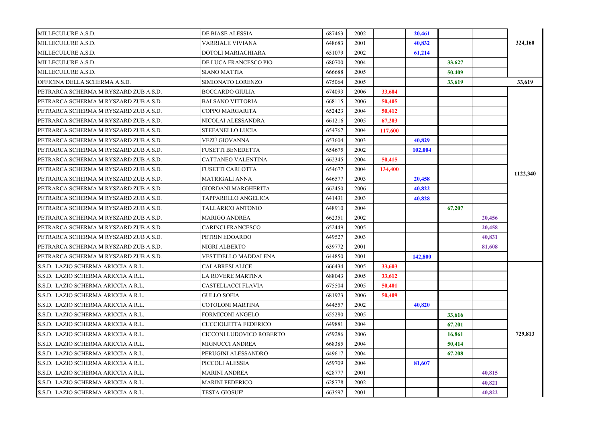| MILLECULURE A.S.D.                    | DE BIASE ALESSIA           | 687463 | 2002 |         | 20,461  |        |        |          |
|---------------------------------------|----------------------------|--------|------|---------|---------|--------|--------|----------|
| MILLECULURE A.S.D.                    | VARRIALE VIVIANA           | 648683 | 2001 |         | 40,832  |        |        | 324,160  |
| MILLECULURE A.S.D.                    | DOTOLI MARIACHIARA         | 651079 | 2002 |         | 61,214  |        |        |          |
| MILLECULURE A.S.D.                    | DE LUCA FRANCESCO PIO      | 680700 | 2004 |         |         | 33,627 |        |          |
| MILLECULURE A.S.D.                    | <b>SIANO MATTIA</b>        | 666688 | 2005 |         |         | 50,409 |        |          |
| OFFICINA DELLA SCHERMA A.S.D.         | SIMIONATO LORENZO          | 675064 | 2005 |         |         | 33,619 |        | 33,619   |
| PETRARCA SCHERMA M RYSZARD ZUB A.S.D. | <b>BOCCARDO GIULIA</b>     | 674093 | 2006 | 33,604  |         |        |        |          |
| PETRARCA SCHERMA M RYSZARD ZUB A.S.D. | <b>BALSANO VITTORIA</b>    | 668115 | 2006 | 50,405  |         |        |        |          |
| PETRARCA SCHERMA M RYSZARD ZUB A.S.D. | COPPO MARGARITA            | 652423 | 2004 | 50,412  |         |        |        |          |
| PETRARCA SCHERMA M RYSZARD ZUB A.S.D. | NICOLAI ALESSANDRA         | 661216 | 2005 | 67,203  |         |        |        |          |
| PETRARCA SCHERMA M RYSZARD ZUB A.S.D. | STEFANELLO LUCIA           | 654767 | 2004 | 117,600 |         |        |        |          |
| PETRARCA SCHERMA M RYSZARD ZUB A.S.D. | VEZÙ GIOVANNA              | 653604 | 2003 |         | 40,829  |        |        |          |
| PETRARCA SCHERMA M RYSZARD ZUB A.S.D. | <b>FUSETTI BENEDETTA</b>   | 654675 | 2002 |         | 102,004 |        |        |          |
| PETRARCA SCHERMA M RYSZARD ZUB A.S.D. | CATTANEO VALENTINA         | 662345 | 2004 | 50,415  |         |        |        |          |
| PETRARCA SCHERMA M RYSZARD ZUB A.S.D. | <b>FUSETTI CARLOTTA</b>    | 654677 | 2004 | 134,400 |         |        |        |          |
| PETRARCA SCHERMA M RYSZARD ZUB A.S.D. | <b>MATRIGALI ANNA</b>      | 646577 | 2003 |         | 20,458  |        |        | 1122,340 |
| PETRARCA SCHERMA M RYSZARD ZUB A.S.D. | <b>GIORDANI MARGHERITA</b> | 662450 | 2006 |         | 40,822  |        |        |          |
| PETRARCA SCHERMA M RYSZARD ZUB A.S.D. | TAPPARELLO ANGELICA        | 641431 | 2003 |         | 40,828  |        |        |          |
| PETRARCA SCHERMA M RYSZARD ZUB A.S.D. | TALLARICO ANTONIO          | 648910 | 2004 |         |         | 67,207 |        |          |
| PETRARCA SCHERMA M RYSZARD ZUB A.S.D. | MARIGO ANDREA              | 662351 | 2002 |         |         |        | 20,456 |          |
| PETRARCA SCHERMA M RYSZARD ZUB A.S.D. | CARINCI FRANCESCO          | 652449 | 2005 |         |         |        | 20,458 |          |
| PETRARCA SCHERMA M RYSZARD ZUB A.S.D. | PETRIN EDOARDO             | 649527 | 2003 |         |         |        | 40,831 |          |
| PETRARCA SCHERMA M RYSZARD ZUB A.S.D. | NIGRI ALBERTO              | 639772 | 2001 |         |         |        | 81,608 |          |
| PETRARCA SCHERMA M RYSZARD ZUB A.S.D. | VESTIDELLO MADDALENA       | 644850 | 2001 |         | 142,800 |        |        |          |
| S.S.D. LAZIO SCHERMA ARICCIA A R.L.   | <b>CALABRESI ALICE</b>     | 666434 | 2005 | 33,603  |         |        |        |          |
| S.S.D. LAZIO SCHERMA ARICCIA A R.L.   | LA ROVERE MARTINA          | 688043 | 2005 | 33,612  |         |        |        |          |
| S.S.D. LAZIO SCHERMA ARICCIA A R.L.   | CASTELLACCI FLAVIA         | 675504 | 2005 | 50,401  |         |        |        |          |
| S.S.D. LAZIO SCHERMA ARICCIA A R.L.   | <b>GULLO SOFIA</b>         | 681923 | 2006 | 50,409  |         |        |        |          |
| S.S.D. LAZIO SCHERMA ARICCIA A R.L.   | COTOLONI MARTINA           | 644557 | 2002 |         | 40.820  |        |        |          |
| S.S.D. LAZIO SCHERMA ARICCIA A R.L.   | FORMICONI ANGELO           | 655280 | 2005 |         |         | 33,616 |        |          |
| S.S.D. LAZIO SCHERMA ARICCIA A R.L.   | CUCCIOLETTA FEDERICO       | 649881 | 2004 |         |         | 67,201 |        |          |
| S.S.D. LAZIO SCHERMA ARICCIA A R.L.   | CICCONI LUDOVICO ROBERTO   | 659286 | 2006 |         |         | 16,861 |        | 729,813  |
| S.S.D. LAZIO SCHERMA ARICCIA A R.L.   | MIGNUCCI ANDREA            | 668385 | 2004 |         |         | 50,414 |        |          |
| S.S.D. LAZIO SCHERMA ARICCIA A R.L.   | PERUGINI ALESSANDRO        | 649617 | 2004 |         |         | 67,208 |        |          |
| S.S.D. LAZIO SCHERMA ARICCIA A R.L.   | PICCOLI ALESSIA            | 659709 | 2004 |         | 81,607  |        |        |          |
| S.S.D. LAZIO SCHERMA ARICCIA A R.L.   | MARINI ANDREA              | 628777 | 2001 |         |         |        | 40,815 |          |
| S.S.D. LAZIO SCHERMA ARICCIA A R.L.   | MARINI FEDERICO            | 628778 | 2002 |         |         |        | 40,821 |          |
| S.S.D. LAZIO SCHERMA ARICCIA A R.L.   | <b>TESTA GIOSUE'</b>       | 663597 | 2001 |         |         |        | 40,822 |          |
|                                       |                            |        |      |         |         |        |        |          |